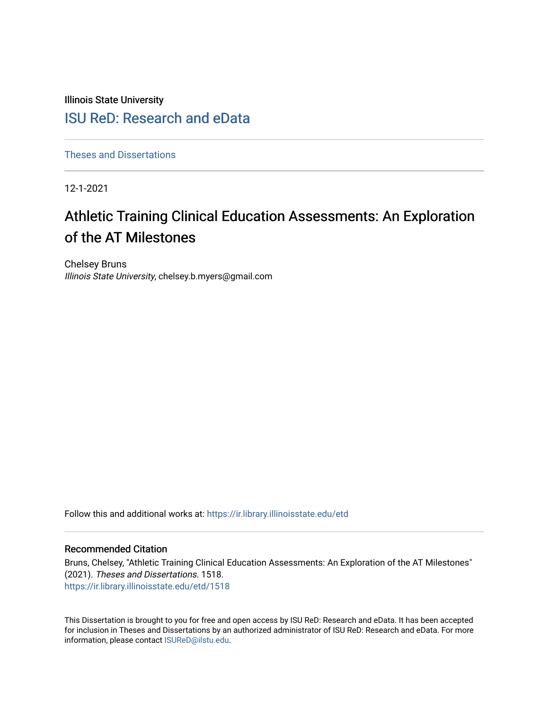Illinois State University

# [ISU ReD: Research and eData](https://ir.library.illinoisstate.edu/)

[Theses and Dissertations](https://ir.library.illinoisstate.edu/etd)

12-1-2021

# Athletic Training Clinical Education Assessments: An Exploration of the AT Milestones

Chelsey Bruns Illinois State University, chelsey.b.myers@gmail.com

Follow this and additional works at: [https://ir.library.illinoisstate.edu/etd](https://ir.library.illinoisstate.edu/etd?utm_source=ir.library.illinoisstate.edu%2Fetd%2F1518&utm_medium=PDF&utm_campaign=PDFCoverPages) 

#### Recommended Citation

Bruns, Chelsey, "Athletic Training Clinical Education Assessments: An Exploration of the AT Milestones" (2021). Theses and Dissertations. 1518. [https://ir.library.illinoisstate.edu/etd/1518](https://ir.library.illinoisstate.edu/etd/1518?utm_source=ir.library.illinoisstate.edu%2Fetd%2F1518&utm_medium=PDF&utm_campaign=PDFCoverPages) 

This Dissertation is brought to you for free and open access by ISU ReD: Research and eData. It has been accepted for inclusion in Theses and Dissertations by an authorized administrator of ISU ReD: Research and eData. For more information, please contact [ISUReD@ilstu.edu.](mailto:ISUReD@ilstu.edu)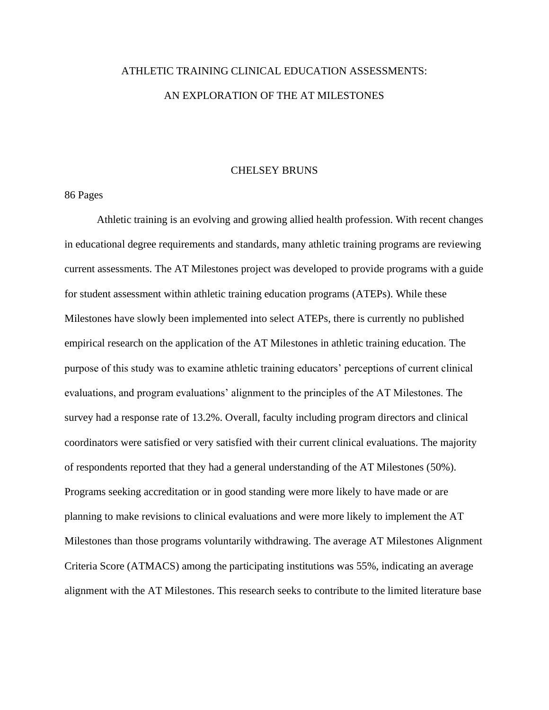# ATHLETIC TRAINING CLINICAL EDUCATION ASSESSMENTS: AN EXPLORATION OF THE AT MILESTONES

#### CHELSEY BRUNS

86 Pages

Athletic training is an evolving and growing allied health profession. With recent changes in educational degree requirements and standards, many athletic training programs are reviewing current assessments. The AT Milestones project was developed to provide programs with a guide for student assessment within athletic training education programs (ATEPs). While these Milestones have slowly been implemented into select ATEPs, there is currently no published empirical research on the application of the AT Milestones in athletic training education. The purpose of this study was to examine athletic training educators' perceptions of current clinical evaluations, and program evaluations' alignment to the principles of the AT Milestones. The survey had a response rate of 13.2%. Overall, faculty including program directors and clinical coordinators were satisfied or very satisfied with their current clinical evaluations. The majority of respondents reported that they had a general understanding of the AT Milestones (50%). Programs seeking accreditation or in good standing were more likely to have made or are planning to make revisions to clinical evaluations and were more likely to implement the AT Milestones than those programs voluntarily withdrawing. The average AT Milestones Alignment Criteria Score (ATMACS) among the participating institutions was 55%, indicating an average alignment with the AT Milestones. This research seeks to contribute to the limited literature base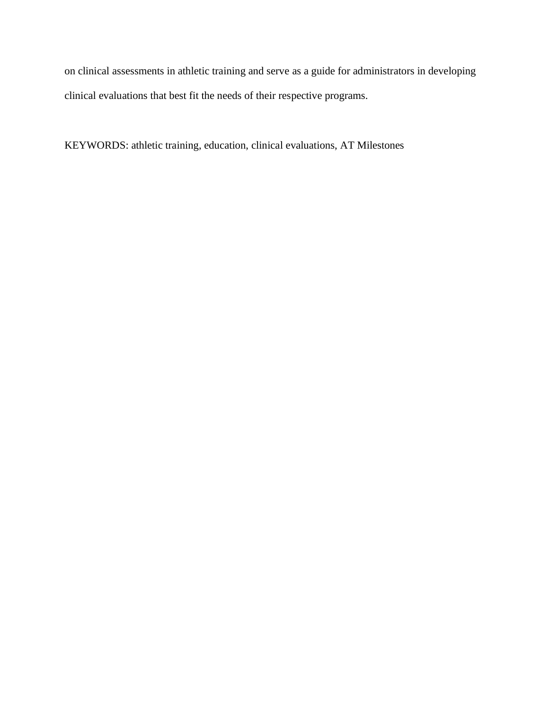on clinical assessments in athletic training and serve as a guide for administrators in developing clinical evaluations that best fit the needs of their respective programs.

KEYWORDS: athletic training, education, clinical evaluations, AT Milestones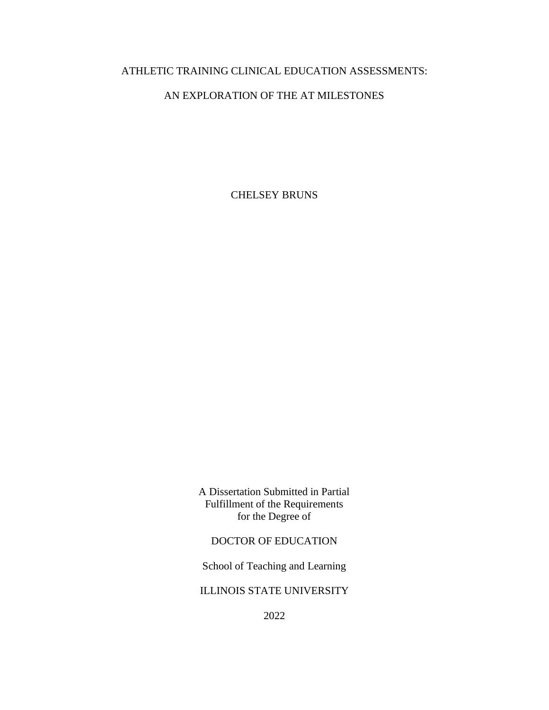## ATHLETIC TRAINING CLINICAL EDUCATION ASSESSMENTS:

## AN EXPLORATION OF THE AT MILESTONES

CHELSEY BRUNS

A Dissertation Submitted in Partial Fulfillment of the Requirements for the Degree of

DOCTOR OF EDUCATION

School of Teaching and Learning

ILLINOIS STATE UNIVERSITY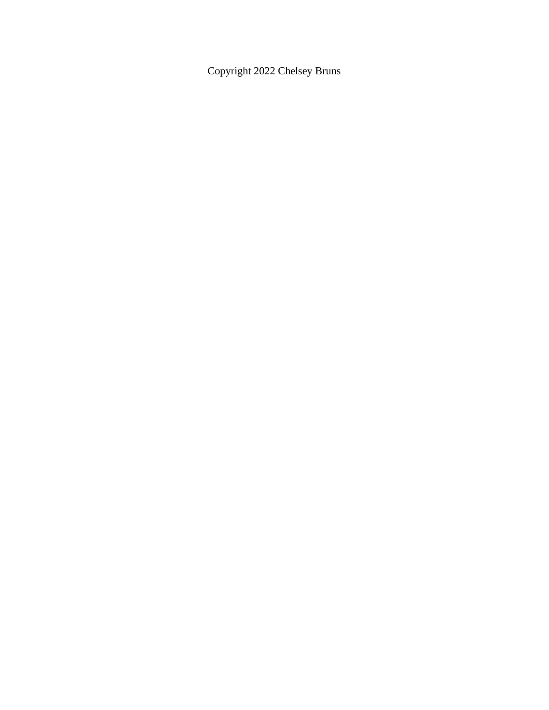Copyright 2022 Chelsey Bruns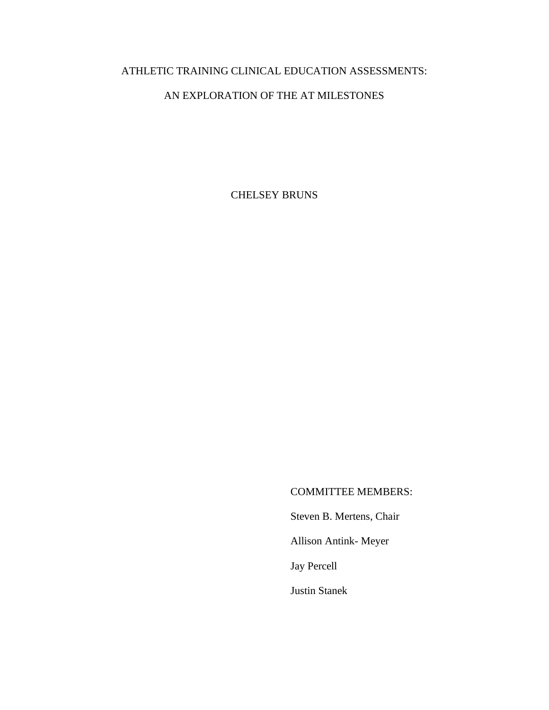# ATHLETIC TRAINING CLINICAL EDUCATION ASSESSMENTS:

## AN EXPLORATION OF THE AT MILESTONES

CHELSEY BRUNS

### COMMITTEE MEMBERS:

Steven B. Mertens, Chair

Allison Antink- Meyer

Jay Percell

Justin Stanek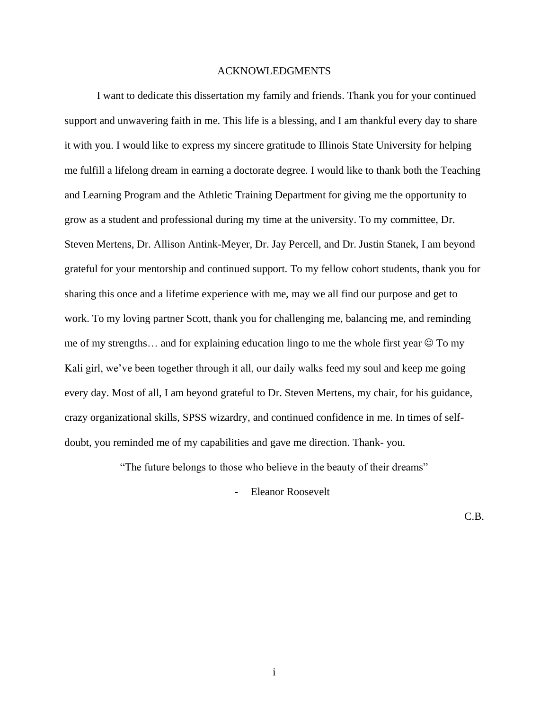#### ACKNOWLEDGMENTS

I want to dedicate this dissertation my family and friends. Thank you for your continued support and unwavering faith in me. This life is a blessing, and I am thankful every day to share it with you. I would like to express my sincere gratitude to Illinois State University for helping me fulfill a lifelong dream in earning a doctorate degree. I would like to thank both the Teaching and Learning Program and the Athletic Training Department for giving me the opportunity to grow as a student and professional during my time at the university. To my committee, Dr. Steven Mertens, Dr. Allison Antink-Meyer, Dr. Jay Percell, and Dr. Justin Stanek, I am beyond grateful for your mentorship and continued support. To my fellow cohort students, thank you for sharing this once and a lifetime experience with me, may we all find our purpose and get to work. To my loving partner Scott, thank you for challenging me, balancing me, and reminding me of my strengths... and for explaining education lingo to me the whole first year  $\odot$  To my Kali girl, we've been together through it all, our daily walks feed my soul and keep me going every day. Most of all, I am beyond grateful to Dr. Steven Mertens, my chair, for his guidance, crazy organizational skills, SPSS wizardry, and continued confidence in me. In times of selfdoubt, you reminded me of my capabilities and gave me direction. Thank- you.

"The future belongs to those who believe in the beauty of their dreams"

Eleanor Roosevelt

C.B.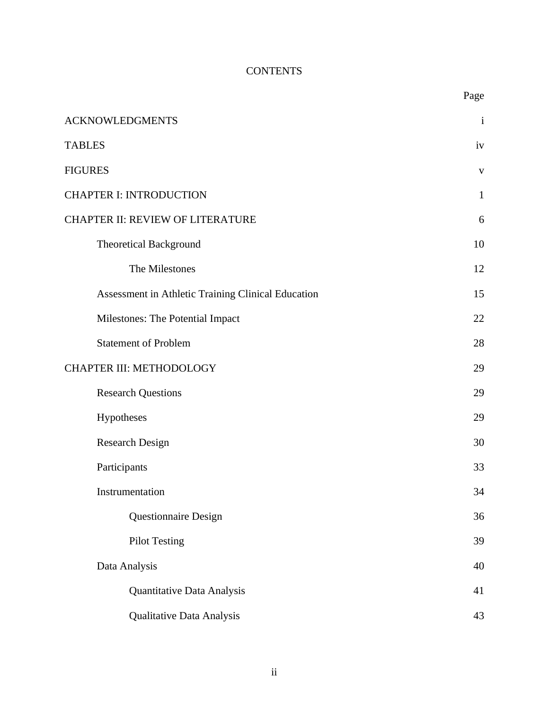# <span id="page-7-2"></span>**CONTENTS**

<span id="page-7-1"></span><span id="page-7-0"></span>

|                                                    | Page         |
|----------------------------------------------------|--------------|
| <b>ACKNOWLEDGMENTS</b>                             | $\mathbf{i}$ |
| <b>TABLES</b>                                      | iv           |
| <b>FIGURES</b>                                     | $\mathbf{V}$ |
| <b>CHAPTER I: INTRODUCTION</b>                     | $\mathbf{1}$ |
| CHAPTER II: REVIEW OF LITERATURE                   | 6            |
| <b>Theoretical Background</b>                      | 10           |
| The Milestones                                     | 12           |
| Assessment in Athletic Training Clinical Education | 15           |
| Milestones: The Potential Impact                   | 22           |
| <b>Statement of Problem</b>                        | 28           |
| CHAPTER III: METHODOLOGY                           | 29           |
| <b>Research Questions</b>                          | 29           |
| Hypotheses                                         | 29           |
| <b>Research Design</b>                             | 30           |
| Participants                                       | 33           |
| Instrumentation                                    | 34           |
| Questionnaire Design                               | 36           |
| <b>Pilot Testing</b>                               | 39           |
| Data Analysis                                      | 40           |
| Quantitative Data Analysis                         | 41           |
| Qualitative Data Analysis                          | 43           |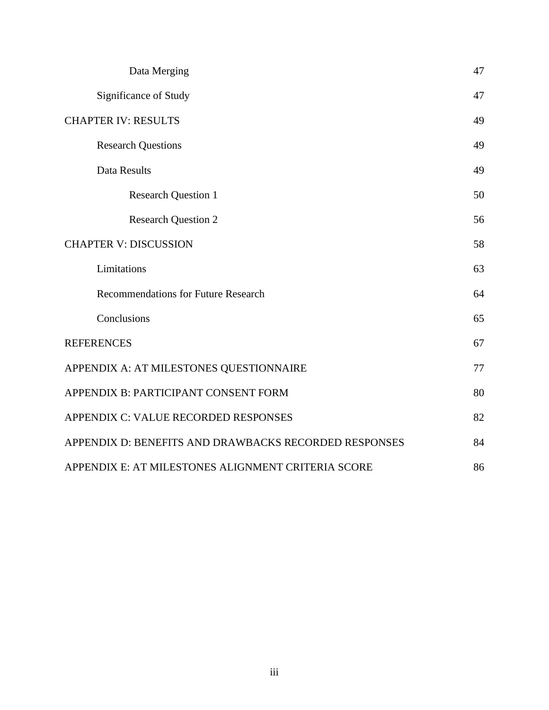| Data Merging                                          | 47 |
|-------------------------------------------------------|----|
| Significance of Study                                 |    |
| <b>CHAPTER IV: RESULTS</b>                            | 49 |
| <b>Research Questions</b>                             | 49 |
| Data Results                                          | 49 |
| <b>Research Question 1</b>                            | 50 |
| <b>Research Question 2</b>                            | 56 |
| <b>CHAPTER V: DISCUSSION</b>                          | 58 |
| Limitations                                           | 63 |
| <b>Recommendations for Future Research</b>            | 64 |
| Conclusions                                           | 65 |
| <b>REFERENCES</b>                                     | 67 |
| APPENDIX A: AT MILESTONES QUESTIONNAIRE               | 77 |
| APPENDIX B: PARTICIPANT CONSENT FORM                  | 80 |
| APPENDIX C: VALUE RECORDED RESPONSES                  | 82 |
| APPENDIX D: BENEFITS AND DRAWBACKS RECORDED RESPONSES |    |
| APPENDIX E: AT MILESTONES ALIGNMENT CRITERIA SCORE    |    |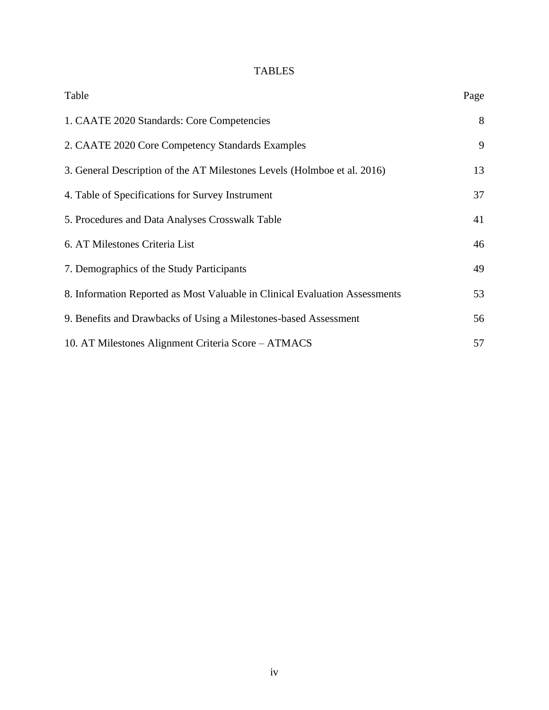## TABLES

<span id="page-9-0"></span>

| Table                                                                       | Page |
|-----------------------------------------------------------------------------|------|
| 1. CAATE 2020 Standards: Core Competencies                                  | 8    |
| 2. CAATE 2020 Core Competency Standards Examples                            | 9    |
| 3. General Description of the AT Milestones Levels (Holmboe et al. 2016)    | 13   |
| 4. Table of Specifications for Survey Instrument                            | 37   |
| 5. Procedures and Data Analyses Crosswalk Table                             | 41   |
| 6. AT Milestones Criteria List                                              | 46   |
| 7. Demographics of the Study Participants                                   | 49   |
| 8. Information Reported as Most Valuable in Clinical Evaluation Assessments | 53   |
| 9. Benefits and Drawbacks of Using a Milestones-based Assessment            | 56   |
| 10. AT Milestones Alignment Criteria Score – ATMACS                         | 57   |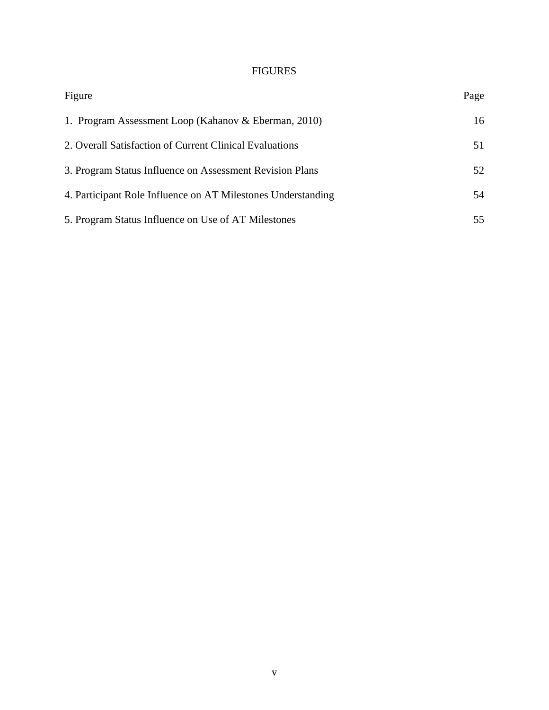## FIGURES

<span id="page-10-0"></span>

| Figure                                                       | Page |
|--------------------------------------------------------------|------|
| 1. Program Assessment Loop (Kahanov & Eberman, 2010)         | 16   |
| 2. Overall Satisfaction of Current Clinical Evaluations      | 51   |
| 3. Program Status Influence on Assessment Revision Plans     | 52   |
| 4. Participant Role Influence on AT Milestones Understanding | 54   |
| 5. Program Status Influence on Use of AT Milestones          | 55   |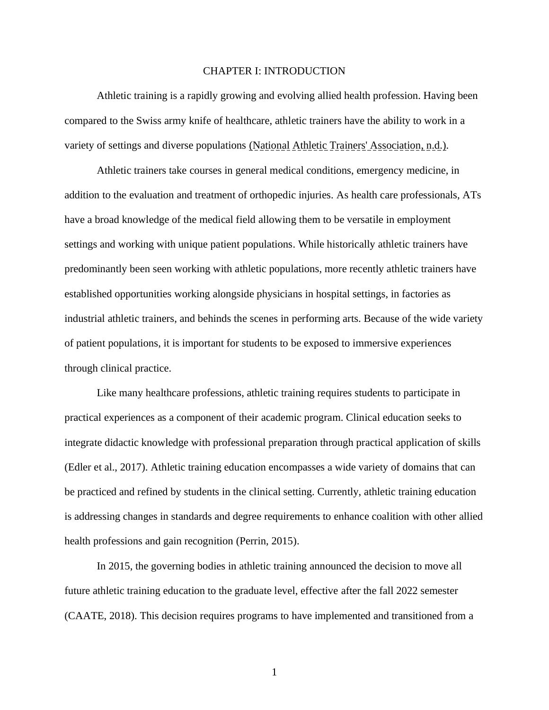#### CHAPTER I: INTRODUCTION

<span id="page-11-0"></span>Athletic training is a rapidly growing and evolving allied health profession. Having been compared to the Swiss army knife of healthcare, athletic trainers have the ability to work in a variety of settings and diverse populations (National Athletic Trainers' Association, n.d.).

Athletic trainers take courses in general medical conditions, emergency medicine, in addition to the evaluation and treatment of orthopedic injuries. As health care professionals, ATs have a broad knowledge of the medical field allowing them to be versatile in employment settings and working with unique patient populations. While historically athletic trainers have predominantly been seen working with athletic populations, more recently athletic trainers have established opportunities working alongside physicians in hospital settings, in factories as industrial athletic trainers, and behinds the scenes in performing arts. Because of the wide variety of patient populations, it is important for students to be exposed to immersive experiences through clinical practice.

Like many healthcare professions, athletic training requires students to participate in practical experiences as a component of their academic program. Clinical education seeks to integrate didactic knowledge with professional preparation through practical application of skills (Edler et al., 2017). Athletic training education encompasses a wide variety of domains that can be practiced and refined by students in the clinical setting. Currently, athletic training education is addressing changes in standards and degree requirements to enhance coalition with other allied health professions and gain recognition (Perrin, 2015).

In 2015, the governing bodies in athletic training announced the decision to move all future athletic training education to the graduate level, effective after the fall 2022 semester (CAATE, 2018). This decision requires programs to have implemented and transitioned from a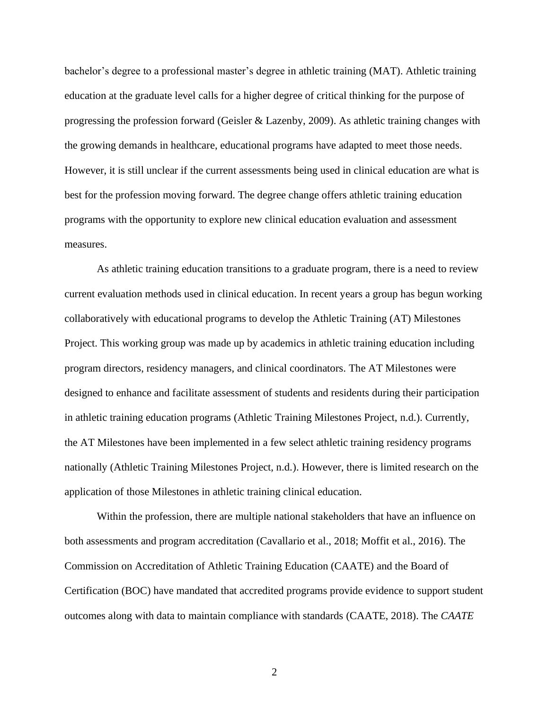bachelor's degree to a professional master's degree in athletic training (MAT). Athletic training education at the graduate level calls for a higher degree of critical thinking for the purpose of progressing the profession forward (Geisler & Lazenby, 2009). As athletic training changes with the growing demands in healthcare, educational programs have adapted to meet those needs. However, it is still unclear if the current assessments being used in clinical education are what is best for the profession moving forward. The degree change offers athletic training education programs with the opportunity to explore new clinical education evaluation and assessment measures.

As athletic training education transitions to a graduate program, there is a need to review current evaluation methods used in clinical education. In recent years a group has begun working collaboratively with educational programs to develop the Athletic Training (AT) Milestones Project. This working group was made up by academics in athletic training education including program directors, residency managers, and clinical coordinators. The AT Milestones were designed to enhance and facilitate assessment of students and residents during their participation in athletic training education programs (Athletic Training Milestones Project, n.d.). Currently, the AT Milestones have been implemented in a few select athletic training residency programs nationally (Athletic Training Milestones Project, n.d.). However, there is limited research on the application of those Milestones in athletic training clinical education.

Within the profession, there are multiple national stakeholders that have an influence on both assessments and program accreditation (Cavallario et al., 2018; Moffit et al., 2016). The Commission on Accreditation of Athletic Training Education (CAATE) and the Board of Certification (BOC) have mandated that accredited programs provide evidence to support student outcomes along with data to maintain compliance with standards (CAATE, 2018). The *CAATE*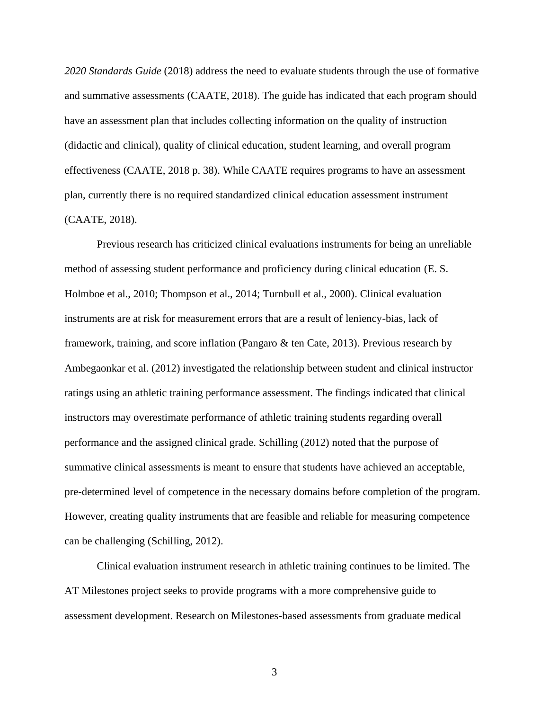*2020 Standards Guide* (2018) address the need to evaluate students through the use of formative and summative assessments (CAATE, 2018). The guide has indicated that each program should have an assessment plan that includes collecting information on the quality of instruction (didactic and clinical), quality of clinical education, student learning, and overall program effectiveness (CAATE, 2018 p. 38). While CAATE requires programs to have an assessment plan, currently there is no required standardized clinical education assessment instrument (CAATE, 2018).

Previous research has criticized clinical evaluations instruments for being an unreliable method of assessing student performance and proficiency during clinical education (E. S. Holmboe et al., 2010; Thompson et al., 2014; Turnbull et al., 2000). Clinical evaluation instruments are at risk for measurement errors that are a result of leniency-bias, lack of framework, training, and score inflation (Pangaro & ten Cate, 2013). Previous research by Ambegaonkar et al. (2012) investigated the relationship between student and clinical instructor ratings using an athletic training performance assessment. The findings indicated that clinical instructors may overestimate performance of athletic training students regarding overall performance and the assigned clinical grade. Schilling (2012) noted that the purpose of summative clinical assessments is meant to ensure that students have achieved an acceptable, pre-determined level of competence in the necessary domains before completion of the program. However, creating quality instruments that are feasible and reliable for measuring competence can be challenging (Schilling, 2012).

Clinical evaluation instrument research in athletic training continues to be limited. The AT Milestones project seeks to provide programs with a more comprehensive guide to assessment development. Research on Milestones-based assessments from graduate medical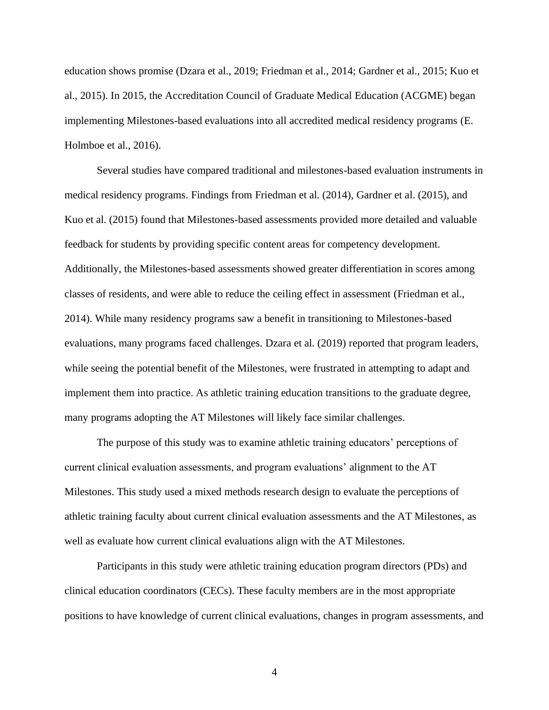education shows promise (Dzara et al., 2019; Friedman et al., 2014; Gardner et al., 2015; Kuo et al., 2015). In 2015, the Accreditation Council of Graduate Medical Education (ACGME) began implementing Milestones-based evaluations into all accredited medical residency programs (E. Holmboe et al., 2016).

Several studies have compared traditional and milestones-based evaluation instruments in medical residency programs. Findings from Friedman et al. (2014), Gardner et al. (2015), and Kuo et al. (2015) found that Milestones-based assessments provided more detailed and valuable feedback for students by providing specific content areas for competency development. Additionally, the Milestones-based assessments showed greater differentiation in scores among classes of residents, and were able to reduce the ceiling effect in assessment (Friedman et al., 2014). While many residency programs saw a benefit in transitioning to Milestones-based evaluations, many programs faced challenges. Dzara et al. (2019) reported that program leaders, while seeing the potential benefit of the Milestones, were frustrated in attempting to adapt and implement them into practice. As athletic training education transitions to the graduate degree, many programs adopting the AT Milestones will likely face similar challenges.

The purpose of this study was to examine athletic training educators' perceptions of current clinical evaluation assessments, and program evaluations' alignment to the AT Milestones. This study used a mixed methods research design to evaluate the perceptions of athletic training faculty about current clinical evaluation assessments and the AT Milestones, as well as evaluate how current clinical evaluations align with the AT Milestones.

Participants in this study were athletic training education program directors (PDs) and clinical education coordinators (CECs). These faculty members are in the most appropriate positions to have knowledge of current clinical evaluations, changes in program assessments, and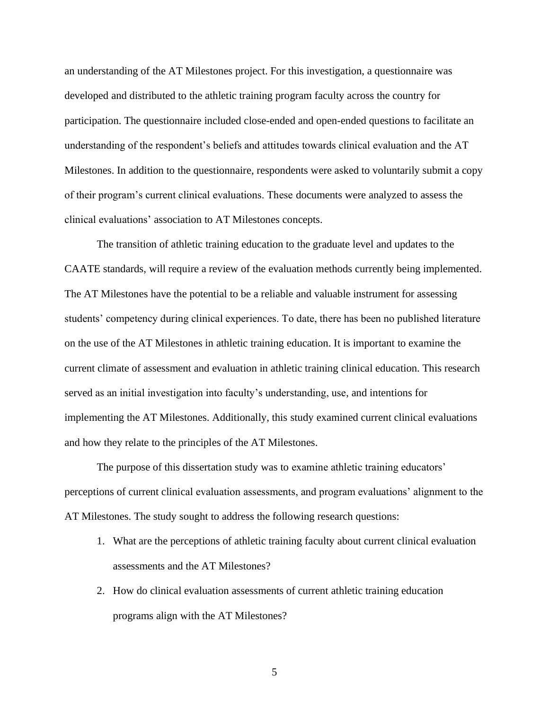an understanding of the AT Milestones project. For this investigation, a questionnaire was developed and distributed to the athletic training program faculty across the country for participation. The questionnaire included close-ended and open-ended questions to facilitate an understanding of the respondent's beliefs and attitudes towards clinical evaluation and the AT Milestones. In addition to the questionnaire, respondents were asked to voluntarily submit a copy of their program's current clinical evaluations. These documents were analyzed to assess the clinical evaluations' association to AT Milestones concepts.

The transition of athletic training education to the graduate level and updates to the CAATE standards, will require a review of the evaluation methods currently being implemented. The AT Milestones have the potential to be a reliable and valuable instrument for assessing students' competency during clinical experiences. To date, there has been no published literature on the use of the AT Milestones in athletic training education. It is important to examine the current climate of assessment and evaluation in athletic training clinical education. This research served as an initial investigation into faculty's understanding, use, and intentions for implementing the AT Milestones. Additionally, this study examined current clinical evaluations and how they relate to the principles of the AT Milestones.

The purpose of this dissertation study was to examine athletic training educators' perceptions of current clinical evaluation assessments, and program evaluations' alignment to the AT Milestones. The study sought to address the following research questions:

- 1. What are the perceptions of athletic training faculty about current clinical evaluation assessments and the AT Milestones?
- 2. How do clinical evaluation assessments of current athletic training education programs align with the AT Milestones?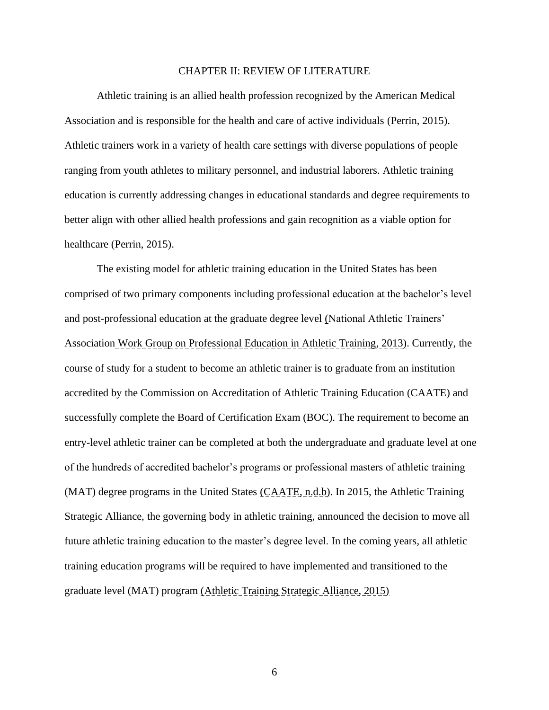#### CHAPTER II: REVIEW OF LITERATURE

Athletic training is an allied health profession recognized by the American Medical Association and is responsible for the health and care of active individuals (Perrin, 2015). Athletic trainers work in a variety of health care settings with diverse populations of people ranging from youth athletes to military personnel, and industrial laborers. Athletic training education is currently addressing changes in educational standards and degree requirements to better align with other allied health professions and gain recognition as a viable option for healthcare (Perrin, 2015).

The existing model for athletic training education in the United States has been comprised of two primary components including professional education at the bachelor's level and post-professional education at the graduate degree level (National Athletic Trainers' Association Work Group on Professional Education in Athletic Training, 2013). Currently, the course of study for a student to become an athletic trainer is to graduate from an institution accredited by the Commission on Accreditation of Athletic Training Education (CAATE) and successfully complete the Board of Certification Exam (BOC). The requirement to become an entry-level athletic trainer can be completed at both the undergraduate and graduate level at one of the hundreds of accredited bachelor's programs or professional masters of athletic training (MAT) degree programs in the United States (CAATE, n.d.b). In 2015, the Athletic Training Strategic Alliance, the governing body in athletic training, announced the decision to move all future athletic training education to the master's degree level. In the coming years, all athletic training education programs will be required to have implemented and transitioned to the graduate level (MAT) program (Athletic Training Strategic Alliance, 2015)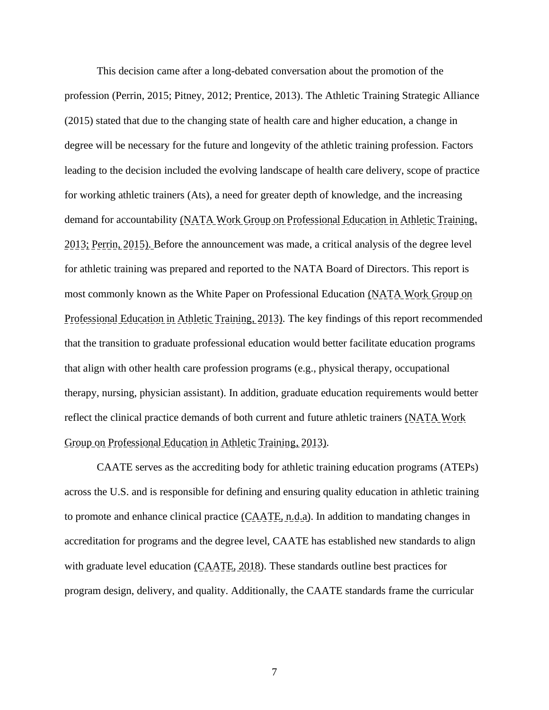This decision came after a long-debated conversation about the promotion of the profession (Perrin, 2015; Pitney, 2012; Prentice, 2013). The Athletic Training Strategic Alliance (2015) stated that due to the changing state of health care and higher education, a change in degree will be necessary for the future and longevity of the athletic training profession. Factors leading to the decision included the evolving landscape of health care delivery, scope of practice for working athletic trainers (Ats), a need for greater depth of knowledge, and the increasing demand for accountability (NATA Work Group on Professional Education in Athletic Training, 2013; Perrin, 2015). Before the announcement was made, a critical analysis of the degree level for athletic training was prepared and reported to the NATA Board of Directors. This report is most commonly known as the White Paper on Professional Education (NATA Work Group on Professional Education in Athletic Training, 2013). The key findings of this report recommended that the transition to graduate professional education would better facilitate education programs that align with other health care profession programs (e.g., physical therapy, occupational therapy, nursing, physician assistant). In addition, graduate education requirements would better reflect the clinical practice demands of both current and future athletic trainers (NATA Work Group on Professional Education in Athletic Training, 2013).

CAATE serves as the accrediting body for athletic training education programs (ATEPs) across the U.S. and is responsible for defining and ensuring quality education in athletic training to promote and enhance clinical practice  $(CAATE, n.d.a)$ . In addition to mandating changes in accreditation for programs and the degree level, CAATE has established new standards to align with graduate level education  $(CAATE, 2018)$ . These standards outline best practices for program design, delivery, and quality. Additionally, the CAATE standards frame the curricular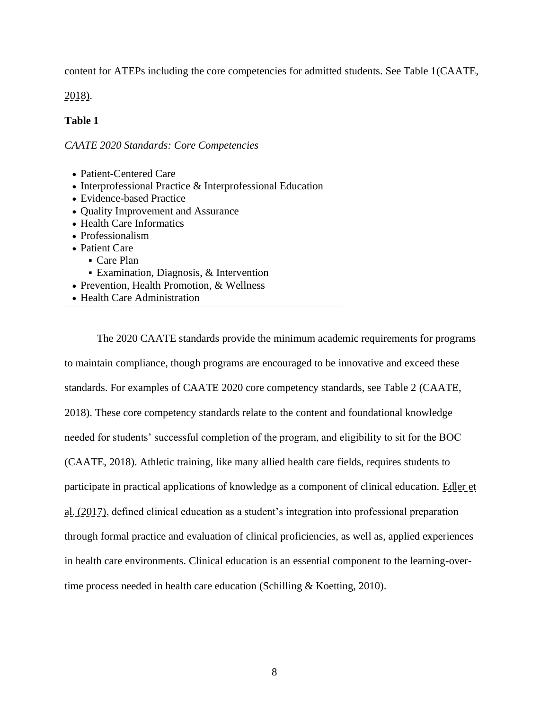content for ATEPs including the core competencies for admitted students. See Table 1(CAATE,

2018).

### **Table 1**

*CAATE 2020 Standards: Core Competencies*

- Patient-Centered Care
- Interprofessional Practice & Interprofessional Education
- Evidence-based Practice
- Quality Improvement and Assurance
- Health Care Informatics
- Professionalism
- Patient Care
	- Care Plan
	- Examination, Diagnosis, & Intervention
- Prevention, Health Promotion, & Wellness
- Health Care Administration

The 2020 CAATE standards provide the minimum academic requirements for programs to maintain compliance, though programs are encouraged to be innovative and exceed these standards. For examples of CAATE 2020 core competency standards, see Table 2 (CAATE, 2018). These core competency standards relate to the content and foundational knowledge needed for students' successful completion of the program, and eligibility to sit for the BOC (CAATE, 2018). Athletic training, like many allied health care fields, requires students to participate in practical applications of knowledge as a component of clinical education. Edler et al. (2017), defined clinical education as a student's integration into professional preparation through formal practice and evaluation of clinical proficiencies, as well as, applied experiences in health care environments. Clinical education is an essential component to the learning-overtime process needed in health care education (Schilling & Koetting, 2010).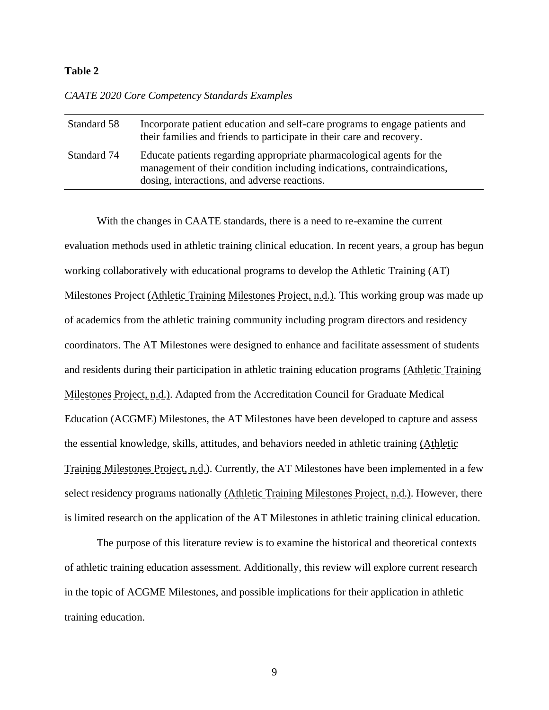#### **Table 2**

#### *CAATE 2020 Core Competency Standards Examples*

| Standard 58 | Incorporate patient education and self-care programs to engage patients and<br>their families and friends to participate in their care and recovery.                                             |
|-------------|--------------------------------------------------------------------------------------------------------------------------------------------------------------------------------------------------|
| Standard 74 | Educate patients regarding appropriate pharmacological agents for the<br>management of their condition including indications, contraindications,<br>dosing, interactions, and adverse reactions. |

With the changes in CAATE standards, there is a need to re-examine the current evaluation methods used in athletic training clinical education. In recent years, a group has begun working collaboratively with educational programs to develop the Athletic Training (AT) Milestones Project (Athletic Training Milestones Project, n.d.). This working group was made up of academics from the athletic training community including program directors and residency coordinators. The AT Milestones were designed to enhance and facilitate assessment of students and residents during their participation in athletic training education programs (Athletic Training Milestones Project, n.d.). Adapted from the Accreditation Council for Graduate Medical Education (ACGME) Milestones, the AT Milestones have been developed to capture and assess the essential knowledge, skills, attitudes, and behaviors needed in athletic training (Athletic Training Milestones Project, n.d.). Currently, the AT Milestones have been implemented in a few select residency programs nationally (Athletic Training Milestones Project, n.d.). However, there is limited research on the application of the AT Milestones in athletic training clinical education.

The purpose of this literature review is to examine the historical and theoretical contexts of athletic training education assessment. Additionally, this review will explore current research in the topic of ACGME Milestones, and possible implications for their application in athletic training education.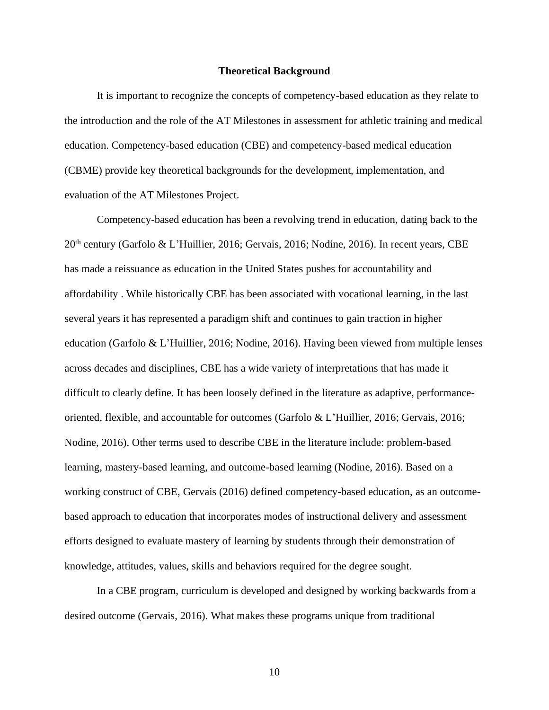#### **Theoretical Background**

It is important to recognize the concepts of competency-based education as they relate to the introduction and the role of the AT Milestones in assessment for athletic training and medical education. Competency-based education (CBE) and competency-based medical education (CBME) provide key theoretical backgrounds for the development, implementation, and evaluation of the AT Milestones Project.

Competency-based education has been a revolving trend in education, dating back to the 20th century (Garfolo & L'Huillier, 2016; Gervais, 2016; Nodine, 2016). In recent years, CBE has made a reissuance as education in the United States pushes for accountability and affordability . While historically CBE has been associated with vocational learning, in the last several years it has represented a paradigm shift and continues to gain traction in higher education (Garfolo & L'Huillier, 2016; Nodine, 2016). Having been viewed from multiple lenses across decades and disciplines, CBE has a wide variety of interpretations that has made it difficult to clearly define. It has been loosely defined in the literature as adaptive, performanceoriented, flexible, and accountable for outcomes (Garfolo & L'Huillier, 2016; Gervais, 2016; Nodine, 2016). Other terms used to describe CBE in the literature include: problem-based learning, mastery-based learning, and outcome-based learning (Nodine, 2016). Based on a working construct of CBE, Gervais (2016) defined competency-based education, as an outcomebased approach to education that incorporates modes of instructional delivery and assessment efforts designed to evaluate mastery of learning by students through their demonstration of knowledge, attitudes, values, skills and behaviors required for the degree sought.

In a CBE program, curriculum is developed and designed by working backwards from a desired outcome (Gervais, 2016). What makes these programs unique from traditional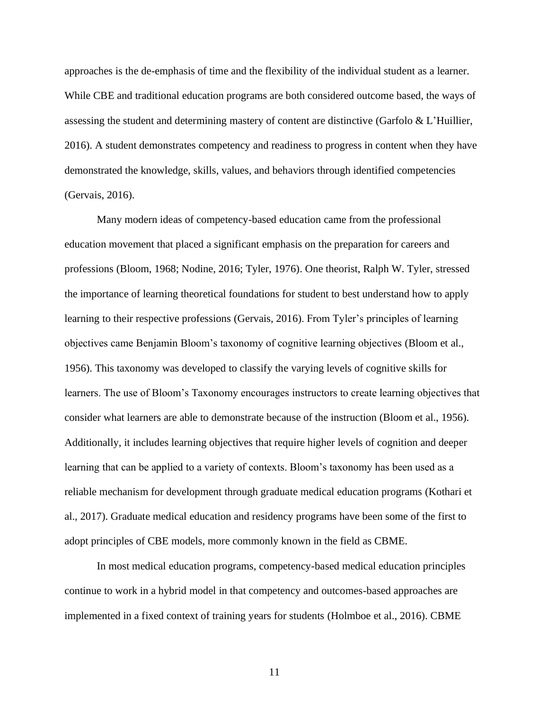approaches is the de-emphasis of time and the flexibility of the individual student as a learner. While CBE and traditional education programs are both considered outcome based, the ways of assessing the student and determining mastery of content are distinctive (Garfolo & L'Huillier, 2016). A student demonstrates competency and readiness to progress in content when they have demonstrated the knowledge, skills, values, and behaviors through identified competencies (Gervais, 2016).

Many modern ideas of competency-based education came from the professional education movement that placed a significant emphasis on the preparation for careers and professions (Bloom, 1968; Nodine, 2016; Tyler, 1976). One theorist, Ralph W. Tyler, stressed the importance of learning theoretical foundations for student to best understand how to apply learning to their respective professions (Gervais, 2016). From Tyler's principles of learning objectives came Benjamin Bloom's taxonomy of cognitive learning objectives (Bloom et al., 1956). This taxonomy was developed to classify the varying levels of cognitive skills for learners. The use of Bloom's Taxonomy encourages instructors to create learning objectives that consider what learners are able to demonstrate because of the instruction (Bloom et al., 1956). Additionally, it includes learning objectives that require higher levels of cognition and deeper learning that can be applied to a variety of contexts. Bloom's taxonomy has been used as a reliable mechanism for development through graduate medical education programs (Kothari et al., 2017). Graduate medical education and residency programs have been some of the first to adopt principles of CBE models, more commonly known in the field as CBME.

In most medical education programs, competency-based medical education principles continue to work in a hybrid model in that competency and outcomes-based approaches are implemented in a fixed context of training years for students (Holmboe et al., 2016). CBME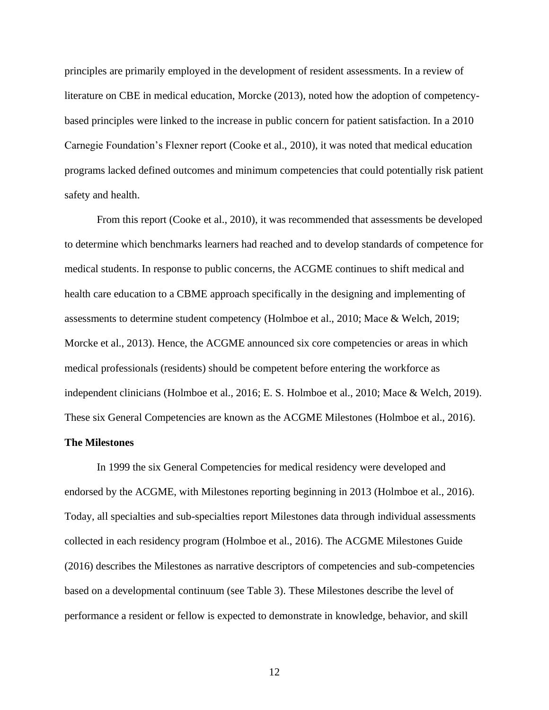principles are primarily employed in the development of resident assessments. In a review of literature on CBE in medical education, Morcke (2013), noted how the adoption of competencybased principles were linked to the increase in public concern for patient satisfaction. In a 2010 Carnegie Foundation's Flexner report (Cooke et al., 2010), it was noted that medical education programs lacked defined outcomes and minimum competencies that could potentially risk patient safety and health.

From this report (Cooke et al., 2010), it was recommended that assessments be developed to determine which benchmarks learners had reached and to develop standards of competence for medical students. In response to public concerns, the ACGME continues to shift medical and health care education to a CBME approach specifically in the designing and implementing of assessments to determine student competency (Holmboe et al., 2010; Mace & Welch, 2019; Morcke et al., 2013). Hence, the ACGME announced six core competencies or areas in which medical professionals (residents) should be competent before entering the workforce as independent clinicians (Holmboe et al., 2016; E. S. Holmboe et al., 2010; Mace & Welch, 2019). These six General Competencies are known as the ACGME Milestones (Holmboe et al., 2016).

#### **The Milestones**

In 1999 the six General Competencies for medical residency were developed and endorsed by the ACGME, with Milestones reporting beginning in 2013 (Holmboe et al., 2016). Today, all specialties and sub-specialties report Milestones data through individual assessments collected in each residency program (Holmboe et al., 2016). The ACGME Milestones Guide (2016) describes the Milestones as narrative descriptors of competencies and sub-competencies based on a developmental continuum (see Table 3). These Milestones describe the level of performance a resident or fellow is expected to demonstrate in knowledge, behavior, and skill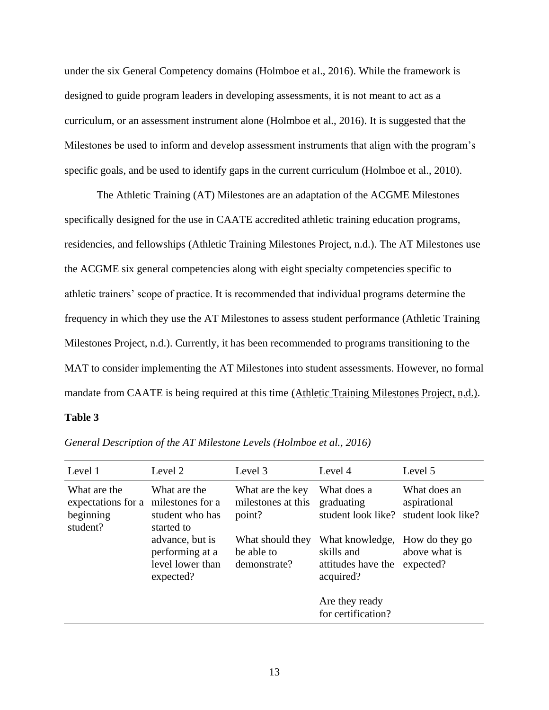under the six General Competency domains (Holmboe et al., 2016). While the framework is designed to guide program leaders in developing assessments, it is not meant to act as a curriculum, or an assessment instrument alone (Holmboe et al., 2016). It is suggested that the Milestones be used to inform and develop assessment instruments that align with the program's specific goals, and be used to identify gaps in the current curriculum (Holmboe et al., 2010).

The Athletic Training (AT) Milestones are an adaptation of the ACGME Milestones specifically designed for the use in CAATE accredited athletic training education programs, residencies, and fellowships (Athletic Training Milestones Project, n.d.). The AT Milestones use the ACGME six general competencies along with eight specialty competencies specific to athletic trainers' scope of practice. It is recommended that individual programs determine the frequency in which they use the AT Milestones to assess student performance (Athletic Training Milestones Project, n.d.). Currently, it has been recommended to programs transitioning to the MAT to consider implementing the AT Milestones into student assessments. However, no formal mandate from CAATE is being required at this time (Athletic Training Milestones Project, n.d.).

#### **Table 3**

| Level 1                                                     | Level 2                                                             | Level 3                                          | Level 4                                                          | Level 5                                            |
|-------------------------------------------------------------|---------------------------------------------------------------------|--------------------------------------------------|------------------------------------------------------------------|----------------------------------------------------|
| What are the<br>expectations for a<br>beginning<br>student? | What are the<br>milestones for a<br>student who has<br>started to   | What are the key<br>milestones at this<br>point? | What does a<br>graduating<br>student look like?                  | What does an<br>aspirational<br>student look like? |
|                                                             | advance, but is<br>performing at a<br>level lower than<br>expected? | What should they<br>be able to<br>demonstrate?   | What knowledge,<br>skills and<br>attitudes have the<br>acquired? | How do they go<br>above what is<br>expected?       |
|                                                             |                                                                     |                                                  | Are they ready<br>for certification?                             |                                                    |

*General Description of the AT Milestone Levels (Holmboe et al., 2016)*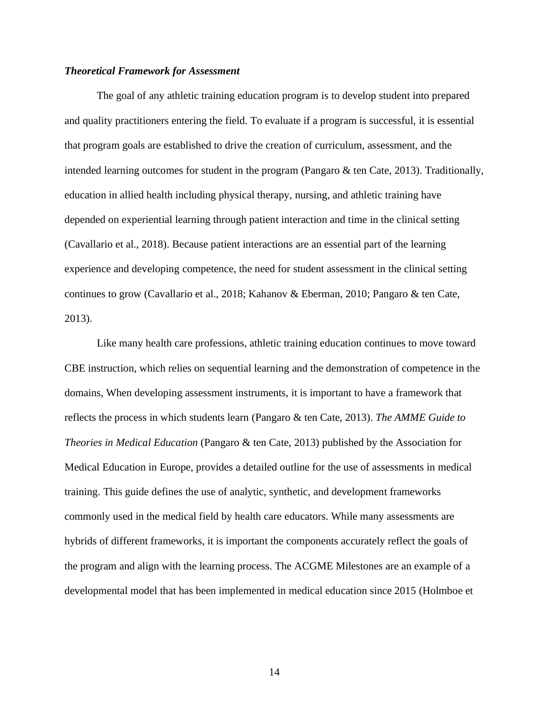#### *Theoretical Framework for Assessment*

The goal of any athletic training education program is to develop student into prepared and quality practitioners entering the field. To evaluate if a program is successful, it is essential that program goals are established to drive the creation of curriculum, assessment, and the intended learning outcomes for student in the program (Pangaro & ten Cate, 2013). Traditionally, education in allied health including physical therapy, nursing, and athletic training have depended on experiential learning through patient interaction and time in the clinical setting (Cavallario et al., 2018). Because patient interactions are an essential part of the learning experience and developing competence, the need for student assessment in the clinical setting continues to grow (Cavallario et al., 2018; Kahanov & Eberman, 2010; Pangaro & ten Cate, 2013).

Like many health care professions, athletic training education continues to move toward CBE instruction, which relies on sequential learning and the demonstration of competence in the domains, When developing assessment instruments, it is important to have a framework that reflects the process in which students learn (Pangaro & ten Cate, 2013). *The AMME Guide to Theories in Medical Education* (Pangaro & ten Cate, 2013) published by the Association for Medical Education in Europe, provides a detailed outline for the use of assessments in medical training. This guide defines the use of analytic, synthetic, and development frameworks commonly used in the medical field by health care educators. While many assessments are hybrids of different frameworks, it is important the components accurately reflect the goals of the program and align with the learning process. The ACGME Milestones are an example of a developmental model that has been implemented in medical education since 2015 (Holmboe et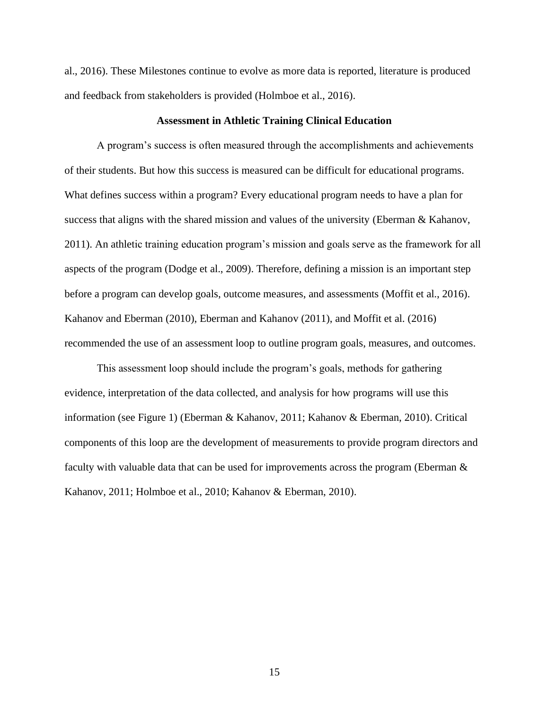al., 2016). These Milestones continue to evolve as more data is reported, literature is produced and feedback from stakeholders is provided (Holmboe et al., 2016).

#### **Assessment in Athletic Training Clinical Education**

A program's success is often measured through the accomplishments and achievements of their students. But how this success is measured can be difficult for educational programs. What defines success within a program? Every educational program needs to have a plan for success that aligns with the shared mission and values of the university (Eberman & Kahanov, 2011). An athletic training education program's mission and goals serve as the framework for all aspects of the program (Dodge et al., 2009). Therefore, defining a mission is an important step before a program can develop goals, outcome measures, and assessments (Moffit et al., 2016). Kahanov and Eberman (2010), Eberman and Kahanov (2011), and Moffit et al. (2016) recommended the use of an assessment loop to outline program goals, measures, and outcomes.

This assessment loop should include the program's goals, methods for gathering evidence, interpretation of the data collected, and analysis for how programs will use this information (see Figure 1) (Eberman & Kahanov, 2011; Kahanov & Eberman, 2010). Critical components of this loop are the development of measurements to provide program directors and faculty with valuable data that can be used for improvements across the program (Eberman & Kahanov, 2011; Holmboe et al., 2010; Kahanov & Eberman, 2010).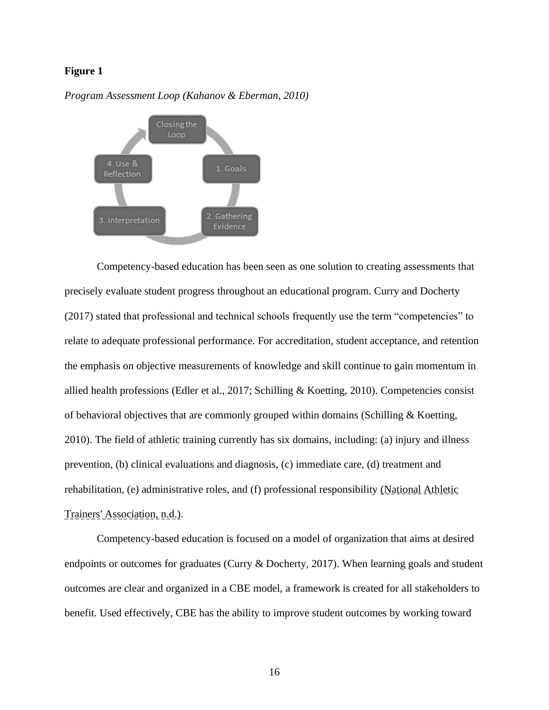#### **Figure 1**



*Program Assessment Loop (Kahanov & Eberman, 2010)*

Competency-based education has been seen as one solution to creating assessments that precisely evaluate student progress throughout an educational program. Curry and Docherty (2017) stated that professional and technical schools frequently use the term "competencies" to relate to adequate professional performance. For accreditation, student acceptance, and retention the emphasis on objective measurements of knowledge and skill continue to gain momentum in allied health professions (Edler et al., 2017; Schilling & Koetting, 2010). Competencies consist of behavioral objectives that are commonly grouped within domains (Schilling & Koetting, 2010). The field of athletic training currently has six domains, including: (a) injury and illness prevention, (b) clinical evaluations and diagnosis, (c) immediate care, (d) treatment and rehabilitation, (e) administrative roles, and (f) professional responsibility (National Athletic Trainers' Association, n.d.).

Competency-based education is focused on a model of organization that aims at desired endpoints or outcomes for graduates (Curry & Docherty, 2017). When learning goals and student outcomes are clear and organized in a CBE model, a framework is created for all stakeholders to benefit. Used effectively, CBE has the ability to improve student outcomes by working toward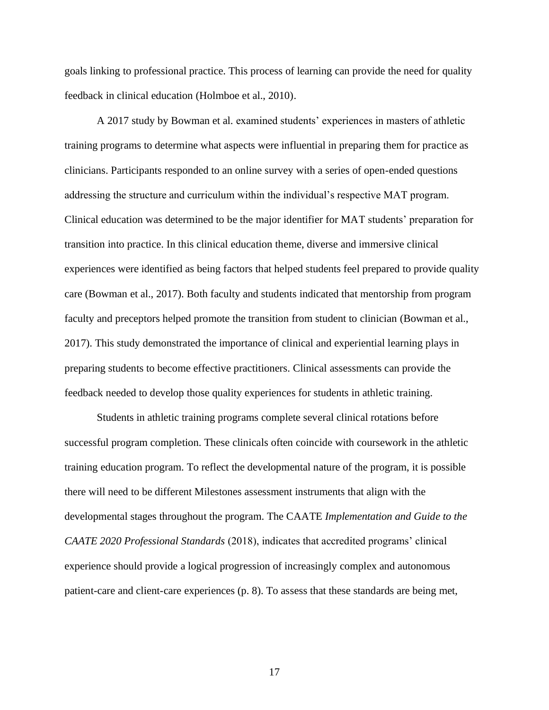goals linking to professional practice. This process of learning can provide the need for quality feedback in clinical education (Holmboe et al., 2010).

A 2017 study by Bowman et al. examined students' experiences in masters of athletic training programs to determine what aspects were influential in preparing them for practice as clinicians. Participants responded to an online survey with a series of open-ended questions addressing the structure and curriculum within the individual's respective MAT program. Clinical education was determined to be the major identifier for MAT students' preparation for transition into practice. In this clinical education theme, diverse and immersive clinical experiences were identified as being factors that helped students feel prepared to provide quality care (Bowman et al., 2017). Both faculty and students indicated that mentorship from program faculty and preceptors helped promote the transition from student to clinician (Bowman et al., 2017). This study demonstrated the importance of clinical and experiential learning plays in preparing students to become effective practitioners. Clinical assessments can provide the feedback needed to develop those quality experiences for students in athletic training.

Students in athletic training programs complete several clinical rotations before successful program completion. These clinicals often coincide with coursework in the athletic training education program. To reflect the developmental nature of the program, it is possible there will need to be different Milestones assessment instruments that align with the developmental stages throughout the program. The CAATE *Implementation and Guide to the CAATE 2020 Professional Standards* (2018), indicates that accredited programs' clinical experience should provide a logical progression of increasingly complex and autonomous patient-care and client-care experiences (p. 8). To assess that these standards are being met,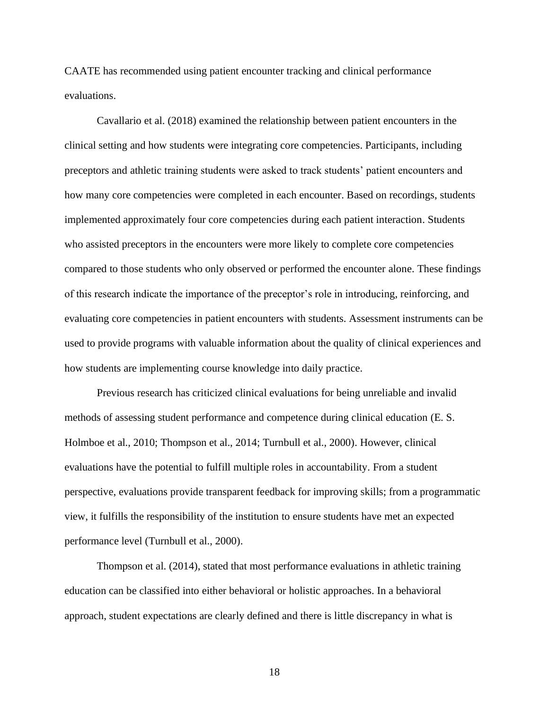CAATE has recommended using patient encounter tracking and clinical performance evaluations.

Cavallario et al. (2018) examined the relationship between patient encounters in the clinical setting and how students were integrating core competencies. Participants, including preceptors and athletic training students were asked to track students' patient encounters and how many core competencies were completed in each encounter. Based on recordings, students implemented approximately four core competencies during each patient interaction. Students who assisted preceptors in the encounters were more likely to complete core competencies compared to those students who only observed or performed the encounter alone. These findings of this research indicate the importance of the preceptor's role in introducing, reinforcing, and evaluating core competencies in patient encounters with students. Assessment instruments can be used to provide programs with valuable information about the quality of clinical experiences and how students are implementing course knowledge into daily practice.

Previous research has criticized clinical evaluations for being unreliable and invalid methods of assessing student performance and competence during clinical education (E. S. Holmboe et al., 2010; Thompson et al., 2014; Turnbull et al., 2000). However, clinical evaluations have the potential to fulfill multiple roles in accountability. From a student perspective, evaluations provide transparent feedback for improving skills; from a programmatic view, it fulfills the responsibility of the institution to ensure students have met an expected performance level (Turnbull et al., 2000).

Thompson et al. (2014), stated that most performance evaluations in athletic training education can be classified into either behavioral or holistic approaches. In a behavioral approach, student expectations are clearly defined and there is little discrepancy in what is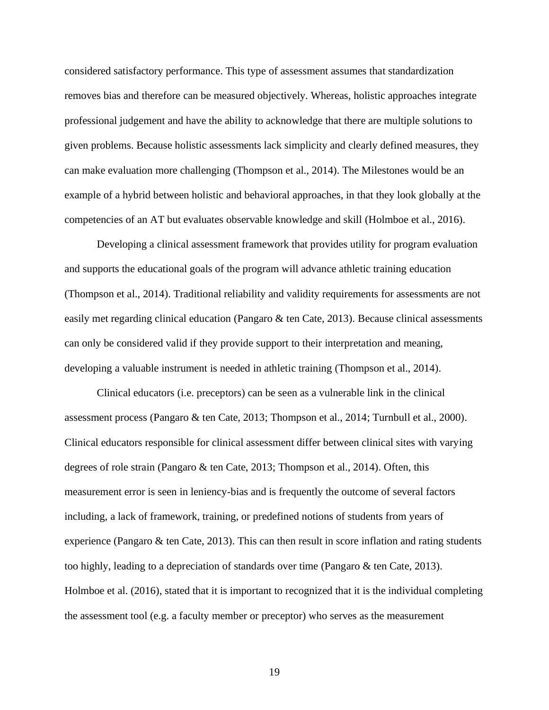considered satisfactory performance. This type of assessment assumes that standardization removes bias and therefore can be measured objectively. Whereas, holistic approaches integrate professional judgement and have the ability to acknowledge that there are multiple solutions to given problems. Because holistic assessments lack simplicity and clearly defined measures, they can make evaluation more challenging (Thompson et al., 2014). The Milestones would be an example of a hybrid between holistic and behavioral approaches, in that they look globally at the competencies of an AT but evaluates observable knowledge and skill (Holmboe et al., 2016).

Developing a clinical assessment framework that provides utility for program evaluation and supports the educational goals of the program will advance athletic training education (Thompson et al., 2014). Traditional reliability and validity requirements for assessments are not easily met regarding clinical education (Pangaro & ten Cate, 2013). Because clinical assessments can only be considered valid if they provide support to their interpretation and meaning, developing a valuable instrument is needed in athletic training (Thompson et al., 2014).

Clinical educators (i.e. preceptors) can be seen as a vulnerable link in the clinical assessment process (Pangaro & ten Cate, 2013; Thompson et al., 2014; Turnbull et al., 2000). Clinical educators responsible for clinical assessment differ between clinical sites with varying degrees of role strain (Pangaro & ten Cate, 2013; Thompson et al., 2014). Often, this measurement error is seen in leniency-bias and is frequently the outcome of several factors including, a lack of framework, training, or predefined notions of students from years of experience (Pangaro  $\&$  ten Cate, 2013). This can then result in score inflation and rating students too highly, leading to a depreciation of standards over time (Pangaro & ten Cate, 2013). Holmboe et al. (2016), stated that it is important to recognized that it is the individual completing the assessment tool (e.g. a faculty member or preceptor) who serves as the measurement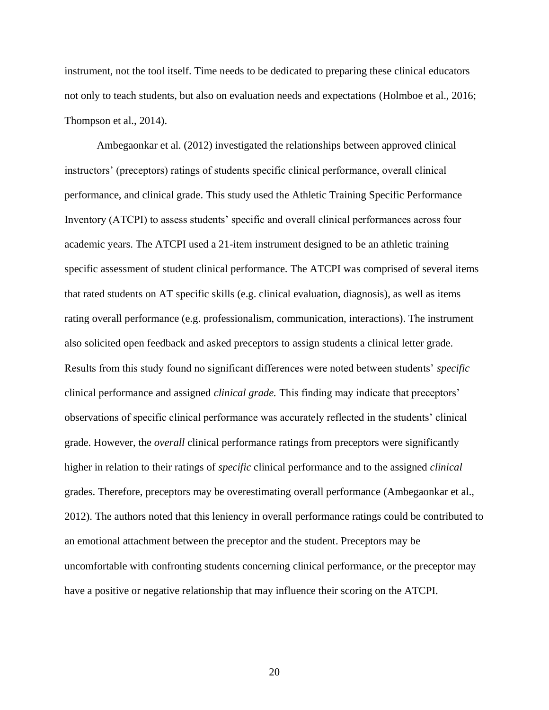instrument, not the tool itself. Time needs to be dedicated to preparing these clinical educators not only to teach students, but also on evaluation needs and expectations (Holmboe et al., 2016; Thompson et al., 2014).

Ambegaonkar et al. (2012) investigated the relationships between approved clinical instructors' (preceptors) ratings of students specific clinical performance, overall clinical performance, and clinical grade. This study used the Athletic Training Specific Performance Inventory (ATCPI) to assess students' specific and overall clinical performances across four academic years. The ATCPI used a 21-item instrument designed to be an athletic training specific assessment of student clinical performance. The ATCPI was comprised of several items that rated students on AT specific skills (e.g. clinical evaluation, diagnosis), as well as items rating overall performance (e.g. professionalism, communication, interactions). The instrument also solicited open feedback and asked preceptors to assign students a clinical letter grade. Results from this study found no significant differences were noted between students' *specific* clinical performance and assigned *clinical grade.* This finding may indicate that preceptors' observations of specific clinical performance was accurately reflected in the students' clinical grade. However, the *overall* clinical performance ratings from preceptors were significantly higher in relation to their ratings of *specific* clinical performance and to the assigned *clinical*  grades. Therefore, preceptors may be overestimating overall performance (Ambegaonkar et al., 2012). The authors noted that this leniency in overall performance ratings could be contributed to an emotional attachment between the preceptor and the student. Preceptors may be uncomfortable with confronting students concerning clinical performance, or the preceptor may have a positive or negative relationship that may influence their scoring on the ATCPI.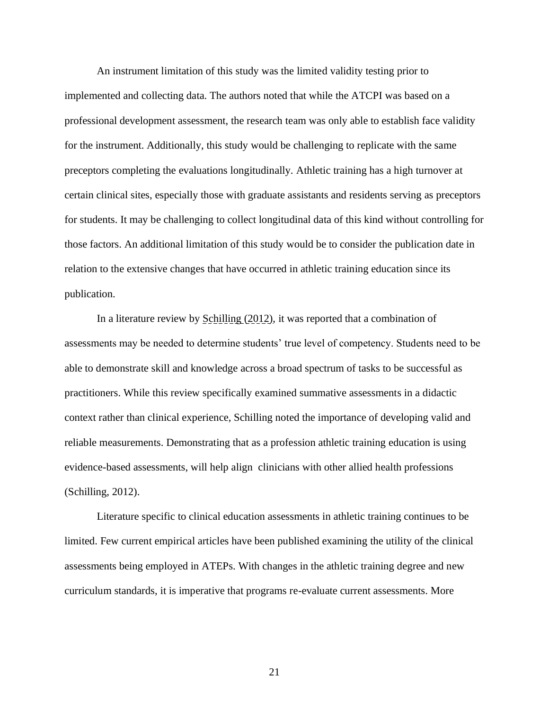An instrument limitation of this study was the limited validity testing prior to implemented and collecting data. The authors noted that while the ATCPI was based on a professional development assessment, the research team was only able to establish face validity for the instrument. Additionally, this study would be challenging to replicate with the same preceptors completing the evaluations longitudinally. Athletic training has a high turnover at certain clinical sites, especially those with graduate assistants and residents serving as preceptors for students. It may be challenging to collect longitudinal data of this kind without controlling for those factors. An additional limitation of this study would be to consider the publication date in relation to the extensive changes that have occurred in athletic training education since its publication.

In a literature review by Schilling (2012), it was reported that a combination of assessments may be needed to determine students' true level of competency. Students need to be able to demonstrate skill and knowledge across a broad spectrum of tasks to be successful as practitioners. While this review specifically examined summative assessments in a didactic context rather than clinical experience, Schilling noted the importance of developing valid and reliable measurements. Demonstrating that as a profession athletic training education is using evidence-based assessments, will help align clinicians with other allied health professions (Schilling, 2012).

Literature specific to clinical education assessments in athletic training continues to be limited. Few current empirical articles have been published examining the utility of the clinical assessments being employed in ATEPs. With changes in the athletic training degree and new curriculum standards, it is imperative that programs re-evaluate current assessments. More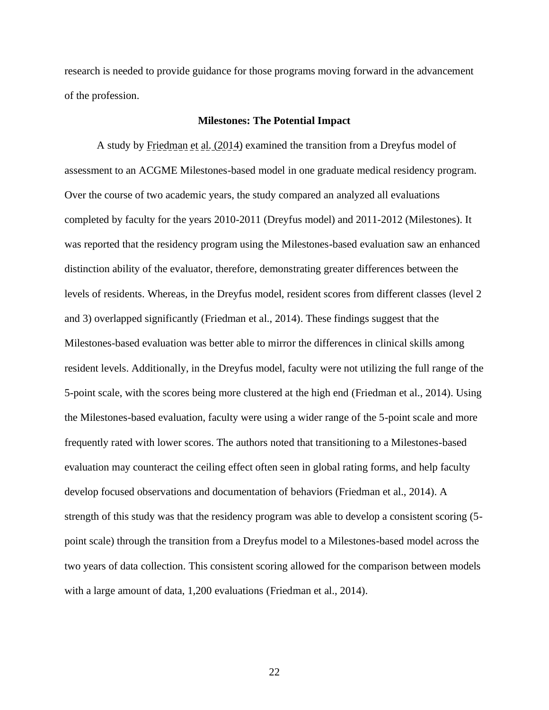research is needed to provide guidance for those programs moving forward in the advancement of the profession.

#### **Milestones: The Potential Impact**

A study by Friedman et al. (2014) examined the transition from a Dreyfus model of assessment to an ACGME Milestones-based model in one graduate medical residency program. Over the course of two academic years, the study compared an analyzed all evaluations completed by faculty for the years 2010-2011 (Dreyfus model) and 2011-2012 (Milestones). It was reported that the residency program using the Milestones-based evaluation saw an enhanced distinction ability of the evaluator, therefore, demonstrating greater differences between the levels of residents. Whereas, in the Dreyfus model, resident scores from different classes (level 2 and 3) overlapped significantly (Friedman et al., 2014). These findings suggest that the Milestones-based evaluation was better able to mirror the differences in clinical skills among resident levels. Additionally, in the Dreyfus model, faculty were not utilizing the full range of the 5-point scale, with the scores being more clustered at the high end (Friedman et al., 2014). Using the Milestones-based evaluation, faculty were using a wider range of the 5-point scale and more frequently rated with lower scores. The authors noted that transitioning to a Milestones-based evaluation may counteract the ceiling effect often seen in global rating forms, and help faculty develop focused observations and documentation of behaviors (Friedman et al., 2014). A strength of this study was that the residency program was able to develop a consistent scoring (5 point scale) through the transition from a Dreyfus model to a Milestones-based model across the two years of data collection. This consistent scoring allowed for the comparison between models with a large amount of data, 1,200 evaluations (Friedman et al., 2014).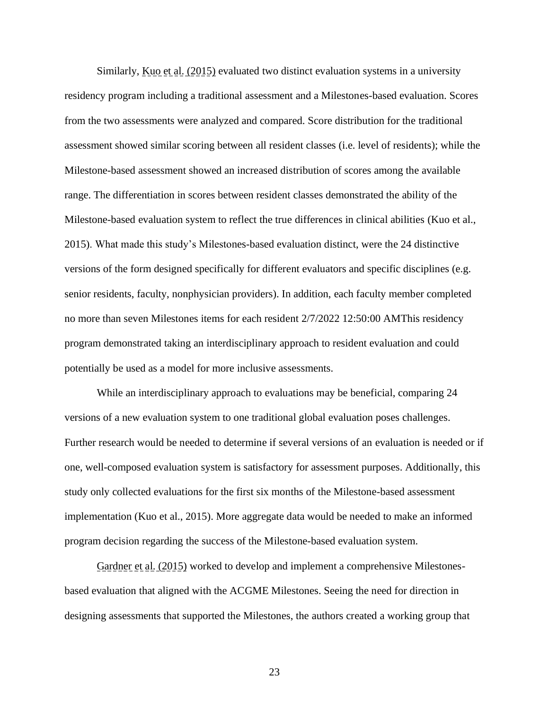Similarly, Kuo et al. (2015) evaluated two distinct evaluation systems in a university residency program including a traditional assessment and a Milestones-based evaluation. Scores from the two assessments were analyzed and compared. Score distribution for the traditional assessment showed similar scoring between all resident classes (i.e. level of residents); while the Milestone-based assessment showed an increased distribution of scores among the available range. The differentiation in scores between resident classes demonstrated the ability of the Milestone-based evaluation system to reflect the true differences in clinical abilities (Kuo et al., 2015). What made this study's Milestones-based evaluation distinct, were the 24 distinctive versions of the form designed specifically for different evaluators and specific disciplines (e.g. senior residents, faculty, nonphysician providers). In addition, each faculty member completed no more than seven Milestones items for each resident 2/7/2022 12:50:00 AMThis residency program demonstrated taking an interdisciplinary approach to resident evaluation and could potentially be used as a model for more inclusive assessments.

While an interdisciplinary approach to evaluations may be beneficial, comparing 24 versions of a new evaluation system to one traditional global evaluation poses challenges. Further research would be needed to determine if several versions of an evaluation is needed or if one, well-composed evaluation system is satisfactory for assessment purposes. Additionally, this study only collected evaluations for the first six months of the Milestone-based assessment implementation (Kuo et al., 2015). More aggregate data would be needed to make an informed program decision regarding the success of the Milestone-based evaluation system.

Gardner et al. (2015) worked to develop and implement a comprehensive Milestonesbased evaluation that aligned with the ACGME Milestones. Seeing the need for direction in designing assessments that supported the Milestones, the authors created a working group that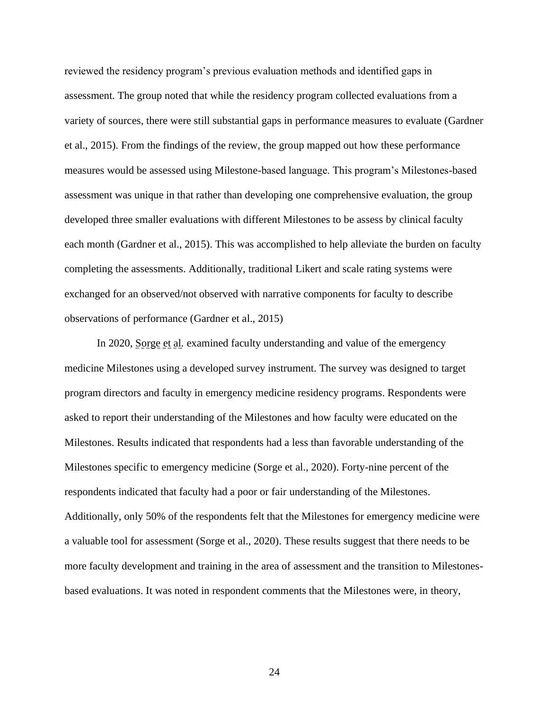reviewed the residency program's previous evaluation methods and identified gaps in assessment. The group noted that while the residency program collected evaluations from a variety of sources, there were still substantial gaps in performance measures to evaluate (Gardner et al., 2015). From the findings of the review, the group mapped out how these performance measures would be assessed using Milestone-based language. This program's Milestones-based assessment was unique in that rather than developing one comprehensive evaluation, the group developed three smaller evaluations with different Milestones to be assess by clinical faculty each month (Gardner et al., 2015). This was accomplished to help alleviate the burden on faculty completing the assessments. Additionally, traditional Likert and scale rating systems were exchanged for an observed/not observed with narrative components for faculty to describe observations of performance (Gardner et al., 2015)

In 2020, Sorge et al. examined faculty understanding and value of the emergency medicine Milestones using a developed survey instrument. The survey was designed to target program directors and faculty in emergency medicine residency programs. Respondents were asked to report their understanding of the Milestones and how faculty were educated on the Milestones. Results indicated that respondents had a less than favorable understanding of the Milestones specific to emergency medicine (Sorge et al., 2020). Forty-nine percent of the respondents indicated that faculty had a poor or fair understanding of the Milestones. Additionally, only 50% of the respondents felt that the Milestones for emergency medicine were a valuable tool for assessment (Sorge et al., 2020). These results suggest that there needs to be more faculty development and training in the area of assessment and the transition to Milestonesbased evaluations. It was noted in respondent comments that the Milestones were, in theory,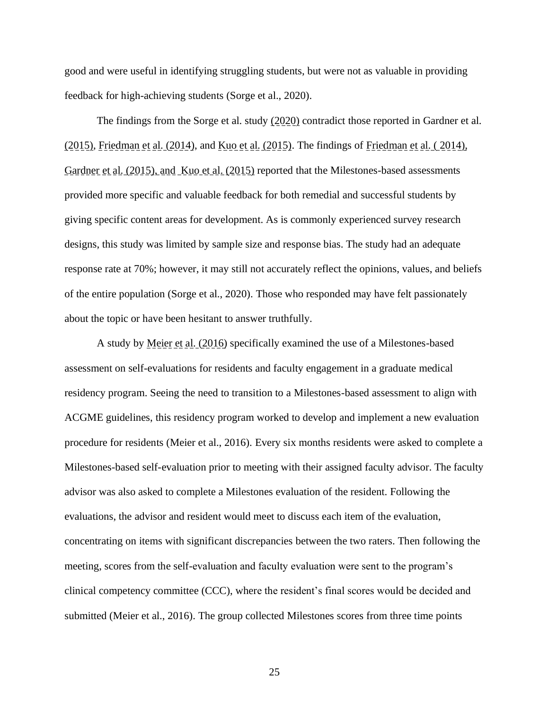good and were useful in identifying struggling students, but were not as valuable in providing feedback for high-achieving students (Sorge et al., 2020).

The findings from the Sorge et al. study  $(2020)$  contradict those reported in Gardner et al. (2015), Friedman et al. (2014), and Kuo et al. (2015). The findings of Friedman et al. ( 2014), Gardner et al. (2015), and Kuo et al. (2015) reported that the Milestones-based assessments provided more specific and valuable feedback for both remedial and successful students by giving specific content areas for development. As is commonly experienced survey research designs, this study was limited by sample size and response bias. The study had an adequate response rate at 70%; however, it may still not accurately reflect the opinions, values, and beliefs of the entire population (Sorge et al., 2020). Those who responded may have felt passionately about the topic or have been hesitant to answer truthfully.

A study by Meier et al. (2016) specifically examined the use of a Milestones-based assessment on self-evaluations for residents and faculty engagement in a graduate medical residency program. Seeing the need to transition to a Milestones-based assessment to align with ACGME guidelines, this residency program worked to develop and implement a new evaluation procedure for residents (Meier et al., 2016). Every six months residents were asked to complete a Milestones-based self-evaluation prior to meeting with their assigned faculty advisor. The faculty advisor was also asked to complete a Milestones evaluation of the resident. Following the evaluations, the advisor and resident would meet to discuss each item of the evaluation, concentrating on items with significant discrepancies between the two raters. Then following the meeting, scores from the self-evaluation and faculty evaluation were sent to the program's clinical competency committee (CCC), where the resident's final scores would be decided and submitted (Meier et al., 2016). The group collected Milestones scores from three time points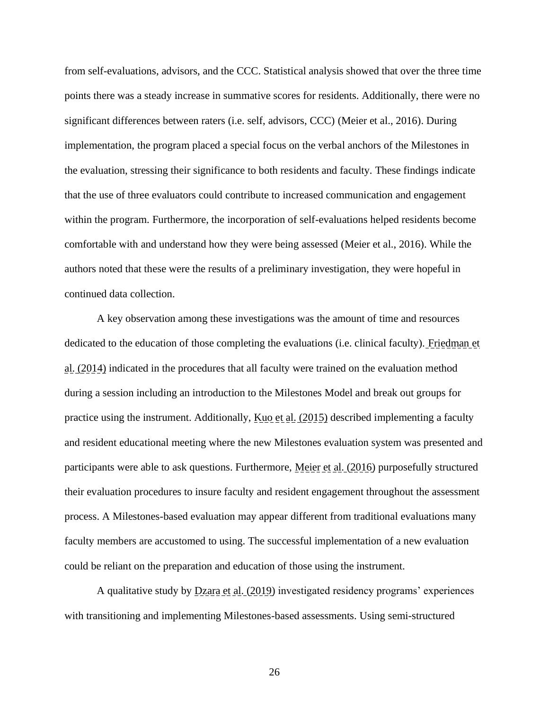from self-evaluations, advisors, and the CCC. Statistical analysis showed that over the three time points there was a steady increase in summative scores for residents. Additionally, there were no significant differences between raters (i.e. self, advisors, CCC) (Meier et al., 2016). During implementation, the program placed a special focus on the verbal anchors of the Milestones in the evaluation, stressing their significance to both residents and faculty. These findings indicate that the use of three evaluators could contribute to increased communication and engagement within the program. Furthermore, the incorporation of self-evaluations helped residents become comfortable with and understand how they were being assessed (Meier et al., 2016). While the authors noted that these were the results of a preliminary investigation, they were hopeful in continued data collection.

A key observation among these investigations was the amount of time and resources dedicated to the education of those completing the evaluations (i.e. clinical faculty). Friedman et al. (2014) indicated in the procedures that all faculty were trained on the evaluation method during a session including an introduction to the Milestones Model and break out groups for practice using the instrument. Additionally, Kuo et al. (2015) described implementing a faculty and resident educational meeting where the new Milestones evaluation system was presented and participants were able to ask questions. Furthermore, Meier et al. (2016) purposefully structured their evaluation procedures to insure faculty and resident engagement throughout the assessment process. A Milestones-based evaluation may appear different from traditional evaluations many faculty members are accustomed to using. The successful implementation of a new evaluation could be reliant on the preparation and education of those using the instrument.

A qualitative study by **Dzara et al.** (2019) investigated residency programs' experiences with transitioning and implementing Milestones-based assessments. Using semi-structured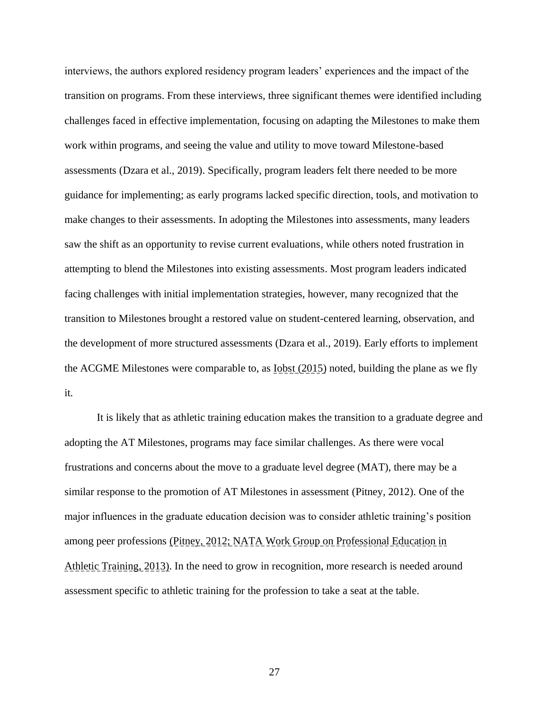interviews, the authors explored residency program leaders' experiences and the impact of the transition on programs. From these interviews, three significant themes were identified including challenges faced in effective implementation, focusing on adapting the Milestones to make them work within programs, and seeing the value and utility to move toward Milestone-based assessments (Dzara et al., 2019). Specifically, program leaders felt there needed to be more guidance for implementing; as early programs lacked specific direction, tools, and motivation to make changes to their assessments. In adopting the Milestones into assessments, many leaders saw the shift as an opportunity to revise current evaluations, while others noted frustration in attempting to blend the Milestones into existing assessments. Most program leaders indicated facing challenges with initial implementation strategies, however, many recognized that the transition to Milestones brought a restored value on student-centered learning, observation, and the development of more structured assessments (Dzara et al., 2019). Early efforts to implement the ACGME Milestones were comparable to, as  $I_{\text{obst}}(2015)$  noted, building the plane as we fly it.

It is likely that as athletic training education makes the transition to a graduate degree and adopting the AT Milestones, programs may face similar challenges. As there were vocal frustrations and concerns about the move to a graduate level degree (MAT), there may be a similar response to the promotion of AT Milestones in assessment (Pitney, 2012). One of the major influences in the graduate education decision was to consider athletic training's position among peer professions (Pitney, 2012; NATA Work Group on Professional Education in Athletic Training, 2013). In the need to grow in recognition, more research is needed around assessment specific to athletic training for the profession to take a seat at the table.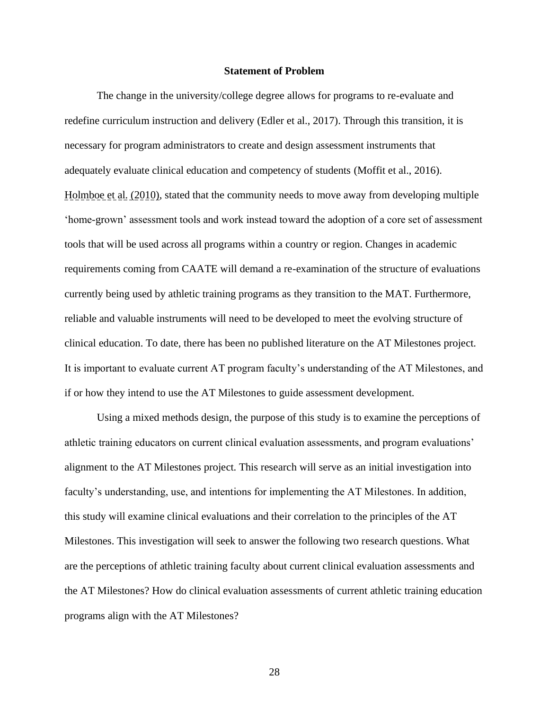#### **Statement of Problem**

The change in the university/college degree allows for programs to re-evaluate and redefine curriculum instruction and delivery (Edler et al., 2017). Through this transition, it is necessary for program administrators to create and design assessment instruments that adequately evaluate clinical education and competency of students (Moffit et al., 2016). Holmboe et al. (2010), stated that the community needs to move away from developing multiple 'home-grown' assessment tools and work instead toward the adoption of a core set of assessment tools that will be used across all programs within a country or region. Changes in academic requirements coming from CAATE will demand a re-examination of the structure of evaluations currently being used by athletic training programs as they transition to the MAT. Furthermore, reliable and valuable instruments will need to be developed to meet the evolving structure of clinical education. To date, there has been no published literature on the AT Milestones project. It is important to evaluate current AT program faculty's understanding of the AT Milestones, and if or how they intend to use the AT Milestones to guide assessment development.

Using a mixed methods design, the purpose of this study is to examine the perceptions of athletic training educators on current clinical evaluation assessments, and program evaluations' alignment to the AT Milestones project. This research will serve as an initial investigation into faculty's understanding, use, and intentions for implementing the AT Milestones. In addition, this study will examine clinical evaluations and their correlation to the principles of the AT Milestones. This investigation will seek to answer the following two research questions. What are the perceptions of athletic training faculty about current clinical evaluation assessments and the AT Milestones? How do clinical evaluation assessments of current athletic training education programs align with the AT Milestones?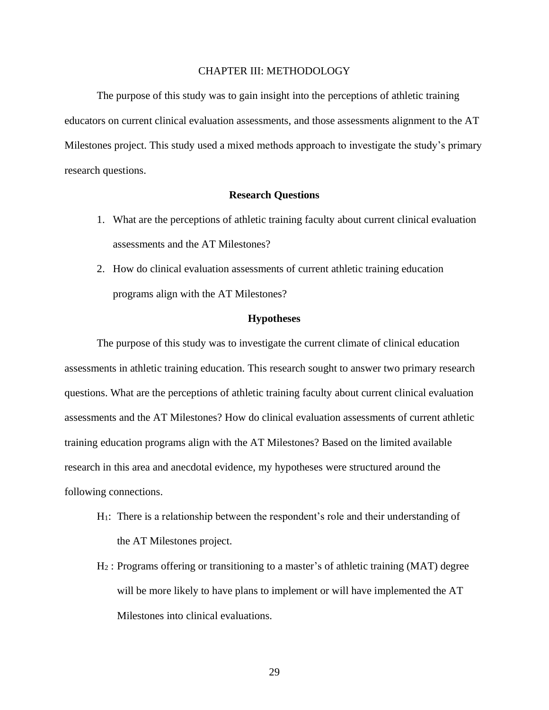#### CHAPTER III: METHODOLOGY

The purpose of this study was to gain insight into the perceptions of athletic training educators on current clinical evaluation assessments, and those assessments alignment to the AT Milestones project. This study used a mixed methods approach to investigate the study's primary research questions.

### **Research Questions**

- 1. What are the perceptions of athletic training faculty about current clinical evaluation assessments and the AT Milestones?
- 2. How do clinical evaluation assessments of current athletic training education programs align with the AT Milestones?

#### **Hypotheses**

The purpose of this study was to investigate the current climate of clinical education assessments in athletic training education. This research sought to answer two primary research questions. What are the perceptions of athletic training faculty about current clinical evaluation assessments and the AT Milestones? How do clinical evaluation assessments of current athletic training education programs align with the AT Milestones? Based on the limited available research in this area and anecdotal evidence, my hypotheses were structured around the following connections.

- H1: There is a relationship between the respondent's role and their understanding of the AT Milestones project.
- H<sup>2</sup> : Programs offering or transitioning to a master's of athletic training (MAT) degree will be more likely to have plans to implement or will have implemented the AT Milestones into clinical evaluations.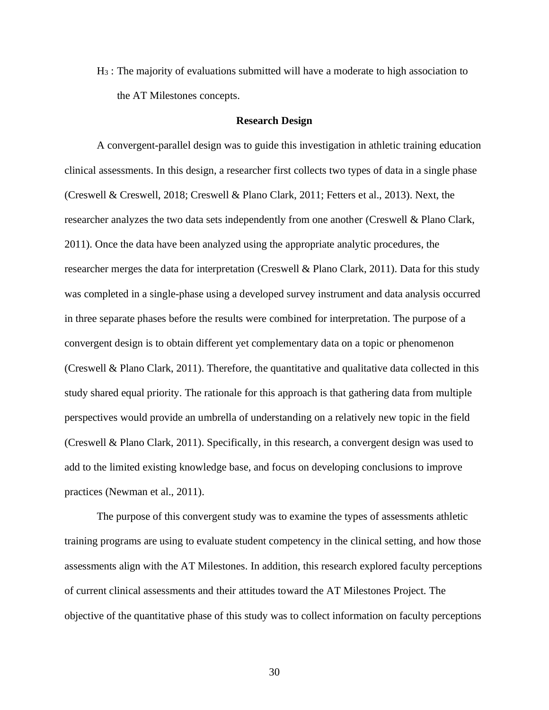H<sup>3</sup> : The majority of evaluations submitted will have a moderate to high association to the AT Milestones concepts.

#### **Research Design**

A convergent-parallel design was to guide this investigation in athletic training education clinical assessments. In this design, a researcher first collects two types of data in a single phase (Creswell & Creswell, 2018; Creswell & Plano Clark, 2011; Fetters et al., 2013). Next, the researcher analyzes the two data sets independently from one another (Creswell & Plano Clark, 2011). Once the data have been analyzed using the appropriate analytic procedures, the researcher merges the data for interpretation (Creswell & Plano Clark, 2011). Data for this study was completed in a single-phase using a developed survey instrument and data analysis occurred in three separate phases before the results were combined for interpretation. The purpose of a convergent design is to obtain different yet complementary data on a topic or phenomenon (Creswell & Plano Clark, 2011). Therefore, the quantitative and qualitative data collected in this study shared equal priority. The rationale for this approach is that gathering data from multiple perspectives would provide an umbrella of understanding on a relatively new topic in the field (Creswell & Plano Clark, 2011). Specifically, in this research, a convergent design was used to add to the limited existing knowledge base, and focus on developing conclusions to improve practices (Newman et al., 2011).

The purpose of this convergent study was to examine the types of assessments athletic training programs are using to evaluate student competency in the clinical setting, and how those assessments align with the AT Milestones. In addition, this research explored faculty perceptions of current clinical assessments and their attitudes toward the AT Milestones Project. The objective of the quantitative phase of this study was to collect information on faculty perceptions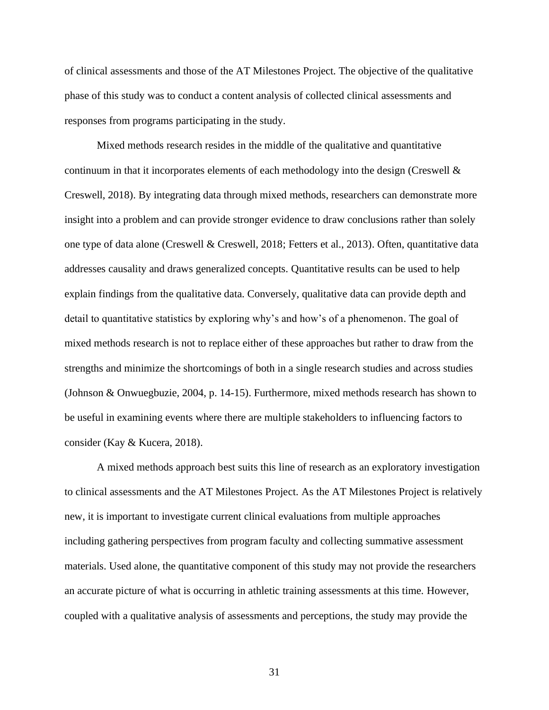of clinical assessments and those of the AT Milestones Project. The objective of the qualitative phase of this study was to conduct a content analysis of collected clinical assessments and responses from programs participating in the study.

Mixed methods research resides in the middle of the qualitative and quantitative continuum in that it incorporates elements of each methodology into the design (Creswell & Creswell, 2018). By integrating data through mixed methods, researchers can demonstrate more insight into a problem and can provide stronger evidence to draw conclusions rather than solely one type of data alone (Creswell & Creswell, 2018; Fetters et al., 2013). Often, quantitative data addresses causality and draws generalized concepts. Quantitative results can be used to help explain findings from the qualitative data. Conversely, qualitative data can provide depth and detail to quantitative statistics by exploring why's and how's of a phenomenon. The goal of mixed methods research is not to replace either of these approaches but rather to draw from the strengths and minimize the shortcomings of both in a single research studies and across studies (Johnson & Onwuegbuzie, 2004, p. 14-15). Furthermore, mixed methods research has shown to be useful in examining events where there are multiple stakeholders to influencing factors to consider (Kay & Kucera, 2018).

A mixed methods approach best suits this line of research as an exploratory investigation to clinical assessments and the AT Milestones Project. As the AT Milestones Project is relatively new, it is important to investigate current clinical evaluations from multiple approaches including gathering perspectives from program faculty and collecting summative assessment materials. Used alone, the quantitative component of this study may not provide the researchers an accurate picture of what is occurring in athletic training assessments at this time. However, coupled with a qualitative analysis of assessments and perceptions, the study may provide the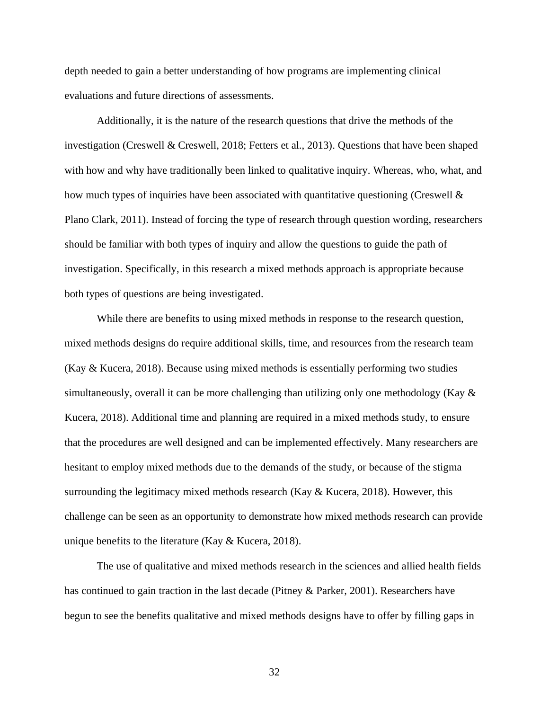depth needed to gain a better understanding of how programs are implementing clinical evaluations and future directions of assessments.

Additionally, it is the nature of the research questions that drive the methods of the investigation (Creswell & Creswell, 2018; Fetters et al., 2013). Questions that have been shaped with how and why have traditionally been linked to qualitative inquiry. Whereas, who, what, and how much types of inquiries have been associated with quantitative questioning (Creswell  $\&$ Plano Clark, 2011). Instead of forcing the type of research through question wording, researchers should be familiar with both types of inquiry and allow the questions to guide the path of investigation. Specifically, in this research a mixed methods approach is appropriate because both types of questions are being investigated.

While there are benefits to using mixed methods in response to the research question, mixed methods designs do require additional skills, time, and resources from the research team (Kay & Kucera, 2018). Because using mixed methods is essentially performing two studies simultaneously, overall it can be more challenging than utilizing only one methodology (Kay & Kucera, 2018). Additional time and planning are required in a mixed methods study, to ensure that the procedures are well designed and can be implemented effectively. Many researchers are hesitant to employ mixed methods due to the demands of the study, or because of the stigma surrounding the legitimacy mixed methods research (Kay & Kucera, 2018). However, this challenge can be seen as an opportunity to demonstrate how mixed methods research can provide unique benefits to the literature (Kay & Kucera, 2018).

The use of qualitative and mixed methods research in the sciences and allied health fields has continued to gain traction in the last decade (Pitney & Parker, 2001). Researchers have begun to see the benefits qualitative and mixed methods designs have to offer by filling gaps in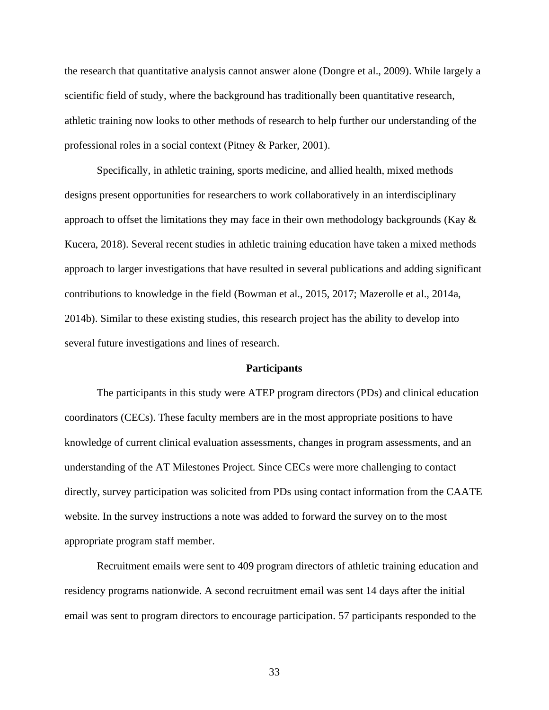the research that quantitative analysis cannot answer alone (Dongre et al., 2009). While largely a scientific field of study, where the background has traditionally been quantitative research, athletic training now looks to other methods of research to help further our understanding of the professional roles in a social context (Pitney & Parker, 2001).

Specifically, in athletic training, sports medicine, and allied health, mixed methods designs present opportunities for researchers to work collaboratively in an interdisciplinary approach to offset the limitations they may face in their own methodology backgrounds (Kay  $\&$ Kucera, 2018). Several recent studies in athletic training education have taken a mixed methods approach to larger investigations that have resulted in several publications and adding significant contributions to knowledge in the field (Bowman et al., 2015, 2017; Mazerolle et al., 2014a, 2014b). Similar to these existing studies, this research project has the ability to develop into several future investigations and lines of research.

#### **Participants**

The participants in this study were ATEP program directors (PDs) and clinical education coordinators (CECs). These faculty members are in the most appropriate positions to have knowledge of current clinical evaluation assessments, changes in program assessments, and an understanding of the AT Milestones Project. Since CECs were more challenging to contact directly, survey participation was solicited from PDs using contact information from the CAATE website. In the survey instructions a note was added to forward the survey on to the most appropriate program staff member.

Recruitment emails were sent to 409 program directors of athletic training education and residency programs nationwide. A second recruitment email was sent 14 days after the initial email was sent to program directors to encourage participation. 57 participants responded to the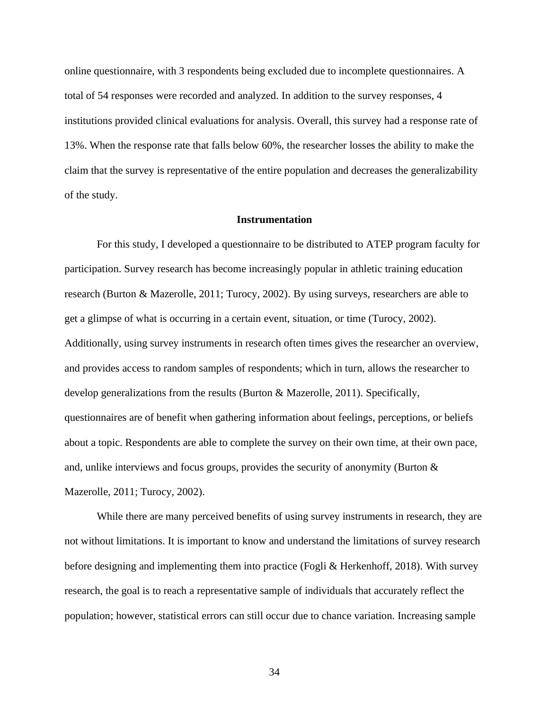online questionnaire, with 3 respondents being excluded due to incomplete questionnaires. A total of 54 responses were recorded and analyzed. In addition to the survey responses, 4 institutions provided clinical evaluations for analysis. Overall, this survey had a response rate of 13%. When the response rate that falls below 60%, the researcher losses the ability to make the claim that the survey is representative of the entire population and decreases the generalizability of the study.

#### **Instrumentation**

For this study, I developed a questionnaire to be distributed to ATEP program faculty for participation. Survey research has become increasingly popular in athletic training education research (Burton & Mazerolle, 2011; Turocy, 2002). By using surveys, researchers are able to get a glimpse of what is occurring in a certain event, situation, or time (Turocy, 2002). Additionally, using survey instruments in research often times gives the researcher an overview, and provides access to random samples of respondents; which in turn, allows the researcher to develop generalizations from the results (Burton & Mazerolle, 2011). Specifically, questionnaires are of benefit when gathering information about feelings, perceptions, or beliefs about a topic. Respondents are able to complete the survey on their own time, at their own pace, and, unlike interviews and focus groups, provides the security of anonymity (Burton & Mazerolle, 2011; Turocy, 2002).

While there are many perceived benefits of using survey instruments in research, they are not without limitations. It is important to know and understand the limitations of survey research before designing and implementing them into practice (Fogli & Herkenhoff, 2018). With survey research, the goal is to reach a representative sample of individuals that accurately reflect the population; however, statistical errors can still occur due to chance variation. Increasing sample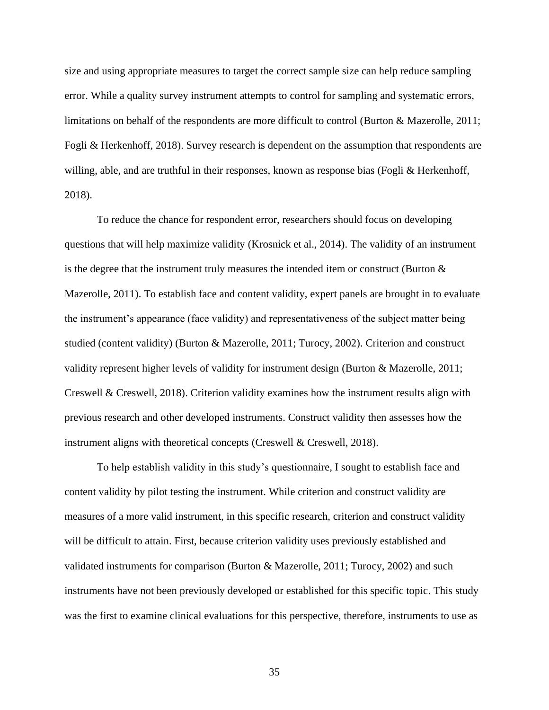size and using appropriate measures to target the correct sample size can help reduce sampling error. While a quality survey instrument attempts to control for sampling and systematic errors, limitations on behalf of the respondents are more difficult to control (Burton & Mazerolle, 2011; Fogli & Herkenhoff, 2018). Survey research is dependent on the assumption that respondents are willing, able, and are truthful in their responses, known as response bias (Fogli & Herkenhoff, 2018).

To reduce the chance for respondent error, researchers should focus on developing questions that will help maximize validity (Krosnick et al., 2014). The validity of an instrument is the degree that the instrument truly measures the intended item or construct (Burton  $\&$ Mazerolle, 2011). To establish face and content validity, expert panels are brought in to evaluate the instrument's appearance (face validity) and representativeness of the subject matter being studied (content validity) (Burton & Mazerolle, 2011; Turocy, 2002). Criterion and construct validity represent higher levels of validity for instrument design (Burton & Mazerolle, 2011; Creswell & Creswell, 2018). Criterion validity examines how the instrument results align with previous research and other developed instruments. Construct validity then assesses how the instrument aligns with theoretical concepts (Creswell & Creswell, 2018).

To help establish validity in this study's questionnaire, I sought to establish face and content validity by pilot testing the instrument. While criterion and construct validity are measures of a more valid instrument, in this specific research, criterion and construct validity will be difficult to attain. First, because criterion validity uses previously established and validated instruments for comparison (Burton & Mazerolle, 2011; Turocy, 2002) and such instruments have not been previously developed or established for this specific topic. This study was the first to examine clinical evaluations for this perspective, therefore, instruments to use as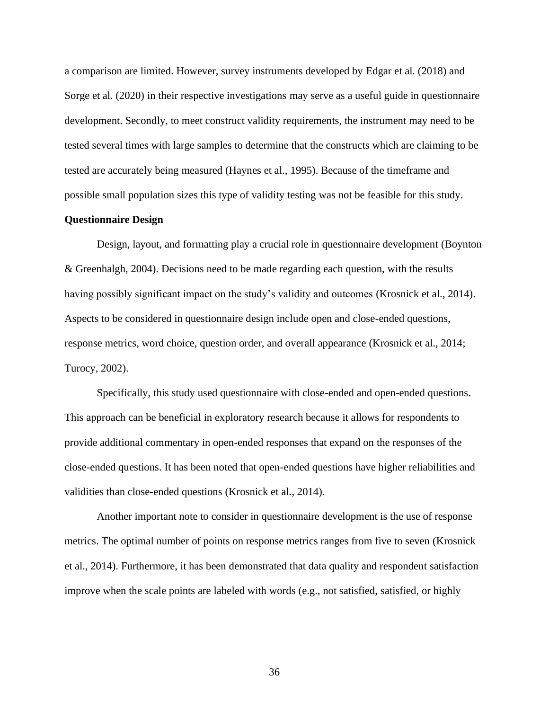a comparison are limited. However, survey instruments developed by Edgar et al. (2018) and Sorge et al. (2020) in their respective investigations may serve as a useful guide in questionnaire development. Secondly, to meet construct validity requirements, the instrument may need to be tested several times with large samples to determine that the constructs which are claiming to be tested are accurately being measured (Haynes et al., 1995). Because of the timeframe and possible small population sizes this type of validity testing was not be feasible for this study.

#### **Questionnaire Design**

Design, layout, and formatting play a crucial role in questionnaire development (Boynton & Greenhalgh, 2004). Decisions need to be made regarding each question, with the results having possibly significant impact on the study's validity and outcomes (Krosnick et al., 2014). Aspects to be considered in questionnaire design include open and close-ended questions, response metrics, word choice, question order, and overall appearance (Krosnick et al., 2014; Turocy, 2002).

Specifically, this study used questionnaire with close-ended and open-ended questions. This approach can be beneficial in exploratory research because it allows for respondents to provide additional commentary in open-ended responses that expand on the responses of the close-ended questions. It has been noted that open-ended questions have higher reliabilities and validities than close-ended questions (Krosnick et al., 2014).

Another important note to consider in questionnaire development is the use of response metrics. The optimal number of points on response metrics ranges from five to seven (Krosnick et al., 2014). Furthermore, it has been demonstrated that data quality and respondent satisfaction improve when the scale points are labeled with words (e.g., not satisfied, satisfied, or highly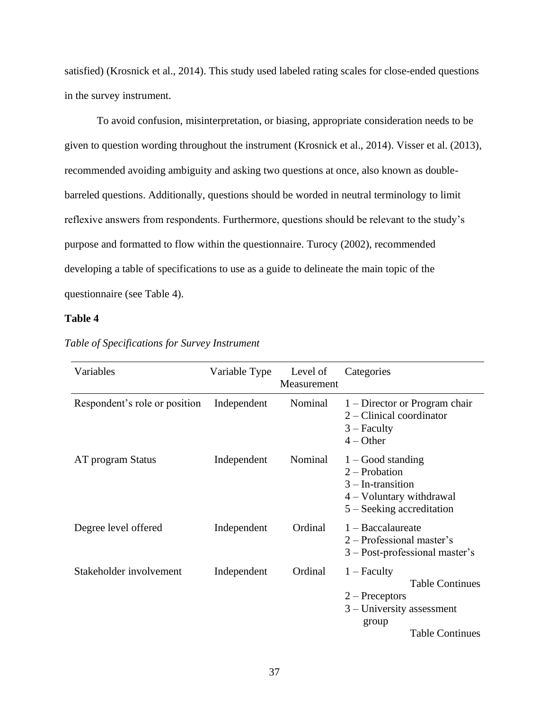satisfied) (Krosnick et al., 2014). This study used labeled rating scales for close-ended questions in the survey instrument.

To avoid confusion, misinterpretation, or biasing, appropriate consideration needs to be given to question wording throughout the instrument (Krosnick et al., 2014). Visser et al. (2013), recommended avoiding ambiguity and asking two questions at once, also known as doublebarreled questions. Additionally, questions should be worded in neutral terminology to limit reflexive answers from respondents. Furthermore, questions should be relevant to the study's purpose and formatted to flow within the questionnaire. Turocy (2002), recommended developing a table of specifications to use as a guide to delineate the main topic of the questionnaire (see Table 4).

## **Table 4**

| Variables                     | Variable Type | Level of<br>Measurement | Categories                                                                                                                    |
|-------------------------------|---------------|-------------------------|-------------------------------------------------------------------------------------------------------------------------------|
| Respondent's role or position | Independent   | Nominal                 | $1 -$ Director or Program chair<br>$2$ – Clinical coordinator<br>$3 -$ Faculty<br>$4 - Other$                                 |
| AT program Status             | Independent   | Nominal                 | $1 - Good$ standing<br>$2 -$ Probation<br>$3 - In-transition$<br>$4 -$ Voluntary withdrawal<br>$5 -$ Seeking accreditation    |
| Degree level offered          | Independent   | Ordinal                 | $1 -$ Baccalaureate<br>$2$ – Professional master's<br>$3 - Post-professional master's$                                        |
| Stakeholder involvement       | Independent   | Ordinal                 | $1 -$ Faculty<br><b>Table Continues</b><br>$2 - Preceptors$<br>$3$ – University assessment<br>group<br><b>Table Continues</b> |

*Table of Specifications for Survey Instrument*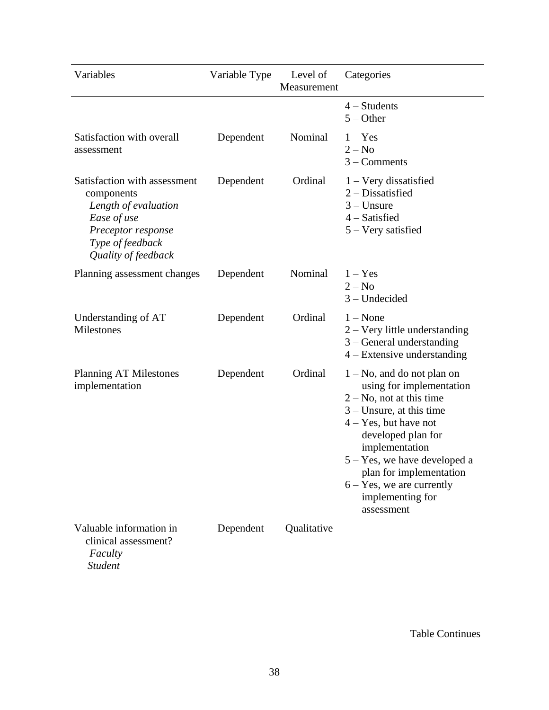| Variables                                                                                                                                          | Variable Type | Level of<br>Measurement | Categories                                                                                                                                                                                                                                                                                                                 |
|----------------------------------------------------------------------------------------------------------------------------------------------------|---------------|-------------------------|----------------------------------------------------------------------------------------------------------------------------------------------------------------------------------------------------------------------------------------------------------------------------------------------------------------------------|
|                                                                                                                                                    |               |                         | $4 - Students$<br>$5 - Other$                                                                                                                                                                                                                                                                                              |
| Satisfaction with overall<br>assessment                                                                                                            | Dependent     | Nominal                 | $1 - Yes$<br>$2 - No$<br>$3$ – Comments                                                                                                                                                                                                                                                                                    |
| Satisfaction with assessment<br>components<br>Length of evaluation<br>Ease of use<br>Preceptor response<br>Type of feedback<br>Quality of feedback | Dependent     | Ordinal                 | $1 -$ Very dissatisfied<br>$2$ – Dissatisfied<br>$3 -$ Unsure<br>$4$ – Satisfied<br>5 – Very satisfied                                                                                                                                                                                                                     |
| Planning assessment changes                                                                                                                        | Dependent     | Nominal                 | $1 - Yes$<br>$2 - No$<br>$3 - Undecided$                                                                                                                                                                                                                                                                                   |
| Understanding of AT<br>Milestones                                                                                                                  | Dependent     | Ordinal                 | $1 - None$<br>$2 -$ Very little understanding<br>$3 - General$ understanding<br>$4 -$ Extensive understanding                                                                                                                                                                                                              |
| <b>Planning AT Milestones</b><br>implementation                                                                                                    | Dependent     | Ordinal                 | $1 - No$ , and do not plan on<br>using for implementation<br>$2 - No$ , not at this time<br>$3$ – Unsure, at this time<br>$4 - Yes$ , but have not<br>developed plan for<br>implementation<br>$5 - Yes$ , we have developed a<br>plan for implementation<br>$6 - Yes$ , we are currently<br>implementing for<br>assessment |
| Valuable information in<br>clinical assessment?<br>Faculty<br><b>Student</b>                                                                       | Dependent     | Qualitative             |                                                                                                                                                                                                                                                                                                                            |

Table Continues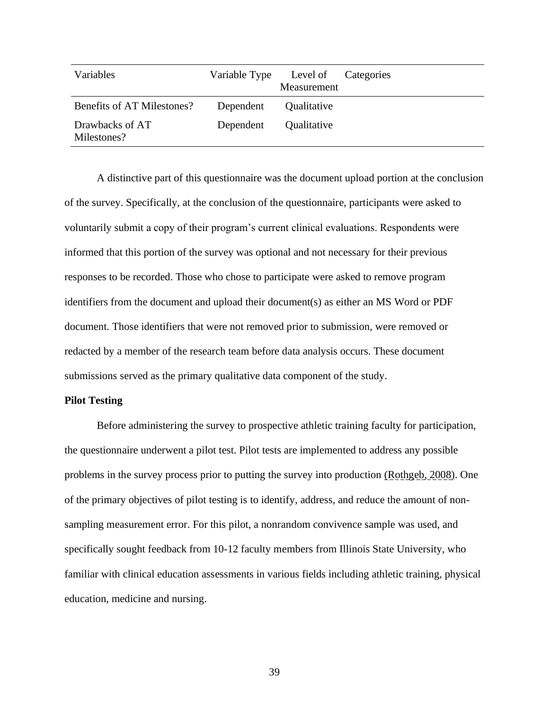| Variables                      |           | Variable Type Level of Categories<br>Measurement |  |
|--------------------------------|-----------|--------------------------------------------------|--|
| Benefits of AT Milestones?     | Dependent | Qualitative                                      |  |
| Drawbacks of AT<br>Milestones? | Dependent | Qualitative                                      |  |

A distinctive part of this questionnaire was the document upload portion at the conclusion of the survey. Specifically, at the conclusion of the questionnaire, participants were asked to voluntarily submit a copy of their program's current clinical evaluations. Respondents were informed that this portion of the survey was optional and not necessary for their previous responses to be recorded. Those who chose to participate were asked to remove program identifiers from the document and upload their document(s) as either an MS Word or PDF document. Those identifiers that were not removed prior to submission, were removed or redacted by a member of the research team before data analysis occurs. These document submissions served as the primary qualitative data component of the study.

#### **Pilot Testing**

Before administering the survey to prospective athletic training faculty for participation, the questionnaire underwent a pilot test. Pilot tests are implemented to address any possible problems in the survey process prior to putting the survey into production (Rothgeb, 2008). One of the primary objectives of pilot testing is to identify, address, and reduce the amount of nonsampling measurement error. For this pilot, a nonrandom convivence sample was used, and specifically sought feedback from 10-12 faculty members from Illinois State University, who familiar with clinical education assessments in various fields including athletic training, physical education, medicine and nursing.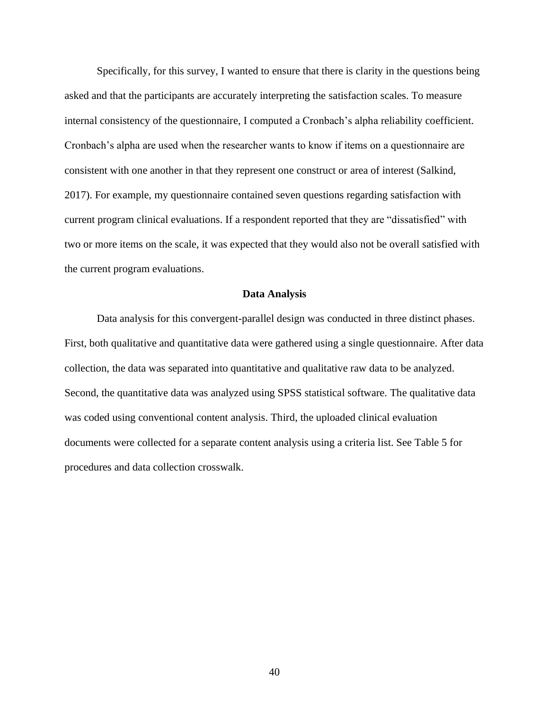Specifically, for this survey, I wanted to ensure that there is clarity in the questions being asked and that the participants are accurately interpreting the satisfaction scales. To measure internal consistency of the questionnaire, I computed a Cronbach's alpha reliability coefficient. Cronbach's alpha are used when the researcher wants to know if items on a questionnaire are consistent with one another in that they represent one construct or area of interest (Salkind, 2017). For example, my questionnaire contained seven questions regarding satisfaction with current program clinical evaluations. If a respondent reported that they are "dissatisfied" with two or more items on the scale, it was expected that they would also not be overall satisfied with the current program evaluations.

#### **Data Analysis**

Data analysis for this convergent-parallel design was conducted in three distinct phases. First, both qualitative and quantitative data were gathered using a single questionnaire. After data collection, the data was separated into quantitative and qualitative raw data to be analyzed. Second, the quantitative data was analyzed using SPSS statistical software. The qualitative data was coded using conventional content analysis. Third, the uploaded clinical evaluation documents were collected for a separate content analysis using a criteria list. See Table 5 for procedures and data collection crosswalk.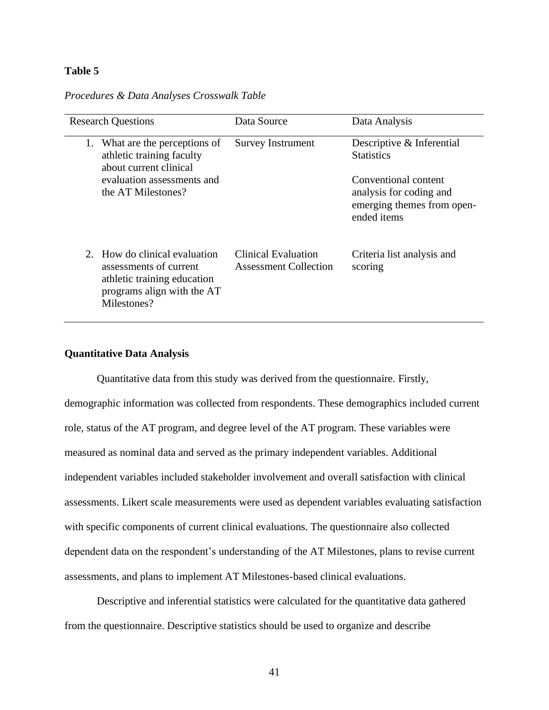## **Table 5**

#### *Procedures & Data Analyses Crosswalk Table*

| <b>Research Questions</b>                                                                                                              | Data Source                                                | Data Analysis                                                                                       |  |
|----------------------------------------------------------------------------------------------------------------------------------------|------------------------------------------------------------|-----------------------------------------------------------------------------------------------------|--|
| What are the perceptions of<br>1.<br>athletic training faculty<br>about current clinical                                               | <b>Survey Instrument</b>                                   | Descriptive & Inferential<br><b>Statistics</b>                                                      |  |
| evaluation assessments and<br>the AT Milestones?                                                                                       |                                                            | Conventional content<br>analysis for coding and<br>emerging themes from open-<br>ended <i>items</i> |  |
| How do clinical evaluation<br>2.<br>assessments of current<br>athletic training education<br>programs align with the AT<br>Milestones? | <b>Clinical Evaluation</b><br><b>Assessment Collection</b> | Criteria list analysis and<br>scoring                                                               |  |

## **Quantitative Data Analysis**

Quantitative data from this study was derived from the questionnaire. Firstly, demographic information was collected from respondents. These demographics included current role, status of the AT program, and degree level of the AT program. These variables were measured as nominal data and served as the primary independent variables. Additional independent variables included stakeholder involvement and overall satisfaction with clinical assessments. Likert scale measurements were used as dependent variables evaluating satisfaction with specific components of current clinical evaluations. The questionnaire also collected dependent data on the respondent's understanding of the AT Milestones, plans to revise current assessments, and plans to implement AT Milestones-based clinical evaluations.

Descriptive and inferential statistics were calculated for the quantitative data gathered from the questionnaire. Descriptive statistics should be used to organize and describe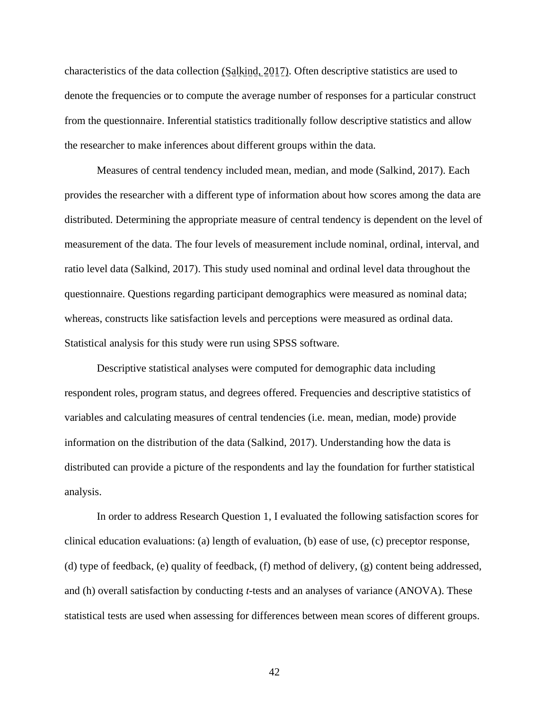characteristics of the data collection (Salkind, 2017). Often descriptive statistics are used to denote the frequencies or to compute the average number of responses for a particular construct from the questionnaire. Inferential statistics traditionally follow descriptive statistics and allow the researcher to make inferences about different groups within the data.

Measures of central tendency included mean, median, and mode (Salkind, 2017). Each provides the researcher with a different type of information about how scores among the data are distributed. Determining the appropriate measure of central tendency is dependent on the level of measurement of the data. The four levels of measurement include nominal, ordinal, interval, and ratio level data (Salkind, 2017). This study used nominal and ordinal level data throughout the questionnaire. Questions regarding participant demographics were measured as nominal data; whereas, constructs like satisfaction levels and perceptions were measured as ordinal data. Statistical analysis for this study were run using SPSS software.

Descriptive statistical analyses were computed for demographic data including respondent roles, program status, and degrees offered. Frequencies and descriptive statistics of variables and calculating measures of central tendencies (i.e. mean, median, mode) provide information on the distribution of the data (Salkind, 2017). Understanding how the data is distributed can provide a picture of the respondents and lay the foundation for further statistical analysis.

In order to address Research Question 1, I evaluated the following satisfaction scores for clinical education evaluations: (a) length of evaluation, (b) ease of use, (c) preceptor response, (d) type of feedback, (e) quality of feedback, (f) method of delivery, (g) content being addressed, and (h) overall satisfaction by conducting *t*-tests and an analyses of variance (ANOVA). These statistical tests are used when assessing for differences between mean scores of different groups.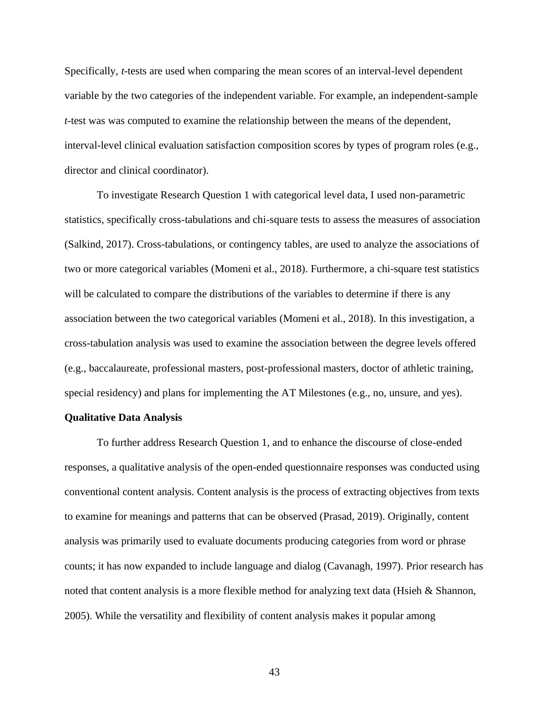Specifically, *t*-tests are used when comparing the mean scores of an interval-level dependent variable by the two categories of the independent variable. For example, an independent-sample *t*-test was was computed to examine the relationship between the means of the dependent, interval-level clinical evaluation satisfaction composition scores by types of program roles (e.g., director and clinical coordinator).

To investigate Research Question 1 with categorical level data, I used non-parametric statistics, specifically cross-tabulations and chi-square tests to assess the measures of association (Salkind, 2017). Cross-tabulations, or contingency tables, are used to analyze the associations of two or more categorical variables (Momeni et al., 2018). Furthermore, a chi-square test statistics will be calculated to compare the distributions of the variables to determine if there is any association between the two categorical variables (Momeni et al., 2018). In this investigation, a cross-tabulation analysis was used to examine the association between the degree levels offered (e.g., baccalaureate, professional masters, post-professional masters, doctor of athletic training, special residency) and plans for implementing the AT Milestones (e.g., no, unsure, and yes).

#### **Qualitative Data Analysis**

To further address Research Question 1, and to enhance the discourse of close-ended responses, a qualitative analysis of the open-ended questionnaire responses was conducted using conventional content analysis. Content analysis is the process of extracting objectives from texts to examine for meanings and patterns that can be observed (Prasad, 2019). Originally, content analysis was primarily used to evaluate documents producing categories from word or phrase counts; it has now expanded to include language and dialog (Cavanagh, 1997). Prior research has noted that content analysis is a more flexible method for analyzing text data (Hsieh & Shannon, 2005). While the versatility and flexibility of content analysis makes it popular among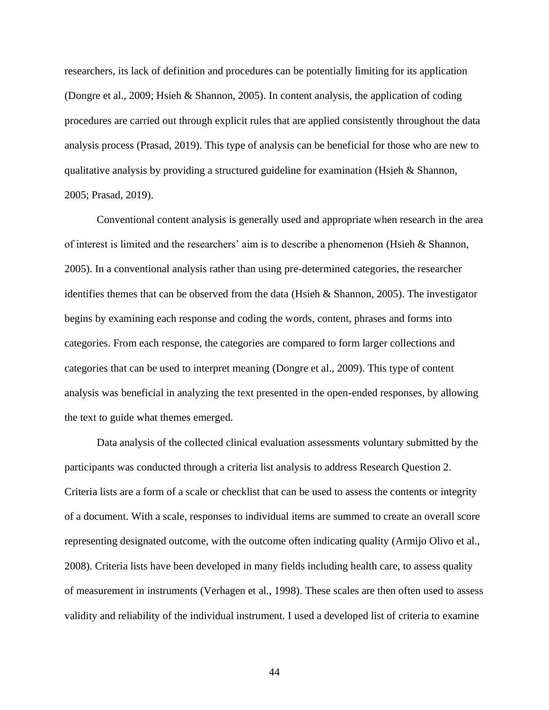researchers, its lack of definition and procedures can be potentially limiting for its application (Dongre et al., 2009; Hsieh & Shannon, 2005). In content analysis, the application of coding procedures are carried out through explicit rules that are applied consistently throughout the data analysis process (Prasad, 2019). This type of analysis can be beneficial for those who are new to qualitative analysis by providing a structured guideline for examination (Hsieh & Shannon, 2005; Prasad, 2019).

Conventional content analysis is generally used and appropriate when research in the area of interest is limited and the researchers' aim is to describe a phenomenon (Hsieh  $\&$  Shannon, 2005). In a conventional analysis rather than using pre-determined categories, the researcher identifies themes that can be observed from the data (Hsieh & Shannon, 2005). The investigator begins by examining each response and coding the words, content, phrases and forms into categories. From each response, the categories are compared to form larger collections and categories that can be used to interpret meaning (Dongre et al., 2009). This type of content analysis was beneficial in analyzing the text presented in the open-ended responses, by allowing the text to guide what themes emerged.

Data analysis of the collected clinical evaluation assessments voluntary submitted by the participants was conducted through a criteria list analysis to address Research Question 2. Criteria lists are a form of a scale or checklist that can be used to assess the contents or integrity of a document. With a scale, responses to individual items are summed to create an overall score representing designated outcome, with the outcome often indicating quality (Armijo Olivo et al., 2008). Criteria lists have been developed in many fields including health care, to assess quality of measurement in instruments (Verhagen et al., 1998). These scales are then often used to assess validity and reliability of the individual instrument. I used a developed list of criteria to examine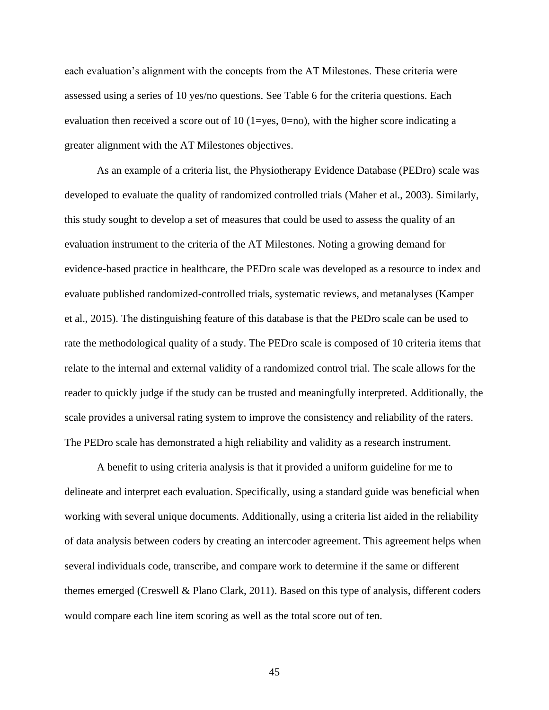each evaluation's alignment with the concepts from the AT Milestones. These criteria were assessed using a series of 10 yes/no questions. See Table 6 for the criteria questions. Each evaluation then received a score out of 10 (1=yes, 0=no), with the higher score indicating a greater alignment with the AT Milestones objectives.

As an example of a criteria list, the Physiotherapy Evidence Database (PEDro) scale was developed to evaluate the quality of randomized controlled trials (Maher et al., 2003). Similarly, this study sought to develop a set of measures that could be used to assess the quality of an evaluation instrument to the criteria of the AT Milestones. Noting a growing demand for evidence-based practice in healthcare, the PEDro scale was developed as a resource to index and evaluate published randomized-controlled trials, systematic reviews, and metanalyses (Kamper et al., 2015). The distinguishing feature of this database is that the PEDro scale can be used to rate the methodological quality of a study. The PEDro scale is composed of 10 criteria items that relate to the internal and external validity of a randomized control trial. The scale allows for the reader to quickly judge if the study can be trusted and meaningfully interpreted. Additionally, the scale provides a universal rating system to improve the consistency and reliability of the raters. The PEDro scale has demonstrated a high reliability and validity as a research instrument.

A benefit to using criteria analysis is that it provided a uniform guideline for me to delineate and interpret each evaluation. Specifically, using a standard guide was beneficial when working with several unique documents. Additionally, using a criteria list aided in the reliability of data analysis between coders by creating an intercoder agreement. This agreement helps when several individuals code, transcribe, and compare work to determine if the same or different themes emerged (Creswell & Plano Clark, 2011). Based on this type of analysis, different coders would compare each line item scoring as well as the total score out of ten.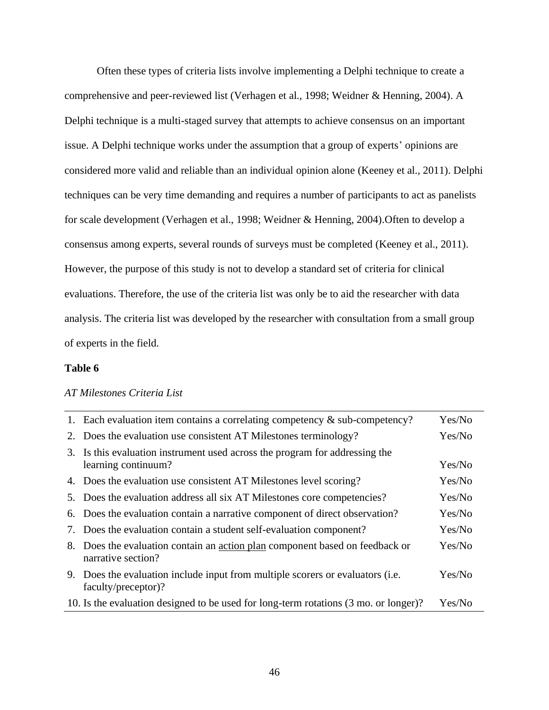Often these types of criteria lists involve implementing a Delphi technique to create a comprehensive and peer-reviewed list (Verhagen et al., 1998; Weidner & Henning, 2004). A Delphi technique is a multi-staged survey that attempts to achieve consensus on an important issue. A Delphi technique works under the assumption that a group of experts' opinions are considered more valid and reliable than an individual opinion alone (Keeney et al., 2011). Delphi techniques can be very time demanding and requires a number of participants to act as panelists for scale development (Verhagen et al., 1998; Weidner & Henning, 2004).Often to develop a consensus among experts, several rounds of surveys must be completed (Keeney et al., 2011). However, the purpose of this study is not to develop a standard set of criteria for clinical evaluations. Therefore, the use of the criteria list was only be to aid the researcher with data analysis. The criteria list was developed by the researcher with consultation from a small group of experts in the field.

#### **Table 6**

### *AT Milestones Criteria List*

| 1. Each evaluation item contains a correlating competency $\&$ sub-competency?                        | Yes/No |
|-------------------------------------------------------------------------------------------------------|--------|
| 2. Does the evaluation use consistent AT Milestones terminology?                                      | Yes/No |
| 3. Is this evaluation instrument used across the program for addressing the<br>learning continuum?    | Yes/No |
| 4. Does the evaluation use consistent AT Milestones level scoring?                                    | Yes/No |
| 5. Does the evaluation address all six AT Milestones core competencies?                               | Yes/No |
| 6. Does the evaluation contain a narrative component of direct observation?                           | Yes/No |
| 7. Does the evaluation contain a student self-evaluation component?                                   | Yes/No |
| 8. Does the evaluation contain an action plan component based on feedback or<br>narrative section?    | Yes/No |
| 9. Does the evaluation include input from multiple scorers or evaluators (i.e.<br>faculty/preceptor)? | Yes/No |
| 10. Is the evaluation designed to be used for long-term rotations (3 mo. or longer)?                  | Yes/No |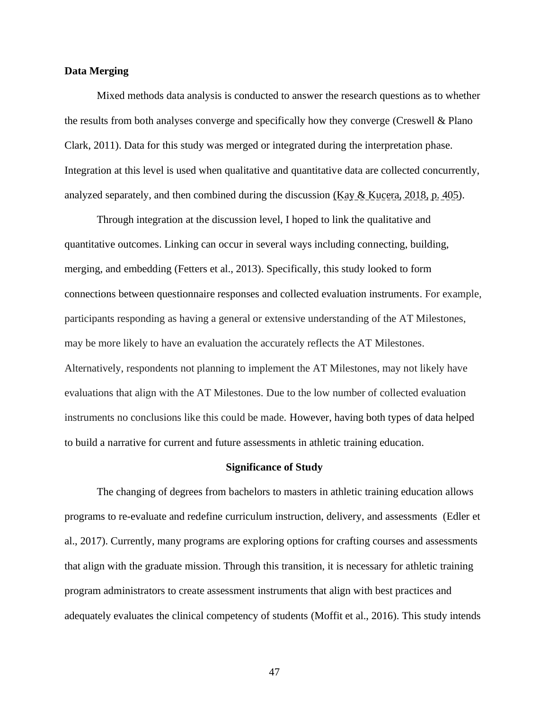#### **Data Merging**

Mixed methods data analysis is conducted to answer the research questions as to whether the results from both analyses converge and specifically how they converge (Creswell & Plano Clark, 2011). Data for this study was merged or integrated during the interpretation phase. Integration at this level is used when qualitative and quantitative data are collected concurrently, analyzed separately, and then combined during the discussion (Kay & Kucera, 2018, p. 405).

Through integration at the discussion level, I hoped to link the qualitative and quantitative outcomes. Linking can occur in several ways including connecting, building, merging, and embedding (Fetters et al., 2013). Specifically, this study looked to form connections between questionnaire responses and collected evaluation instruments. For example, participants responding as having a general or extensive understanding of the AT Milestones, may be more likely to have an evaluation the accurately reflects the AT Milestones. Alternatively, respondents not planning to implement the AT Milestones, may not likely have evaluations that align with the AT Milestones. Due to the low number of collected evaluation instruments no conclusions like this could be made. However, having both types of data helped to build a narrative for current and future assessments in athletic training education.

#### **Significance of Study**

The changing of degrees from bachelors to masters in athletic training education allows programs to re-evaluate and redefine curriculum instruction, delivery, and assessments (Edler et al., 2017). Currently, many programs are exploring options for crafting courses and assessments that align with the graduate mission. Through this transition, it is necessary for athletic training program administrators to create assessment instruments that align with best practices and adequately evaluates the clinical competency of students (Moffit et al., 2016). This study intends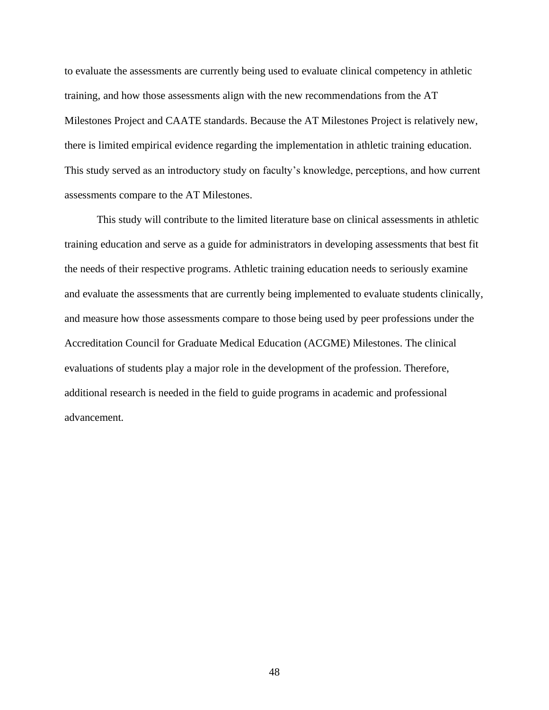to evaluate the assessments are currently being used to evaluate clinical competency in athletic training, and how those assessments align with the new recommendations from the AT Milestones Project and CAATE standards. Because the AT Milestones Project is relatively new, there is limited empirical evidence regarding the implementation in athletic training education. This study served as an introductory study on faculty's knowledge, perceptions, and how current assessments compare to the AT Milestones.

This study will contribute to the limited literature base on clinical assessments in athletic training education and serve as a guide for administrators in developing assessments that best fit the needs of their respective programs. Athletic training education needs to seriously examine and evaluate the assessments that are currently being implemented to evaluate students clinically, and measure how those assessments compare to those being used by peer professions under the Accreditation Council for Graduate Medical Education (ACGME) Milestones. The clinical evaluations of students play a major role in the development of the profession. Therefore, additional research is needed in the field to guide programs in academic and professional advancement.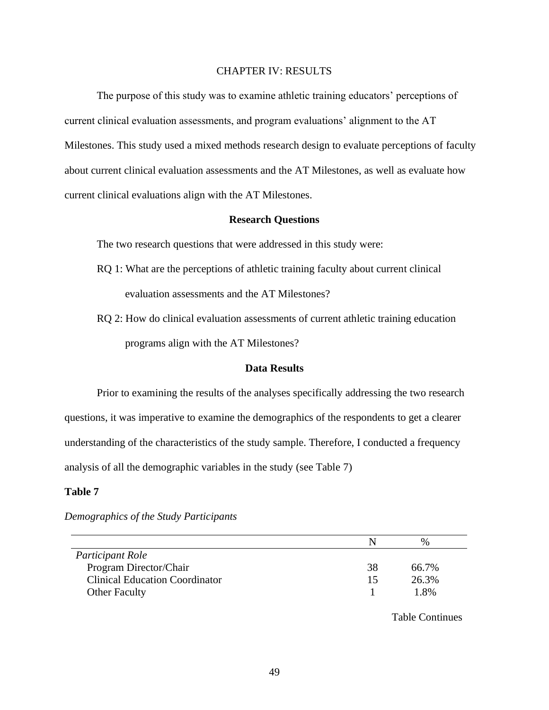#### CHAPTER IV: RESULTS

The purpose of this study was to examine athletic training educators' perceptions of current clinical evaluation assessments, and program evaluations' alignment to the AT Milestones. This study used a mixed methods research design to evaluate perceptions of faculty about current clinical evaluation assessments and the AT Milestones, as well as evaluate how current clinical evaluations align with the AT Milestones.

#### **Research Questions**

The two research questions that were addressed in this study were:

- RQ 1: What are the perceptions of athletic training faculty about current clinical evaluation assessments and the AT Milestones?
- RQ 2: How do clinical evaluation assessments of current athletic training education programs align with the AT Milestones?

#### **Data Results**

Prior to examining the results of the analyses specifically addressing the two research questions, it was imperative to examine the demographics of the respondents to get a clearer understanding of the characteristics of the study sample. Therefore, I conducted a frequency analysis of all the demographic variables in the study (see Table 7)

### **Table 7**

|                                       |    | $\frac{0}{0}$ |
|---------------------------------------|----|---------------|
| Participant Role                      |    |               |
| Program Director/Chair                | 38 | 66.7%         |
| <b>Clinical Education Coordinator</b> | 15 | 26.3%         |
| <b>Other Faculty</b>                  |    | 1.8%          |

#### *Demographics of the Study Participants*

Table Continues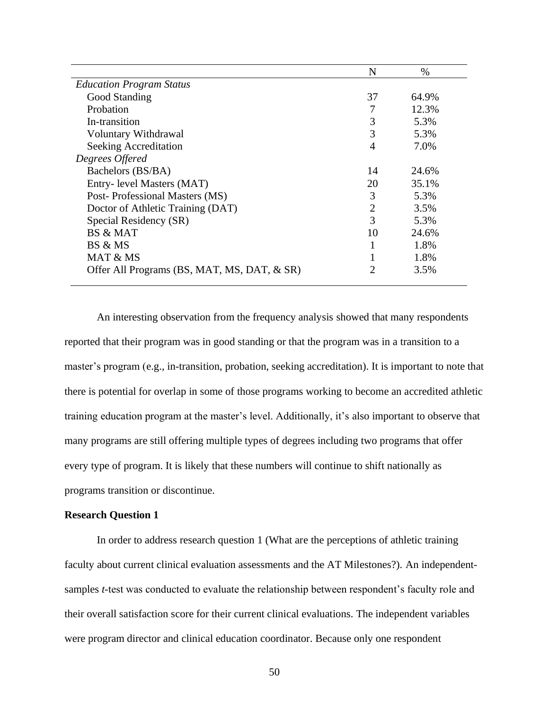|                                             | N              | $\%$  |  |
|---------------------------------------------|----------------|-------|--|
| <b>Education Program Status</b>             |                |       |  |
| Good Standing                               | 37             | 64.9% |  |
| Probation                                   | 7              | 12.3% |  |
| In-transition                               | 3              | 5.3%  |  |
| Voluntary Withdrawal                        | 3              | 5.3%  |  |
| Seeking Accreditation                       | 4              | 7.0%  |  |
| Degrees Offered                             |                |       |  |
| Bachelors (BS/BA)                           | 14             | 24.6% |  |
| Entry- level Masters (MAT)                  | 20             | 35.1% |  |
| Post-Professional Masters (MS)              | 3              | 5.3%  |  |
| Doctor of Athletic Training (DAT)           | $\overline{2}$ | 3.5%  |  |
| Special Residency (SR)                      | 3              | 5.3%  |  |
| BS & MAT                                    | 10             | 24.6% |  |
| BS & MS                                     |                | 1.8%  |  |
| MAT & MS                                    |                | 1.8%  |  |
| Offer All Programs (BS, MAT, MS, DAT, & SR) | 2              | 3.5%  |  |

An interesting observation from the frequency analysis showed that many respondents reported that their program was in good standing or that the program was in a transition to a master's program (e.g., in-transition, probation, seeking accreditation). It is important to note that there is potential for overlap in some of those programs working to become an accredited athletic training education program at the master's level. Additionally, it's also important to observe that many programs are still offering multiple types of degrees including two programs that offer every type of program. It is likely that these numbers will continue to shift nationally as programs transition or discontinue.

### **Research Question 1**

In order to address research question 1 (What are the perceptions of athletic training faculty about current clinical evaluation assessments and the AT Milestones?). An independentsamples *t*-test was conducted to evaluate the relationship between respondent's faculty role and their overall satisfaction score for their current clinical evaluations. The independent variables were program director and clinical education coordinator. Because only one respondent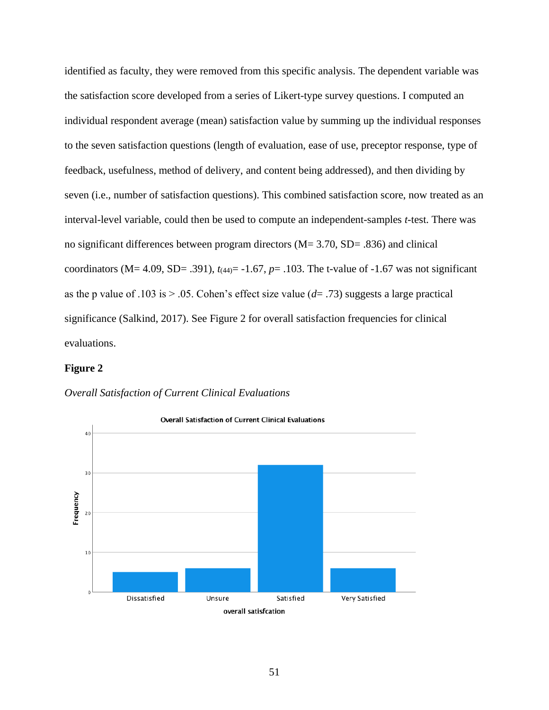identified as faculty, they were removed from this specific analysis. The dependent variable was the satisfaction score developed from a series of Likert-type survey questions. I computed an individual respondent average (mean) satisfaction value by summing up the individual responses to the seven satisfaction questions (length of evaluation, ease of use, preceptor response, type of feedback, usefulness, method of delivery, and content being addressed), and then dividing by seven (i.e., number of satisfaction questions). This combined satisfaction score, now treated as an interval-level variable, could then be used to compute an independent-samples *t*-test. There was no significant differences between program directors (M= 3.70, SD= .836) and clinical coordinators (M= 4.09, SD= .391),  $t_{(44)}$ = -1.67,  $p$ = .103. The t-value of -1.67 was not significant as the p value of .103 is  $> 0.05$ . Cohen's effect size value ( $d= .73$ ) suggests a large practical significance (Salkind, 2017). See Figure 2 for overall satisfaction frequencies for clinical evaluations.

#### **Figure 2**



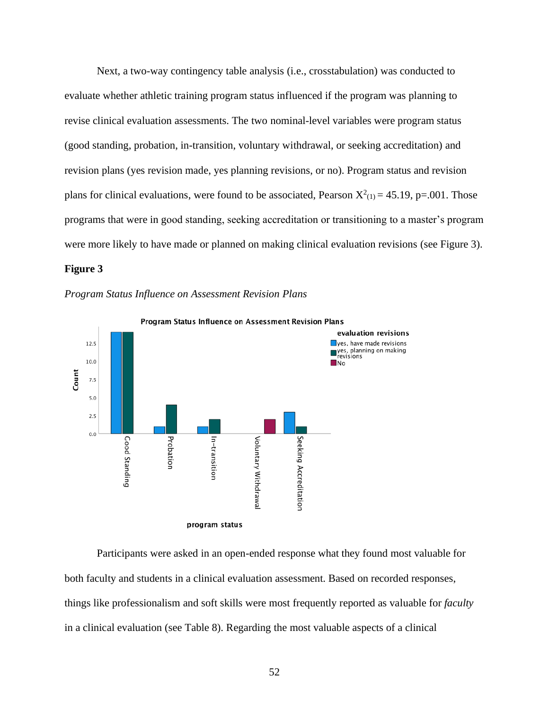Next, a two-way contingency table analysis (i.e., crosstabulation) was conducted to evaluate whether athletic training program status influenced if the program was planning to revise clinical evaluation assessments. The two nominal-level variables were program status (good standing, probation, in-transition, voluntary withdrawal, or seeking accreditation) and revision plans (yes revision made, yes planning revisions, or no). Program status and revision plans for clinical evaluations, were found to be associated, Pearson  $X^2_{(1)} = 45.19$ , p=.001. Those programs that were in good standing, seeking accreditation or transitioning to a master's program were more likely to have made or planned on making clinical evaluation revisions (see Figure 3).

## **Figure 3**





Participants were asked in an open-ended response what they found most valuable for both faculty and students in a clinical evaluation assessment. Based on recorded responses, things like professionalism and soft skills were most frequently reported as valuable for *faculty* in a clinical evaluation (see Table 8). Regarding the most valuable aspects of a clinical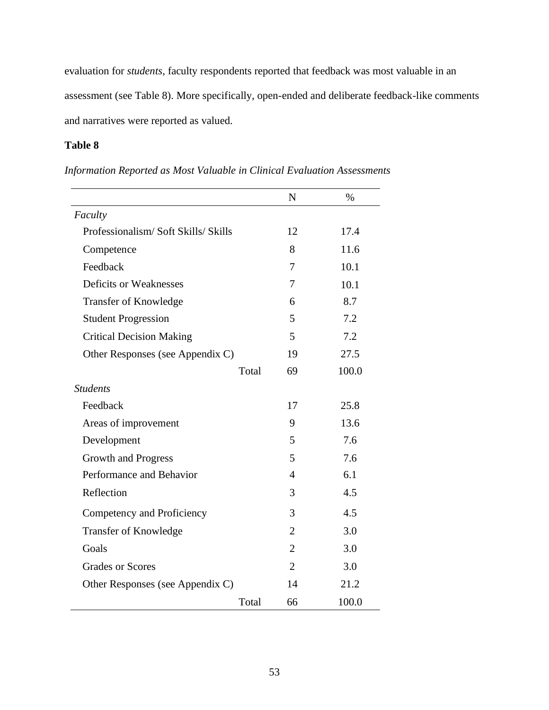evaluation for *students*, faculty respondents reported that feedback was most valuable in an assessment (see Table 8). More specifically, open-ended and deliberate feedback-like comments and narratives were reported as valued.

# **Table 8**

|                                    | N              | $\%$  |
|------------------------------------|----------------|-------|
| Faculty                            |                |       |
| Professionalism/Soft Skills/Skills | 12             | 17.4  |
| Competence                         | 8              | 11.6  |
| Feedback                           | 7              | 10.1  |
| Deficits or Weaknesses             | 7              | 10.1  |
| <b>Transfer of Knowledge</b>       | 6              | 8.7   |
| <b>Student Progression</b>         | 5              | 7.2   |
| <b>Critical Decision Making</b>    | 5              | 7.2   |
| Other Responses (see Appendix C)   | 19             | 27.5  |
| Total                              | 69             | 100.0 |
| <b>Students</b>                    |                |       |
| Feedback                           | 17             | 25.8  |
| Areas of improvement               | 9              | 13.6  |
| Development                        | 5              | 7.6   |
| Growth and Progress                | 5              | 7.6   |
| Performance and Behavior           | $\overline{4}$ | 6.1   |
| Reflection                         | 3              | 4.5   |
| Competency and Proficiency         | 3              | 4.5   |
| <b>Transfer of Knowledge</b>       | $\overline{2}$ | 3.0   |
| Goals                              | $\overline{2}$ | 3.0   |
| <b>Grades or Scores</b>            | $\overline{2}$ | 3.0   |
| Other Responses (see Appendix C)   | 14             | 21.2  |
| Total                              | 66             | 100.0 |

# *Information Reported as Most Valuable in Clinical Evaluation Assessments*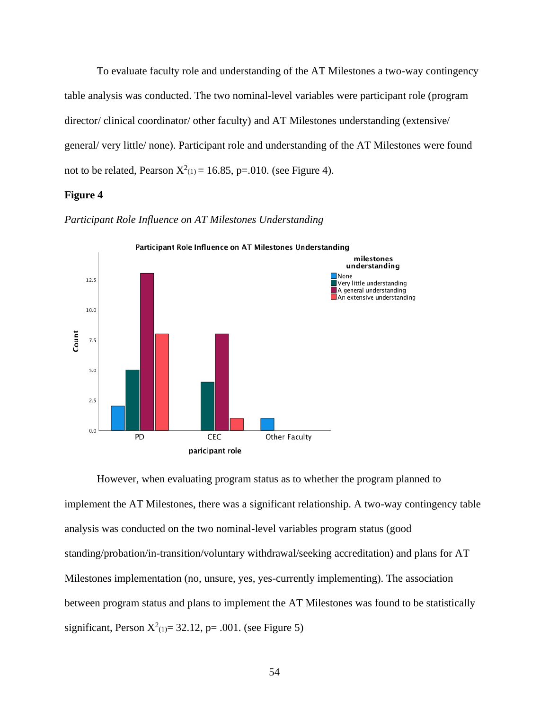To evaluate faculty role and understanding of the AT Milestones a two-way contingency table analysis was conducted. The two nominal-level variables were participant role (program director/ clinical coordinator/ other faculty) and AT Milestones understanding (extensive/ general/ very little/ none). Participant role and understanding of the AT Milestones were found not to be related, Pearson  $X^2(1) = 16.85$ , p=.010. (see Figure 4).

### **Figure 4**



*Participant Role Influence on AT Milestones Understanding*

However, when evaluating program status as to whether the program planned to implement the AT Milestones, there was a significant relationship. A two-way contingency table analysis was conducted on the two nominal-level variables program status (good standing/probation/in-transition/voluntary withdrawal/seeking accreditation) and plans for AT Milestones implementation (no, unsure, yes, yes-currently implementing). The association between program status and plans to implement the AT Milestones was found to be statistically significant, Person  $X^2$ <sub>(1)</sub> = 32.12, p = .001. (see Figure 5)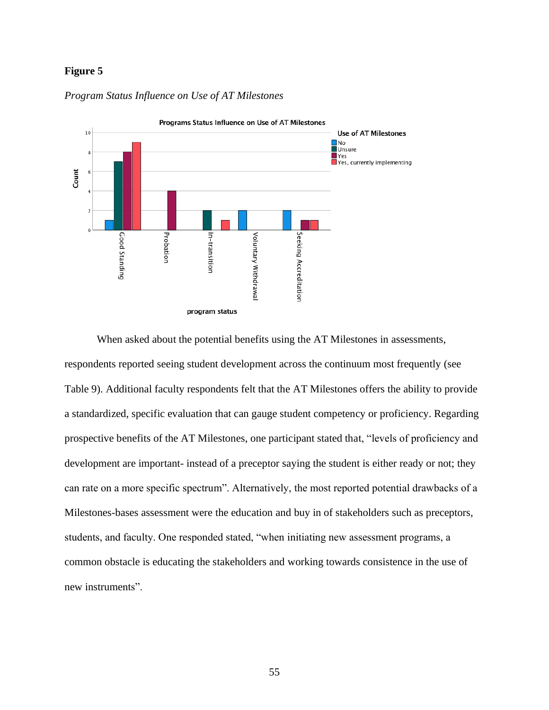## **Figure 5**



### *Program Status Influence on Use of AT Milestones*

When asked about the potential benefits using the AT Milestones in assessments, respondents reported seeing student development across the continuum most frequently (see Table 9). Additional faculty respondents felt that the AT Milestones offers the ability to provide a standardized, specific evaluation that can gauge student competency or proficiency. Regarding prospective benefits of the AT Milestones, one participant stated that, "levels of proficiency and development are important- instead of a preceptor saying the student is either ready or not; they can rate on a more specific spectrum". Alternatively, the most reported potential drawbacks of a Milestones-bases assessment were the education and buy in of stakeholders such as preceptors, students, and faculty. One responded stated, "when initiating new assessment programs, a common obstacle is educating the stakeholders and working towards consistence in the use of new instruments".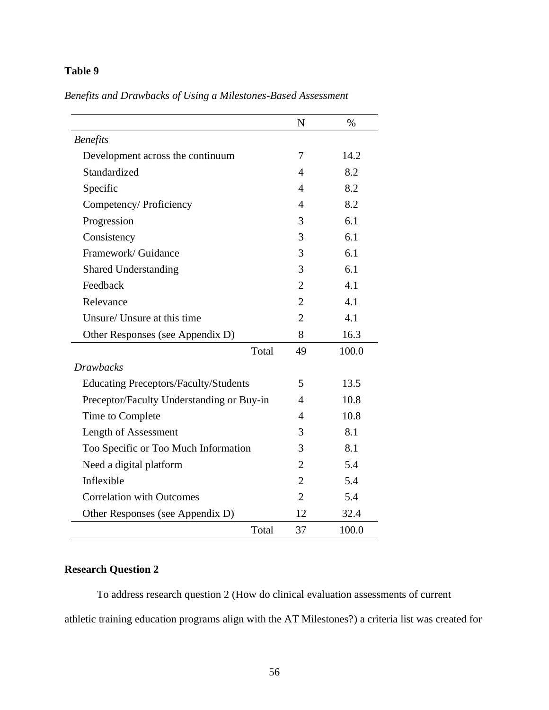# **Table 9**

| Benefits and Drawbacks of Using a Milestones-Based Assessment |  |  |  |
|---------------------------------------------------------------|--|--|--|
|---------------------------------------------------------------|--|--|--|

|                                              | N              | $\%$  |
|----------------------------------------------|----------------|-------|
| <b>Benefits</b>                              |                |       |
| Development across the continuum             | 7              | 14.2  |
| Standardized                                 | 4              | 8.2   |
| Specific                                     | 4              | 8.2   |
| Competency/ Proficiency                      | 4              | 8.2   |
| Progression                                  | 3              | 6.1   |
| Consistency                                  | 3              | 6.1   |
| Framework/ Guidance                          | 3              | 6.1   |
| <b>Shared Understanding</b>                  | 3              | 6.1   |
| Feedback                                     | $\overline{2}$ | 4.1   |
| Relevance                                    | $\overline{2}$ | 4.1   |
| Unsure/ Unsure at this time                  | $\overline{2}$ | 4.1   |
| Other Responses (see Appendix D)             | 8              | 16.3  |
| Total                                        | 49             | 100.0 |
| <b>Drawbacks</b>                             |                |       |
| <b>Educating Preceptors/Faculty/Students</b> | 5              | 13.5  |
| Preceptor/Faculty Understanding or Buy-in    | 4              | 10.8  |
| Time to Complete                             | 4              | 10.8  |
| Length of Assessment                         | 3              | 8.1   |
| Too Specific or Too Much Information         | 3              | 8.1   |
| Need a digital platform                      | $\overline{2}$ | 5.4   |
| Inflexible                                   | $\overline{2}$ | 5.4   |
| <b>Correlation with Outcomes</b>             | $\overline{2}$ | 5.4   |
| Other Responses (see Appendix D)             | 12             | 32.4  |
| Total                                        | 37             | 100.0 |

# **Research Question 2**

To address research question 2 (How do clinical evaluation assessments of current athletic training education programs align with the AT Milestones?) a criteria list was created for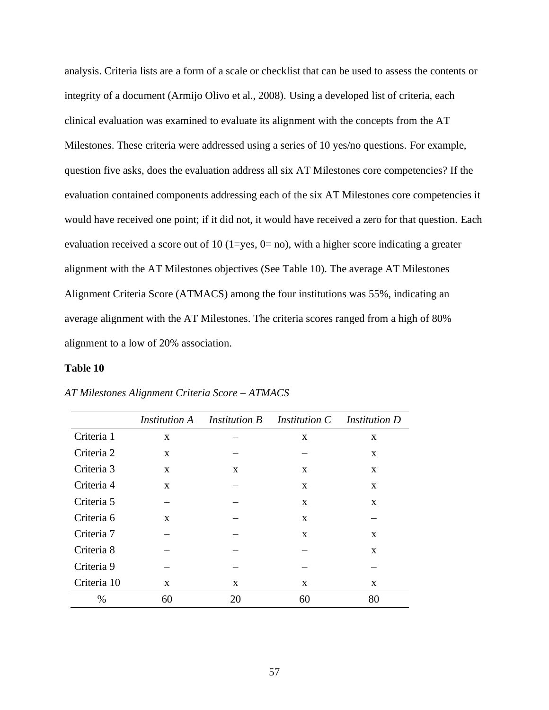analysis. Criteria lists are a form of a scale or checklist that can be used to assess the contents or integrity of a document (Armijo Olivo et al., 2008). Using a developed list of criteria, each clinical evaluation was examined to evaluate its alignment with the concepts from the AT Milestones. These criteria were addressed using a series of 10 yes/no questions. For example, question five asks, does the evaluation address all six AT Milestones core competencies? If the evaluation contained components addressing each of the six AT Milestones core competencies it would have received one point; if it did not, it would have received a zero for that question. Each evaluation received a score out of 10 (1=yes, 0= no), with a higher score indicating a greater alignment with the AT Milestones objectives (See Table 10). The average AT Milestones Alignment Criteria Score (ATMACS) among the four institutions was 55%, indicating an average alignment with the AT Milestones. The criteria scores ranged from a high of 80% alignment to a low of 20% association.

## **Table 10**

|             |              |              | <i>Institution A</i> Institution B Institution C Institution D |              |
|-------------|--------------|--------------|----------------------------------------------------------------|--------------|
| Criteria 1  | $\mathbf{X}$ |              | X                                                              | X            |
| Criteria 2  | $\mathbf{X}$ |              |                                                                | X            |
| Criteria 3  | $\mathbf{X}$ | $\mathbf{X}$ | X                                                              | X            |
| Criteria 4  | $\mathbf{x}$ |              | $\mathbf{X}$                                                   | $\mathbf{X}$ |
| Criteria 5  |              |              | X                                                              | X            |
| Criteria 6  | $\mathbf{x}$ |              | X                                                              |              |
| Criteria 7  |              |              | $\mathbf{X}$                                                   | X            |
| Criteria 8  |              |              |                                                                | X            |
| Criteria 9  |              |              |                                                                |              |
| Criteria 10 | $\mathbf{x}$ | X            | X                                                              | X            |
| $\%$        | 60           | 20           | 60                                                             | 80           |

*AT Milestones Alignment Criteria Score – ATMACS*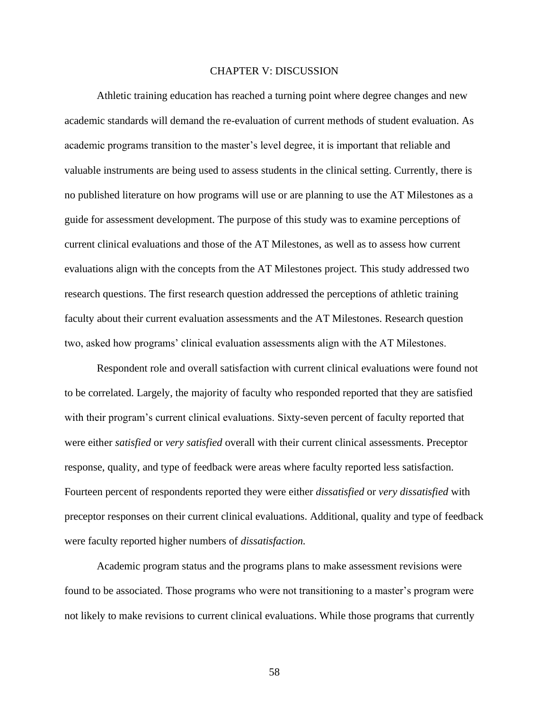#### CHAPTER V: DISCUSSION

Athletic training education has reached a turning point where degree changes and new academic standards will demand the re-evaluation of current methods of student evaluation. As academic programs transition to the master's level degree, it is important that reliable and valuable instruments are being used to assess students in the clinical setting. Currently, there is no published literature on how programs will use or are planning to use the AT Milestones as a guide for assessment development. The purpose of this study was to examine perceptions of current clinical evaluations and those of the AT Milestones, as well as to assess how current evaluations align with the concepts from the AT Milestones project. This study addressed two research questions. The first research question addressed the perceptions of athletic training faculty about their current evaluation assessments and the AT Milestones. Research question two, asked how programs' clinical evaluation assessments align with the AT Milestones.

Respondent role and overall satisfaction with current clinical evaluations were found not to be correlated. Largely, the majority of faculty who responded reported that they are satisfied with their program's current clinical evaluations. Sixty-seven percent of faculty reported that were either *satisfied* or *very satisfied* overall with their current clinical assessments. Preceptor response, quality, and type of feedback were areas where faculty reported less satisfaction. Fourteen percent of respondents reported they were either *dissatisfied* or *very dissatisfied* with preceptor responses on their current clinical evaluations. Additional, quality and type of feedback were faculty reported higher numbers of *dissatisfaction.*

Academic program status and the programs plans to make assessment revisions were found to be associated. Those programs who were not transitioning to a master's program were not likely to make revisions to current clinical evaluations. While those programs that currently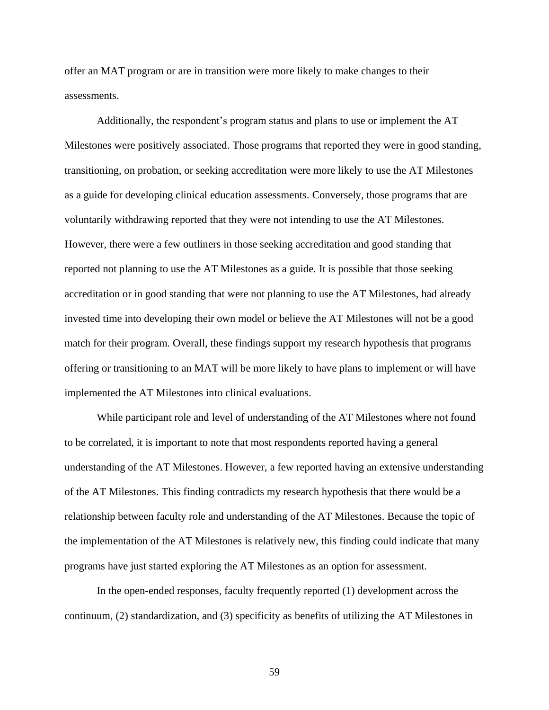offer an MAT program or are in transition were more likely to make changes to their assessments.

Additionally, the respondent's program status and plans to use or implement the AT Milestones were positively associated. Those programs that reported they were in good standing, transitioning, on probation, or seeking accreditation were more likely to use the AT Milestones as a guide for developing clinical education assessments. Conversely, those programs that are voluntarily withdrawing reported that they were not intending to use the AT Milestones. However, there were a few outliners in those seeking accreditation and good standing that reported not planning to use the AT Milestones as a guide. It is possible that those seeking accreditation or in good standing that were not planning to use the AT Milestones, had already invested time into developing their own model or believe the AT Milestones will not be a good match for their program. Overall, these findings support my research hypothesis that programs offering or transitioning to an MAT will be more likely to have plans to implement or will have implemented the AT Milestones into clinical evaluations.

While participant role and level of understanding of the AT Milestones where not found to be correlated, it is important to note that most respondents reported having a general understanding of the AT Milestones. However, a few reported having an extensive understanding of the AT Milestones. This finding contradicts my research hypothesis that there would be a relationship between faculty role and understanding of the AT Milestones. Because the topic of the implementation of the AT Milestones is relatively new, this finding could indicate that many programs have just started exploring the AT Milestones as an option for assessment.

In the open-ended responses, faculty frequently reported (1) development across the continuum, (2) standardization, and (3) specificity as benefits of utilizing the AT Milestones in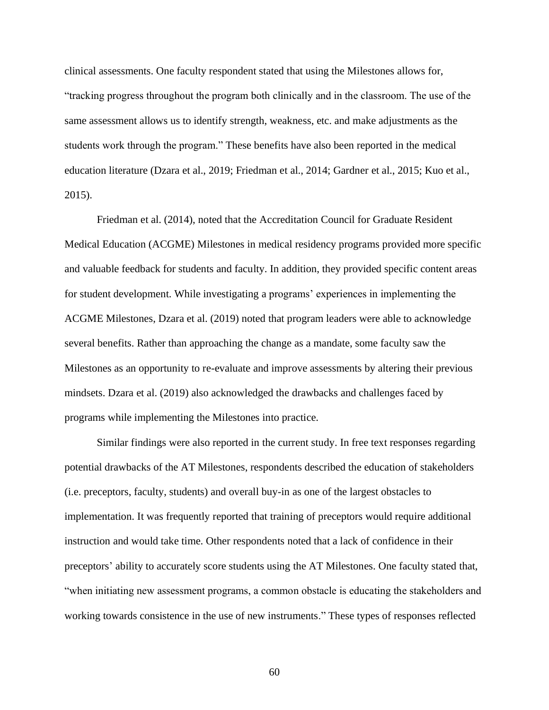clinical assessments. One faculty respondent stated that using the Milestones allows for, "tracking progress throughout the program both clinically and in the classroom. The use of the same assessment allows us to identify strength, weakness, etc. and make adjustments as the students work through the program." These benefits have also been reported in the medical education literature (Dzara et al., 2019; Friedman et al., 2014; Gardner et al., 2015; Kuo et al., 2015).

Friedman et al. (2014), noted that the Accreditation Council for Graduate Resident Medical Education (ACGME) Milestones in medical residency programs provided more specific and valuable feedback for students and faculty. In addition, they provided specific content areas for student development. While investigating a programs' experiences in implementing the ACGME Milestones, Dzara et al. (2019) noted that program leaders were able to acknowledge several benefits. Rather than approaching the change as a mandate, some faculty saw the Milestones as an opportunity to re-evaluate and improve assessments by altering their previous mindsets. Dzara et al. (2019) also acknowledged the drawbacks and challenges faced by programs while implementing the Milestones into practice.

Similar findings were also reported in the current study. In free text responses regarding potential drawbacks of the AT Milestones, respondents described the education of stakeholders (i.e. preceptors, faculty, students) and overall buy-in as one of the largest obstacles to implementation. It was frequently reported that training of preceptors would require additional instruction and would take time. Other respondents noted that a lack of confidence in their preceptors' ability to accurately score students using the AT Milestones. One faculty stated that, "when initiating new assessment programs, a common obstacle is educating the stakeholders and working towards consistence in the use of new instruments." These types of responses reflected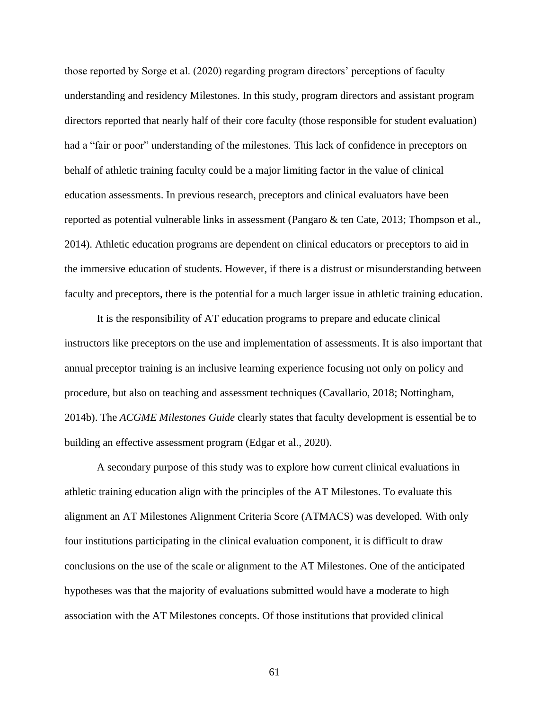those reported by Sorge et al. (2020) regarding program directors' perceptions of faculty understanding and residency Milestones. In this study, program directors and assistant program directors reported that nearly half of their core faculty (those responsible for student evaluation) had a "fair or poor" understanding of the milestones. This lack of confidence in preceptors on behalf of athletic training faculty could be a major limiting factor in the value of clinical education assessments. In previous research, preceptors and clinical evaluators have been reported as potential vulnerable links in assessment (Pangaro & ten Cate, 2013; Thompson et al., 2014). Athletic education programs are dependent on clinical educators or preceptors to aid in the immersive education of students. However, if there is a distrust or misunderstanding between faculty and preceptors, there is the potential for a much larger issue in athletic training education.

It is the responsibility of AT education programs to prepare and educate clinical instructors like preceptors on the use and implementation of assessments. It is also important that annual preceptor training is an inclusive learning experience focusing not only on policy and procedure, but also on teaching and assessment techniques (Cavallario, 2018; Nottingham, 2014b). The *ACGME Milestones Guide* clearly states that faculty development is essential be to building an effective assessment program (Edgar et al., 2020).

A secondary purpose of this study was to explore how current clinical evaluations in athletic training education align with the principles of the AT Milestones. To evaluate this alignment an AT Milestones Alignment Criteria Score (ATMACS) was developed. With only four institutions participating in the clinical evaluation component, it is difficult to draw conclusions on the use of the scale or alignment to the AT Milestones. One of the anticipated hypotheses was that the majority of evaluations submitted would have a moderate to high association with the AT Milestones concepts. Of those institutions that provided clinical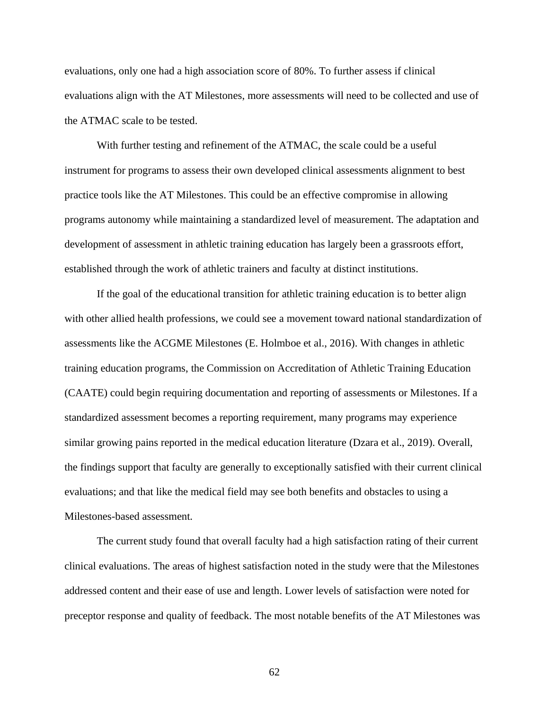evaluations, only one had a high association score of 80%. To further assess if clinical evaluations align with the AT Milestones, more assessments will need to be collected and use of the ATMAC scale to be tested.

With further testing and refinement of the ATMAC, the scale could be a useful instrument for programs to assess their own developed clinical assessments alignment to best practice tools like the AT Milestones. This could be an effective compromise in allowing programs autonomy while maintaining a standardized level of measurement. The adaptation and development of assessment in athletic training education has largely been a grassroots effort, established through the work of athletic trainers and faculty at distinct institutions.

If the goal of the educational transition for athletic training education is to better align with other allied health professions, we could see a movement toward national standardization of assessments like the ACGME Milestones (E. Holmboe et al., 2016). With changes in athletic training education programs, the Commission on Accreditation of Athletic Training Education (CAATE) could begin requiring documentation and reporting of assessments or Milestones. If a standardized assessment becomes a reporting requirement, many programs may experience similar growing pains reported in the medical education literature (Dzara et al., 2019). Overall, the findings support that faculty are generally to exceptionally satisfied with their current clinical evaluations; and that like the medical field may see both benefits and obstacles to using a Milestones-based assessment.

The current study found that overall faculty had a high satisfaction rating of their current clinical evaluations. The areas of highest satisfaction noted in the study were that the Milestones addressed content and their ease of use and length. Lower levels of satisfaction were noted for preceptor response and quality of feedback. The most notable benefits of the AT Milestones was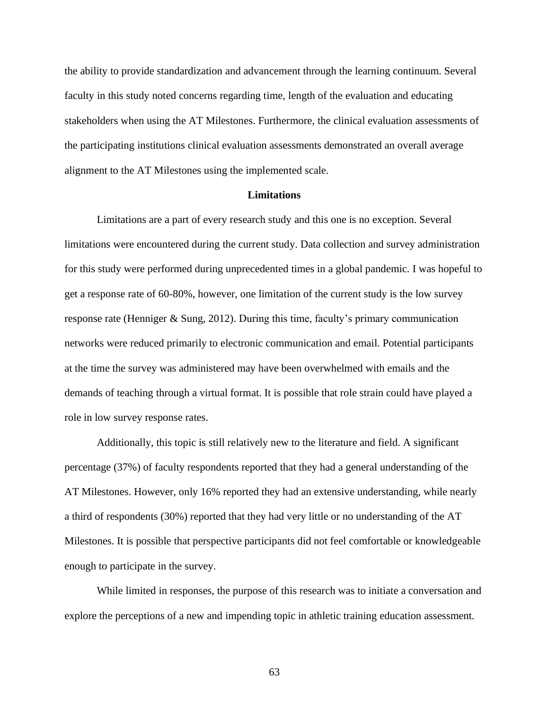the ability to provide standardization and advancement through the learning continuum. Several faculty in this study noted concerns regarding time, length of the evaluation and educating stakeholders when using the AT Milestones. Furthermore, the clinical evaluation assessments of the participating institutions clinical evaluation assessments demonstrated an overall average alignment to the AT Milestones using the implemented scale.

#### **Limitations**

Limitations are a part of every research study and this one is no exception. Several limitations were encountered during the current study. Data collection and survey administration for this study were performed during unprecedented times in a global pandemic. I was hopeful to get a response rate of 60-80%, however, one limitation of the current study is the low survey response rate (Henniger & Sung, 2012). During this time, faculty's primary communication networks were reduced primarily to electronic communication and email. Potential participants at the time the survey was administered may have been overwhelmed with emails and the demands of teaching through a virtual format. It is possible that role strain could have played a role in low survey response rates.

Additionally, this topic is still relatively new to the literature and field. A significant percentage (37%) of faculty respondents reported that they had a general understanding of the AT Milestones. However, only 16% reported they had an extensive understanding, while nearly a third of respondents (30%) reported that they had very little or no understanding of the AT Milestones. It is possible that perspective participants did not feel comfortable or knowledgeable enough to participate in the survey.

While limited in responses, the purpose of this research was to initiate a conversation and explore the perceptions of a new and impending topic in athletic training education assessment.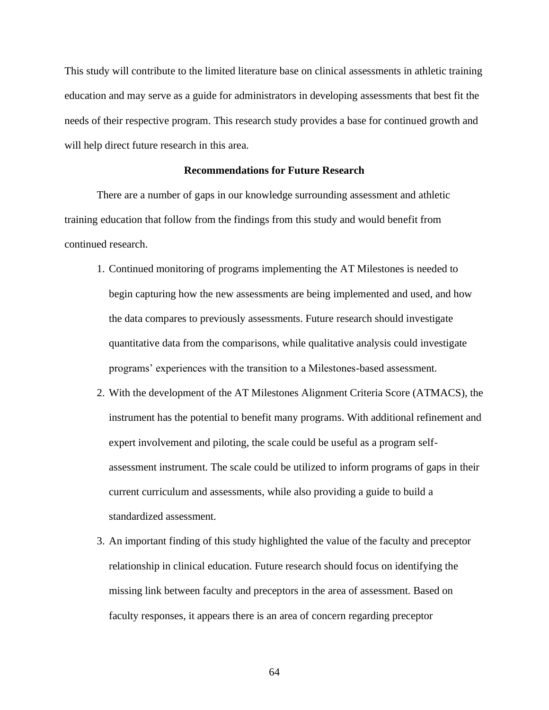This study will contribute to the limited literature base on clinical assessments in athletic training education and may serve as a guide for administrators in developing assessments that best fit the needs of their respective program. This research study provides a base for continued growth and will help direct future research in this area.

#### **Recommendations for Future Research**

There are a number of gaps in our knowledge surrounding assessment and athletic training education that follow from the findings from this study and would benefit from continued research.

- 1. Continued monitoring of programs implementing the AT Milestones is needed to begin capturing how the new assessments are being implemented and used, and how the data compares to previously assessments. Future research should investigate quantitative data from the comparisons, while qualitative analysis could investigate programs' experiences with the transition to a Milestones-based assessment.
- 2. With the development of the AT Milestones Alignment Criteria Score (ATMACS), the instrument has the potential to benefit many programs. With additional refinement and expert involvement and piloting, the scale could be useful as a program selfassessment instrument. The scale could be utilized to inform programs of gaps in their current curriculum and assessments, while also providing a guide to build a standardized assessment.
- 3. An important finding of this study highlighted the value of the faculty and preceptor relationship in clinical education. Future research should focus on identifying the missing link between faculty and preceptors in the area of assessment. Based on faculty responses, it appears there is an area of concern regarding preceptor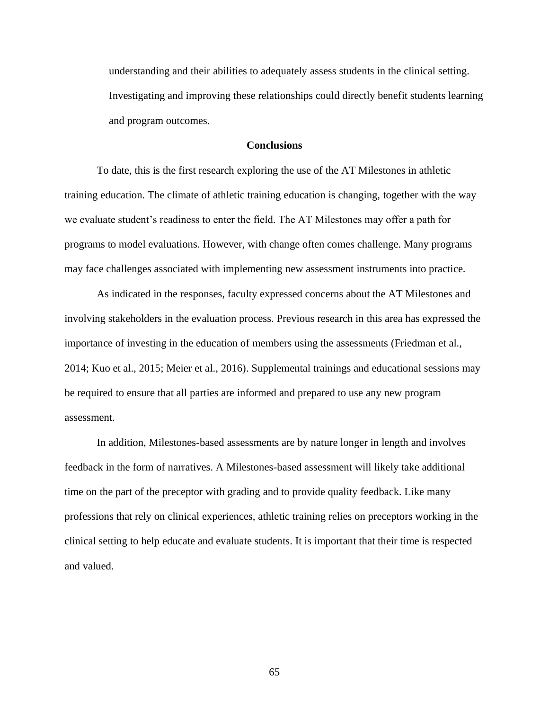understanding and their abilities to adequately assess students in the clinical setting. Investigating and improving these relationships could directly benefit students learning and program outcomes.

#### **Conclusions**

To date, this is the first research exploring the use of the AT Milestones in athletic training education. The climate of athletic training education is changing, together with the way we evaluate student's readiness to enter the field. The AT Milestones may offer a path for programs to model evaluations. However, with change often comes challenge. Many programs may face challenges associated with implementing new assessment instruments into practice.

As indicated in the responses, faculty expressed concerns about the AT Milestones and involving stakeholders in the evaluation process. Previous research in this area has expressed the importance of investing in the education of members using the assessments (Friedman et al., 2014; Kuo et al., 2015; Meier et al., 2016). Supplemental trainings and educational sessions may be required to ensure that all parties are informed and prepared to use any new program assessment.

In addition, Milestones-based assessments are by nature longer in length and involves feedback in the form of narratives. A Milestones-based assessment will likely take additional time on the part of the preceptor with grading and to provide quality feedback. Like many professions that rely on clinical experiences, athletic training relies on preceptors working in the clinical setting to help educate and evaluate students. It is important that their time is respected and valued.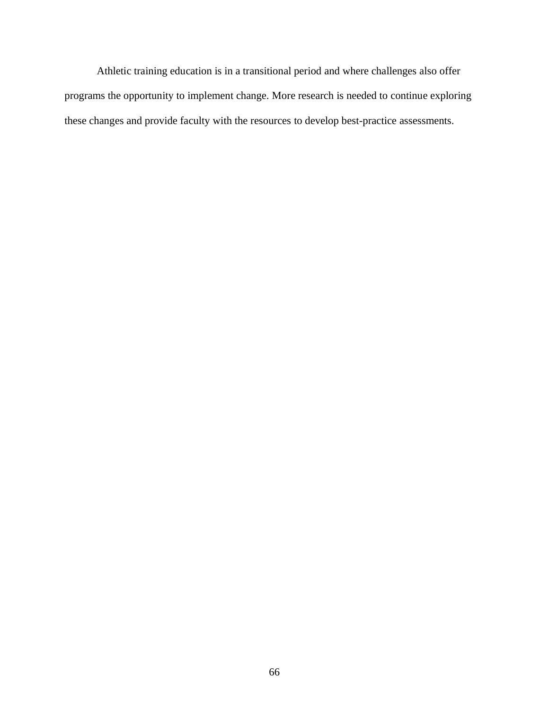Athletic training education is in a transitional period and where challenges also offer programs the opportunity to implement change. More research is needed to continue exploring these changes and provide faculty with the resources to develop best-practice assessments.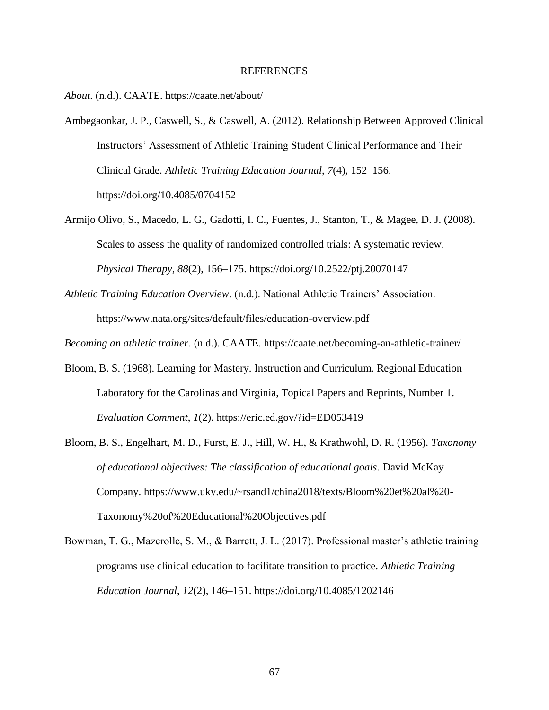#### REFERENCES

*About*. (n.d.). CAATE. https://caate.net/about/

- Ambegaonkar, J. P., Caswell, S., & Caswell, A. (2012). Relationship Between Approved Clinical Instructors' Assessment of Athletic Training Student Clinical Performance and Their Clinical Grade. *Athletic Training Education Journal*, *7*(4), 152–156. https://doi.org/10.4085/0704152
- Armijo Olivo, S., Macedo, L. G., Gadotti, I. C., Fuentes, J., Stanton, T., & Magee, D. J. (2008). Scales to assess the quality of randomized controlled trials: A systematic review. *Physical Therapy*, *88*(2), 156–175. https://doi.org/10.2522/ptj.20070147
- *Athletic Training Education Overview*. (n.d.). National Athletic Trainers' Association. https://www.nata.org/sites/default/files/education-overview.pdf

*Becoming an athletic trainer*. (n.d.). CAATE. https://caate.net/becoming-an-athletic-trainer/

- Bloom, B. S. (1968). Learning for Mastery. Instruction and Curriculum. Regional Education Laboratory for the Carolinas and Virginia, Topical Papers and Reprints, Number 1. *Evaluation Comment*, *1*(2). https://eric.ed.gov/?id=ED053419
- Bloom, B. S., Engelhart, M. D., Furst, E. J., Hill, W. H., & Krathwohl, D. R. (1956). *Taxonomy of educational objectives: The classification of educational goals*. David McKay Company. https://www.uky.edu/~rsand1/china2018/texts/Bloom%20et%20al%20- Taxonomy%20of%20Educational%20Objectives.pdf
- Bowman, T. G., Mazerolle, S. M., & Barrett, J. L. (2017). Professional master's athletic training programs use clinical education to facilitate transition to practice. *Athletic Training Education Journal*, *12*(2), 146–151. https://doi.org/10.4085/1202146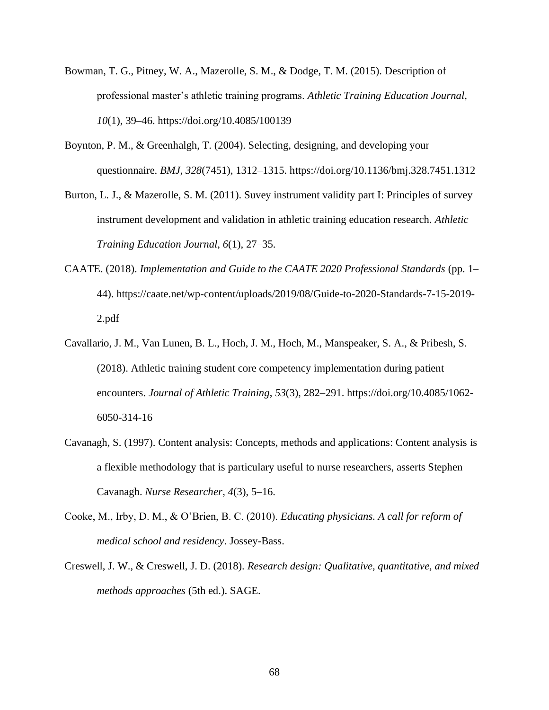- Bowman, T. G., Pitney, W. A., Mazerolle, S. M., & Dodge, T. M. (2015). Description of professional master's athletic training programs. *Athletic Training Education Journal*, *10*(1), 39–46. https://doi.org/10.4085/100139
- Boynton, P. M., & Greenhalgh, T. (2004). Selecting, designing, and developing your questionnaire. *BMJ*, *328*(7451), 1312–1315. https://doi.org/10.1136/bmj.328.7451.1312
- Burton, L. J., & Mazerolle, S. M. (2011). Suvey instrument validity part I: Principles of survey instrument development and validation in athletic training education research. *Athletic Training Education Journal*, *6*(1), 27–35.
- CAATE. (2018). *Implementation and Guide to the CAATE 2020 Professional Standards* (pp. 1– 44). https://caate.net/wp-content/uploads/2019/08/Guide-to-2020-Standards-7-15-2019- 2.pdf
- Cavallario, J. M., Van Lunen, B. L., Hoch, J. M., Hoch, M., Manspeaker, S. A., & Pribesh, S. (2018). Athletic training student core competency implementation during patient encounters. *Journal of Athletic Training*, *53*(3), 282–291. https://doi.org/10.4085/1062- 6050-314-16
- Cavanagh, S. (1997). Content analysis: Concepts, methods and applications: Content analysis is a flexible methodology that is particulary useful to nurse researchers, asserts Stephen Cavanagh. *Nurse Researcher*, *4*(3), 5–16.
- Cooke, M., Irby, D. M., & O'Brien, B. C. (2010). *Educating physicians. A call for reform of medical school and residency*. Jossey-Bass.
- Creswell, J. W., & Creswell, J. D. (2018). *Research design: Qualitative, quantitative, and mixed methods approaches* (5th ed.). SAGE.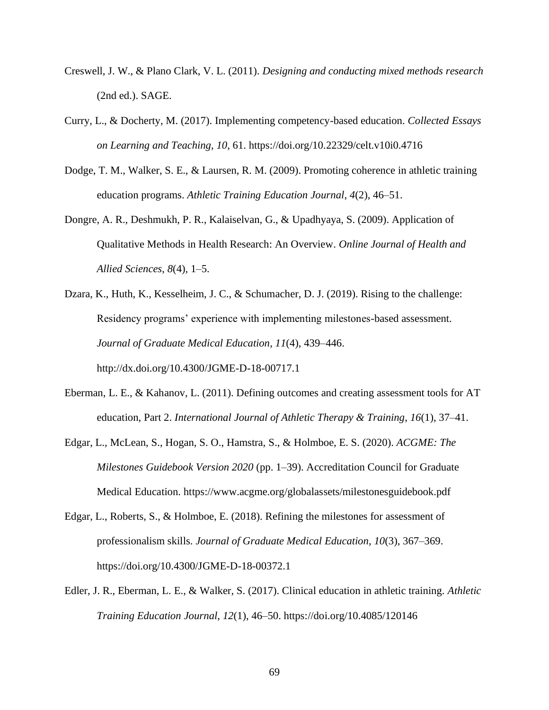- Creswell, J. W., & Plano Clark, V. L. (2011). *Designing and conducting mixed methods research* (2nd ed.). SAGE.
- Curry, L., & Docherty, M. (2017). Implementing competency-based education. *Collected Essays on Learning and Teaching*, *10*, 61. https://doi.org/10.22329/celt.v10i0.4716
- Dodge, T. M., Walker, S. E., & Laursen, R. M. (2009). Promoting coherence in athletic training education programs. *Athletic Training Education Journal*, *4*(2), 46–51.
- Dongre, A. R., Deshmukh, P. R., Kalaiselvan, G., & Upadhyaya, S. (2009). Application of Qualitative Methods in Health Research: An Overview. *Online Journal of Health and Allied Sciences*, *8*(4), 1–5.
- Dzara, K., Huth, K., Kesselheim, J. C., & Schumacher, D. J. (2019). Rising to the challenge: Residency programs' experience with implementing milestones-based assessment. *Journal of Graduate Medical Education*, *11*(4), 439–446. http://dx.doi.org/10.4300/JGME-D-18-00717.1
- Eberman, L. E., & Kahanov, L. (2011). Defining outcomes and creating assessment tools for AT education, Part 2. *International Journal of Athletic Therapy & Training*, *16*(1), 37–41.
- Edgar, L., McLean, S., Hogan, S. O., Hamstra, S., & Holmboe, E. S. (2020). *ACGME: The Milestones Guidebook Version 2020* (pp. 1–39). Accreditation Council for Graduate Medical Education. https://www.acgme.org/globalassets/milestonesguidebook.pdf
- Edgar, L., Roberts, S., & Holmboe, E. (2018). Refining the milestones for assessment of professionalism skills. *Journal of Graduate Medical Education*, *10*(3), 367–369. https://doi.org/10.4300/JGME-D-18-00372.1
- Edler, J. R., Eberman, L. E., & Walker, S. (2017). Clinical education in athletic training. *Athletic Training Education Journal*, *12*(1), 46–50. https://doi.org/10.4085/120146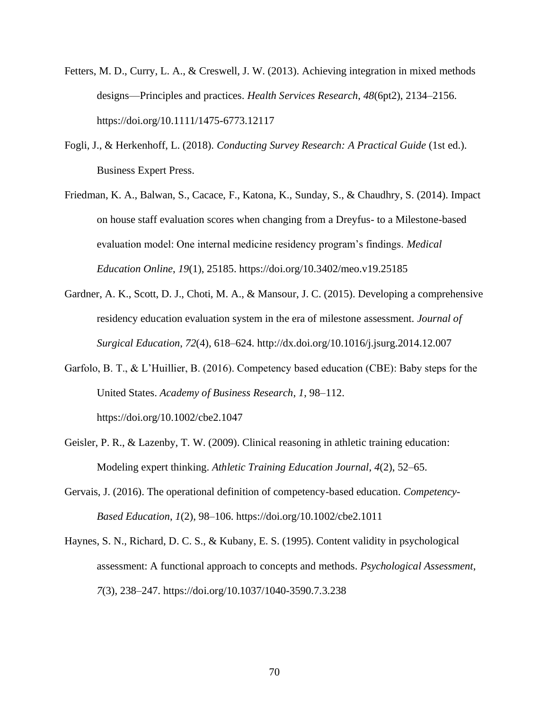- Fetters, M. D., Curry, L. A., & Creswell, J. W. (2013). Achieving integration in mixed methods designs—Principles and practices. *Health Services Research*, *48*(6pt2), 2134–2156. https://doi.org/10.1111/1475-6773.12117
- Fogli, J., & Herkenhoff, L. (2018). *Conducting Survey Research: A Practical Guide* (1st ed.). Business Expert Press.
- Friedman, K. A., Balwan, S., Cacace, F., Katona, K., Sunday, S., & Chaudhry, S. (2014). Impact on house staff evaluation scores when changing from a Dreyfus- to a Milestone-based evaluation model: One internal medicine residency program's findings. *Medical Education Online*, *19*(1), 25185. https://doi.org/10.3402/meo.v19.25185
- Gardner, A. K., Scott, D. J., Choti, M. A., & Mansour, J. C. (2015). Developing a comprehensive residency education evaluation system in the era of milestone assessment. *Journal of Surgical Education*, *72*(4), 618–624. http://dx.doi.org/10.1016/j.jsurg.2014.12.007
- Garfolo, B. T., & L'Huillier, B. (2016). Competency based education (CBE): Baby steps for the United States. *Academy of Business Research*, *1*, 98–112. https://doi.org/10.1002/cbe2.1047
- Geisler, P. R., & Lazenby, T. W. (2009). Clinical reasoning in athletic training education: Modeling expert thinking. *Athletic Training Education Journal*, *4*(2), 52–65.
- Gervais, J. (2016). The operational definition of competency-based education. *Competency-Based Education*, *1*(2), 98–106. https://doi.org/10.1002/cbe2.1011
- Haynes, S. N., Richard, D. C. S., & Kubany, E. S. (1995). Content validity in psychological assessment: A functional approach to concepts and methods. *Psychological Assessment*, *7*(3), 238–247. https://doi.org/10.1037/1040-3590.7.3.238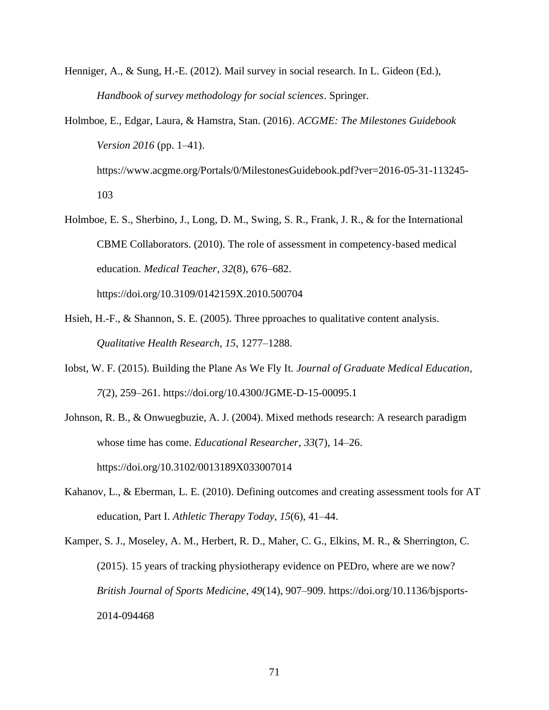- Henniger, A., & Sung, H.-E. (2012). Mail survey in social research. In L. Gideon (Ed.), *Handbook of survey methodology for social sciences*. Springer.
- Holmboe, E., Edgar, Laura, & Hamstra, Stan. (2016). *ACGME: The Milestones Guidebook Version 2016* (pp. 1–41). https://www.acgme.org/Portals/0/MilestonesGuidebook.pdf?ver=2016-05-31-113245- 103
- Holmboe, E. S., Sherbino, J., Long, D. M., Swing, S. R., Frank, J. R., & for the International CBME Collaborators. (2010). The role of assessment in competency-based medical education. *Medical Teacher*, *32*(8), 676–682.

https://doi.org/10.3109/0142159X.2010.500704

- Hsieh, H.-F., & Shannon, S. E. (2005). Three pproaches to qualitative content analysis. *Qualitative Health Research*, *15*, 1277–1288.
- Iobst, W. F. (2015). Building the Plane As We Fly It. *Journal of Graduate Medical Education*, *7*(2), 259–261. https://doi.org/10.4300/JGME-D-15-00095.1
- Johnson, R. B., & Onwuegbuzie, A. J. (2004). Mixed methods research: A research paradigm whose time has come. *Educational Researcher*, *33*(7), 14–26. https://doi.org/10.3102/0013189X033007014
- Kahanov, L., & Eberman, L. E. (2010). Defining outcomes and creating assessment tools for AT education, Part I. *Athletic Therapy Today*, *15*(6), 41–44.

Kamper, S. J., Moseley, A. M., Herbert, R. D., Maher, C. G., Elkins, M. R., & Sherrington, C. (2015). 15 years of tracking physiotherapy evidence on PEDro, where are we now? *British Journal of Sports Medicine*, *49*(14), 907–909. https://doi.org/10.1136/bjsports-2014-094468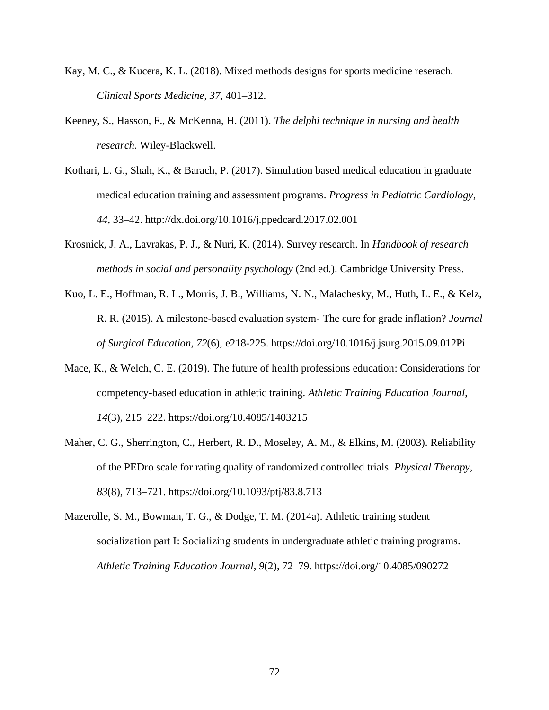- Kay, M. C., & Kucera, K. L. (2018). Mixed methods designs for sports medicine reserach. *Clinical Sports Medicine*, *37*, 401–312.
- Keeney, S., Hasson, F., & McKenna, H. (2011). *The delphi technique in nursing and health research.* Wiley-Blackwell.
- Kothari, L. G., Shah, K., & Barach, P. (2017). Simulation based medical education in graduate medical education training and assessment programs. *Progress in Pediatric Cardiology*, *44*, 33–42. http://dx.doi.org/10.1016/j.ppedcard.2017.02.001
- Krosnick, J. A., Lavrakas, P. J., & Nuri, K. (2014). Survey research. In *Handbook of research methods in social and personality psychology* (2nd ed.). Cambridge University Press.
- Kuo, L. E., Hoffman, R. L., Morris, J. B., Williams, N. N., Malachesky, M., Huth, L. E., & Kelz, R. R. (2015). A milestone-based evaluation system- The cure for grade inflation? *Journal of Surgical Education*, *72*(6), e218-225. https://doi.org/10.1016/j.jsurg.2015.09.012Pi
- Mace, K., & Welch, C. E. (2019). The future of health professions education: Considerations for competency-based education in athletic training. *Athletic Training Education Journal*, *14*(3), 215–222. https://doi.org/10.4085/1403215
- Maher, C. G., Sherrington, C., Herbert, R. D., Moseley, A. M., & Elkins, M. (2003). Reliability of the PEDro scale for rating quality of randomized controlled trials. *Physical Therapy*, *83*(8), 713–721. https://doi.org/10.1093/ptj/83.8.713
- Mazerolle, S. M., Bowman, T. G., & Dodge, T. M. (2014a). Athletic training student socialization part I: Socializing students in undergraduate athletic training programs. *Athletic Training Education Journal*, *9*(2), 72–79. https://doi.org/10.4085/090272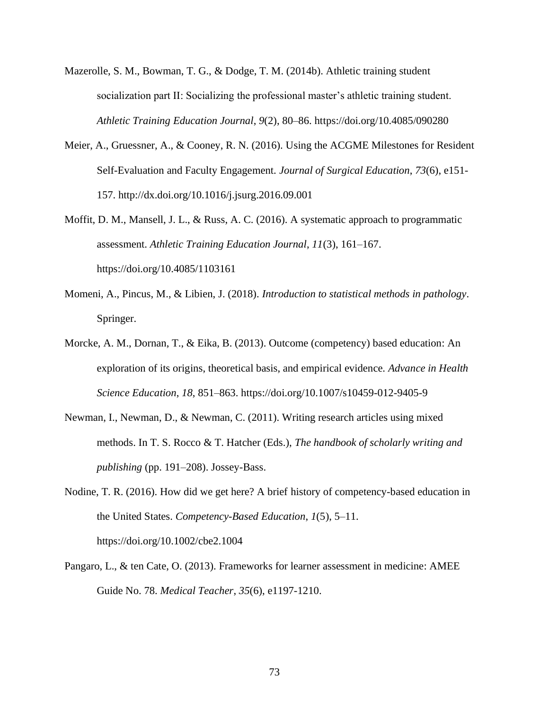- Mazerolle, S. M., Bowman, T. G., & Dodge, T. M. (2014b). Athletic training student socialization part II: Socializing the professional master's athletic training student. *Athletic Training Education Journal*, *9*(2), 80–86. https://doi.org/10.4085/090280
- Meier, A., Gruessner, A., & Cooney, R. N. (2016). Using the ACGME Milestones for Resident Self-Evaluation and Faculty Engagement. *Journal of Surgical Education*, *73*(6), e151- 157. http://dx.doi.org/10.1016/j.jsurg.2016.09.001
- Moffit, D. M., Mansell, J. L., & Russ, A. C. (2016). A systematic approach to programmatic assessment. *Athletic Training Education Journal*, *11*(3), 161–167. https://doi.org/10.4085/1103161
- Momeni, A., Pincus, M., & Libien, J. (2018). *Introduction to statistical methods in pathology*. Springer.
- Morcke, A. M., Dornan, T., & Eika, B. (2013). Outcome (competency) based education: An exploration of its origins, theoretical basis, and empirical evidence. *Advance in Health Science Education*, *18*, 851–863. https://doi.org/10.1007/s10459-012-9405-9
- Newman, I., Newman, D., & Newman, C. (2011). Writing research articles using mixed methods. In T. S. Rocco & T. Hatcher (Eds.), *The handbook of scholarly writing and publishing* (pp. 191–208). Jossey-Bass.
- Nodine, T. R. (2016). How did we get here? A brief history of competency-based education in the United States. *Competency-Based Education*, *1*(5), 5–11. https://doi.org/10.1002/cbe2.1004
- Pangaro, L., & ten Cate, O. (2013). Frameworks for learner assessment in medicine: AMEE Guide No. 78. *Medical Teacher*, *35*(6), e1197-1210.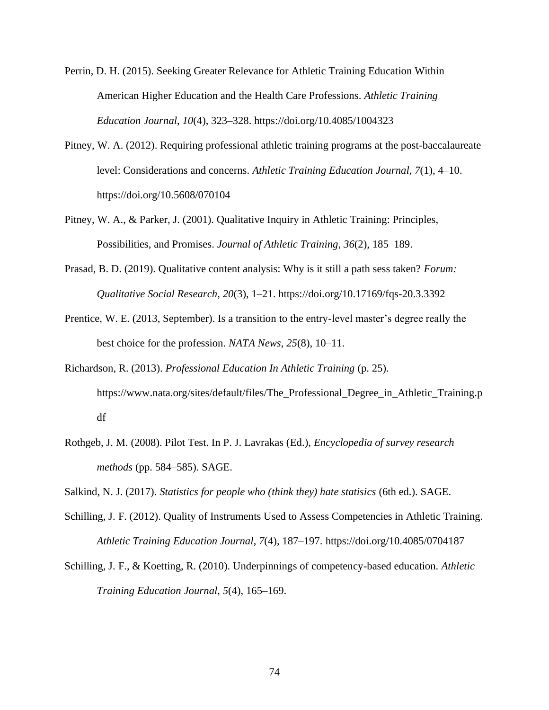- Perrin, D. H. (2015). Seeking Greater Relevance for Athletic Training Education Within American Higher Education and the Health Care Professions. *Athletic Training Education Journal*, *10*(4), 323–328. https://doi.org/10.4085/1004323
- Pitney, W. A. (2012). Requiring professional athletic training programs at the post-baccalaureate level: Considerations and concerns. *Athletic Training Education Journal*, *7*(1), 4–10. https://doi.org/10.5608/070104
- Pitney, W. A., & Parker, J. (2001). Qualitative Inquiry in Athletic Training: Principles, Possibilities, and Promises. *Journal of Athletic Training*, *36*(2), 185–189.
- Prasad, B. D. (2019). Qualitative content analysis: Why is it still a path sess taken? *Forum: Qualitative Social Research*, *20*(3), 1–21. https://doi.org/10.17169/fqs-20.3.3392
- Prentice, W. E. (2013, September). Is a transition to the entry-level master's degree really the best choice for the profession. *NATA News*, *25*(8), 10–11.
- Richardson, R. (2013). *Professional Education In Athletic Training* (p. 25). https://www.nata.org/sites/default/files/The\_Professional\_Degree\_in\_Athletic\_Training.p df
- Rothgeb, J. M. (2008). Pilot Test. In P. J. Lavrakas (Ed.), *Encyclopedia of survey research methods* (pp. 584–585). SAGE.

Salkind, N. J. (2017). *Statistics for people who (think they) hate statisics* (6th ed.). SAGE.

- Schilling, J. F. (2012). Quality of Instruments Used to Assess Competencies in Athletic Training. *Athletic Training Education Journal*, *7*(4), 187–197. https://doi.org/10.4085/0704187
- Schilling, J. F., & Koetting, R. (2010). Underpinnings of competency-based education. *Athletic Training Education Journal*, *5*(4), 165–169.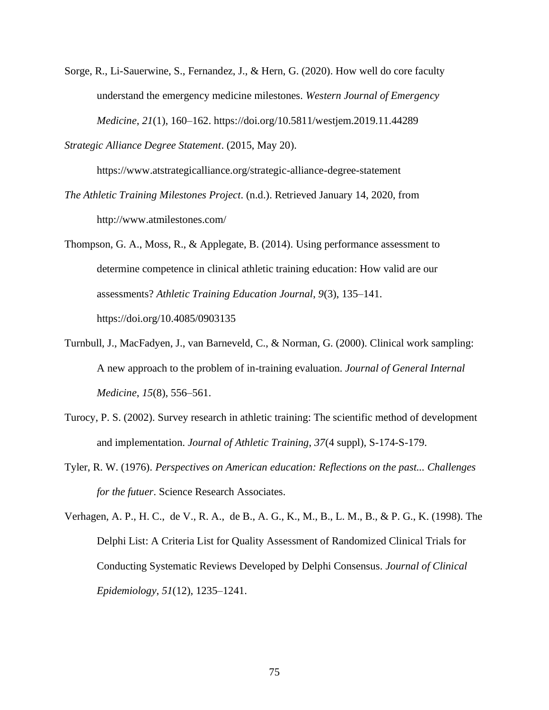- Sorge, R., Li-Sauerwine, S., Fernandez, J., & Hern, G. (2020). How well do core faculty understand the emergency medicine milestones. *Western Journal of Emergency Medicine*, *21*(1), 160–162. https://doi.org/10.5811/westjem.2019.11.44289
- *Strategic Alliance Degree Statement*. (2015, May 20).

https://www.atstrategicalliance.org/strategic-alliance-degree-statement

- *The Athletic Training Milestones Project*. (n.d.). Retrieved January 14, 2020, from http://www.atmilestones.com/
- Thompson, G. A., Moss, R., & Applegate, B. (2014). Using performance assessment to determine competence in clinical athletic training education: How valid are our assessments? *Athletic Training Education Journal*, *9*(3), 135–141. https://doi.org/10.4085/0903135
- Turnbull, J., MacFadyen, J., van Barneveld, C., & Norman, G. (2000). Clinical work sampling: A new approach to the problem of in-training evaluation. *Journal of General Internal Medicine*, *15*(8), 556–561.
- Turocy, P. S. (2002). Survey research in athletic training: The scientific method of development and implementation. *Journal of Athletic Training*, *37*(4 suppl), S-174-S-179.
- Tyler, R. W. (1976). *Perspectives on American education: Reflections on the past... Challenges for the futuer*. Science Research Associates.

Verhagen, A. P., H. C., de V., R. A., de B., A. G., K., M., B., L. M., B., & P. G., K. (1998). The Delphi List: A Criteria List for Quality Assessment of Randomized Clinical Trials for Conducting Systematic Reviews Developed by Delphi Consensus. *Journal of Clinical Epidemiology*, *51*(12), 1235–1241.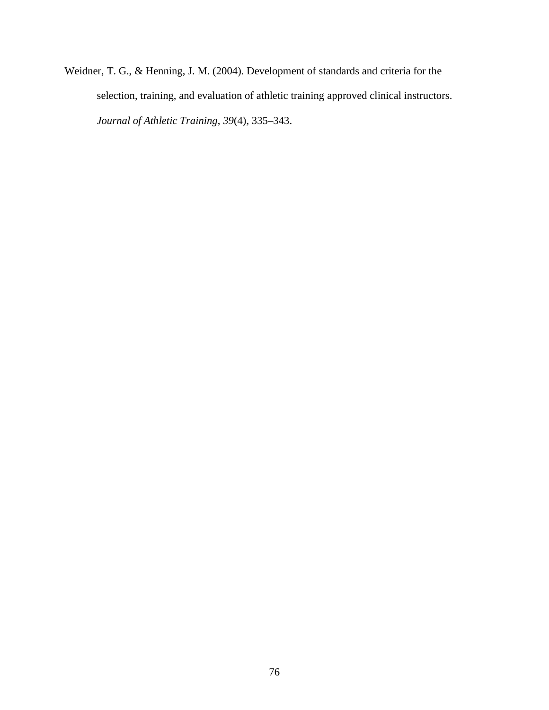Weidner, T. G., & Henning, J. M. (2004). Development of standards and criteria for the selection, training, and evaluation of athletic training approved clinical instructors. *Journal of Athletic Training*, *39*(4), 335–343.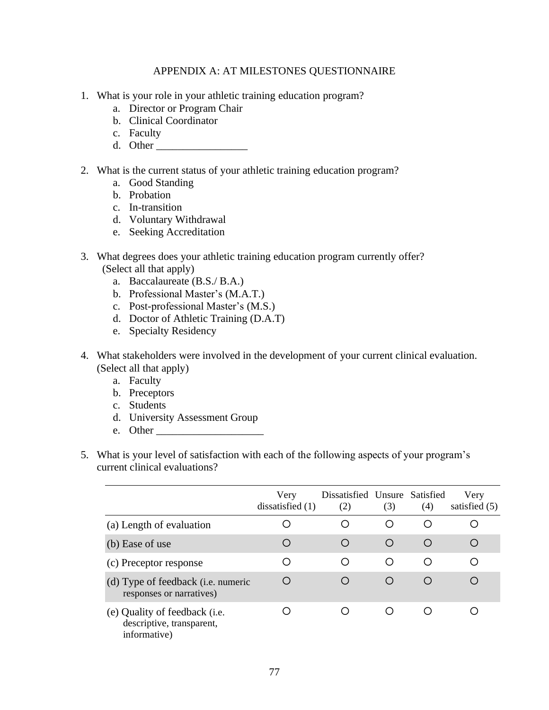#### APPENDIX A: AT MILESTONES QUESTIONNAIRE

- 1. What is your role in your athletic training education program?
	- a. Director or Program Chair
	- b. Clinical Coordinator
	- c. Faculty
	- d. Other  $\overline{\phantom{a}}$
- 2. What is the current status of your athletic training education program?
	- a. Good Standing
	- b. Probation
	- c. In-transition
	- d. Voluntary Withdrawal
	- e. Seeking Accreditation
- 3. What degrees does your athletic training education program currently offer? (Select all that apply)
	- a. Baccalaureate (B.S./ B.A.)
	- b. Professional Master's (M.A.T.)
	- c. Post-professional Master's (M.S.)
	- d. Doctor of Athletic Training (D.A.T)
	- e. Specialty Residency
- 4. What stakeholders were involved in the development of your current clinical evaluation. (Select all that apply)
	- a. Faculty
	- b. Preceptors
	- c. Students
	- d. University Assessment Group
	- e. Other
- 5. What is your level of satisfaction with each of the following aspects of your program's current clinical evaluations?

|                                                                                    | Very<br>dissatisfied $(1)$ | Dissatisfied Unsure Satisfied<br>(2) | (3) | (4)              | Very<br>satisfied $(5)$ |
|------------------------------------------------------------------------------------|----------------------------|--------------------------------------|-----|------------------|-------------------------|
| (a) Length of evaluation                                                           |                            |                                      | O   | ∩                |                         |
| (b) Ease of use                                                                    | ◯                          |                                      | O   | ◯                | ∩                       |
| (c) Preceptor response                                                             | Ω                          |                                      | ∩   | ∩                |                         |
| (d) Type of feedback ( <i>i.e.</i> numeric<br>responses or narratives)             |                            |                                      | O   | $\left( \right)$ | ∩                       |
| (e) Quality of feedback ( <i>i.e.</i><br>descriptive, transparent,<br>informative) |                            |                                      | ∩   |                  |                         |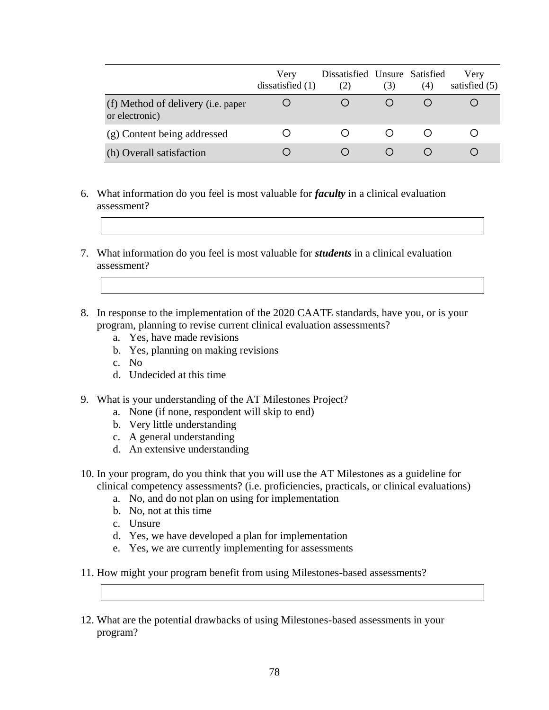|                                                              | Very<br>dissatisfied $(1)$ | Dissatisfied Unsure Satisfied<br>(2) | (3) | (4) | Very<br>satisfied $(5)$ |
|--------------------------------------------------------------|----------------------------|--------------------------------------|-----|-----|-------------------------|
| (f) Method of delivery ( <i>i.e.</i> paper<br>or electronic) |                            |                                      |     |     |                         |
| (g) Content being addressed                                  |                            |                                      |     |     |                         |
| (h) Overall satisfaction                                     |                            |                                      |     |     |                         |

- 6. What information do you feel is most valuable for *faculty* in a clinical evaluation assessment?
- 7. What information do you feel is most valuable for *students* in a clinical evaluation assessment?
- 8. In response to the implementation of the 2020 CAATE standards, have you, or is your program, planning to revise current clinical evaluation assessments?
	- a. Yes, have made revisions
	- b. Yes, planning on making revisions
	- c. No
	- d. Undecided at this time
- 9. What is your understanding of the AT Milestones Project?
	- a. None (if none, respondent will skip to end)
	- b. Very little understanding
	- c. A general understanding
	- d. An extensive understanding
- 10. In your program, do you think that you will use the AT Milestones as a guideline for clinical competency assessments? (i.e. proficiencies, practicals, or clinical evaluations)
	- a. No, and do not plan on using for implementation
	- b. No, not at this time
	- c. Unsure
	- d. Yes, we have developed a plan for implementation
	- e. Yes, we are currently implementing for assessments
- 11. How might your program benefit from using Milestones-based assessments?
- 12. What are the potential drawbacks of using Milestones-based assessments in your program?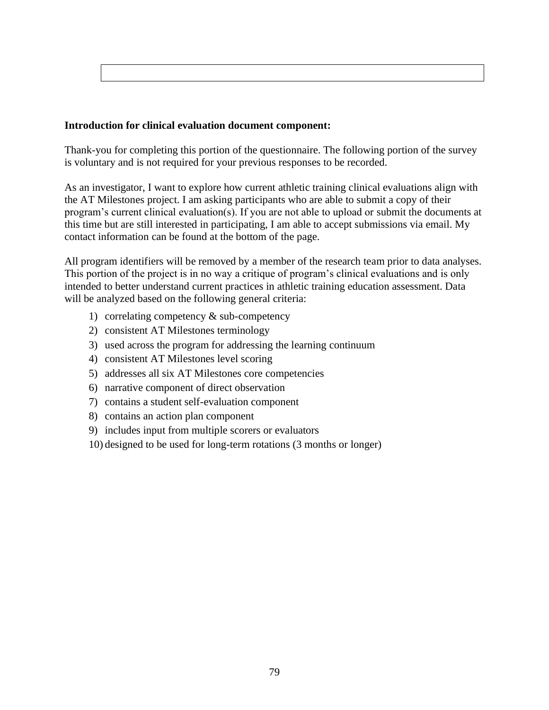## **Introduction for clinical evaluation document component:**

Thank-you for completing this portion of the questionnaire. The following portion of the survey is voluntary and is not required for your previous responses to be recorded.

As an investigator, I want to explore how current athletic training clinical evaluations align with the AT Milestones project. I am asking participants who are able to submit a copy of their program's current clinical evaluation(s). If you are not able to upload or submit the documents at this time but are still interested in participating, I am able to accept submissions via email. My contact information can be found at the bottom of the page.

All program identifiers will be removed by a member of the research team prior to data analyses. This portion of the project is in no way a critique of program's clinical evaluations and is only intended to better understand current practices in athletic training education assessment. Data will be analyzed based on the following general criteria:

- 1) correlating competency & sub-competency
- 2) consistent AT Milestones terminology
- 3) used across the program for addressing the learning continuum
- 4) consistent AT Milestones level scoring
- 5) addresses all six AT Milestones core competencies
- 6) narrative component of direct observation
- 7) contains a student self-evaluation component
- 8) contains an action plan component
- 9) includes input from multiple scorers or evaluators
- 10) designed to be used for long-term rotations (3 months or longer)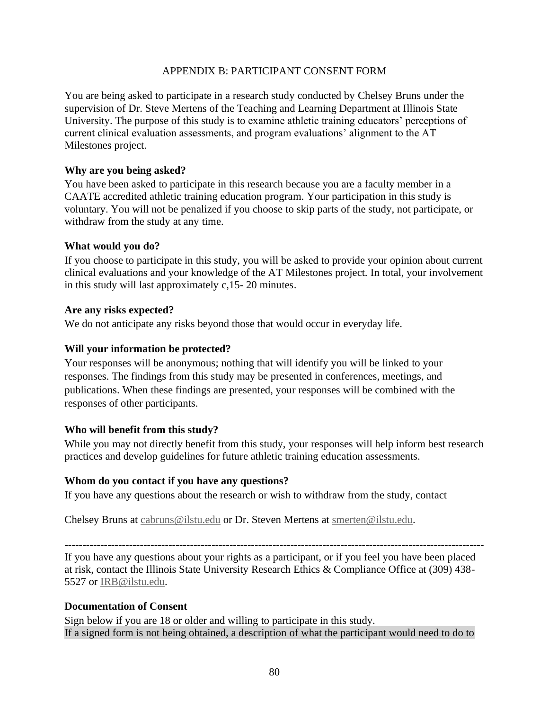## APPENDIX B: PARTICIPANT CONSENT FORM

You are being asked to participate in a research study conducted by Chelsey Bruns under the supervision of Dr. Steve Mertens of the Teaching and Learning Department at Illinois State University. The purpose of this study is to examine athletic training educators' perceptions of current clinical evaluation assessments, and program evaluations' alignment to the AT Milestones project.

#### **Why are you being asked?**

You have been asked to participate in this research because you are a faculty member in a CAATE accredited athletic training education program. Your participation in this study is voluntary. You will not be penalized if you choose to skip parts of the study, not participate, or withdraw from the study at any time.

#### **What would you do?**

If you choose to participate in this study, you will be asked to provide your opinion about current clinical evaluations and your knowledge of the AT Milestones project. In total, your involvement in this study will last approximately c,15- 20 minutes.

#### **Are any risks expected?**

We do not anticipate any risks beyond those that would occur in everyday life.

## **Will your information be protected?**

Your responses will be anonymous; nothing that will identify you will be linked to your responses. The findings from this study may be presented in conferences, meetings, and publications. When these findings are presented, your responses will be combined with the responses of other participants.

## **Who will benefit from this study?**

While you may not directly benefit from this study, your responses will help inform best research practices and develop guidelines for future athletic training education assessments.

#### **Whom do you contact if you have any questions?**

If you have any questions about the research or wish to withdraw from the study, contact

Chelsey Bruns at [cabruns@ilstu.edu](mailto:cabruns@ilstu.edu) or Dr. Steven Mertens at [smerten@ilstu.edu.](mailto:smerten@ilstu.edu)

---------------------------------------------------------------------------------------------------------------------

If you have any questions about your rights as a participant, or if you feel you have been placed at risk, contact the Illinois State University Research Ethics & Compliance Office at (309) 438- 5527 or [IRB@ilstu.edu.](mailto:IRB@ilstu.edu)

#### **Documentation of Consent**

Sign below if you are 18 or older and willing to participate in this study. If a signed form is not being obtained, a description of what the participant would need to do to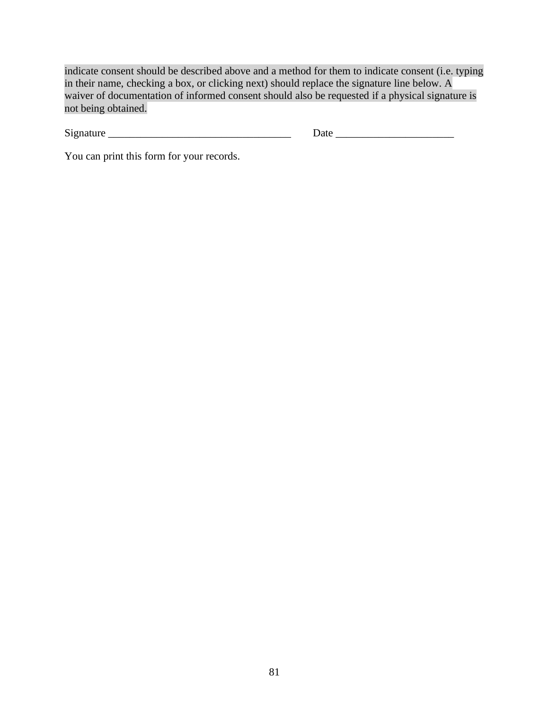indicate consent should be described above and a method for them to indicate consent (i.e. typing in their name, checking a box, or clicking next) should replace the signature line below. A waiver of documentation of informed consent should also be requested if a physical signature is not being obtained.

Signature \_\_\_\_\_\_\_\_\_\_\_\_\_\_\_\_\_\_\_\_\_\_\_\_\_\_\_\_\_\_\_\_\_\_ Date \_\_\_\_\_\_\_\_\_\_\_\_\_\_\_\_\_\_\_\_\_\_

You can print this form for your records.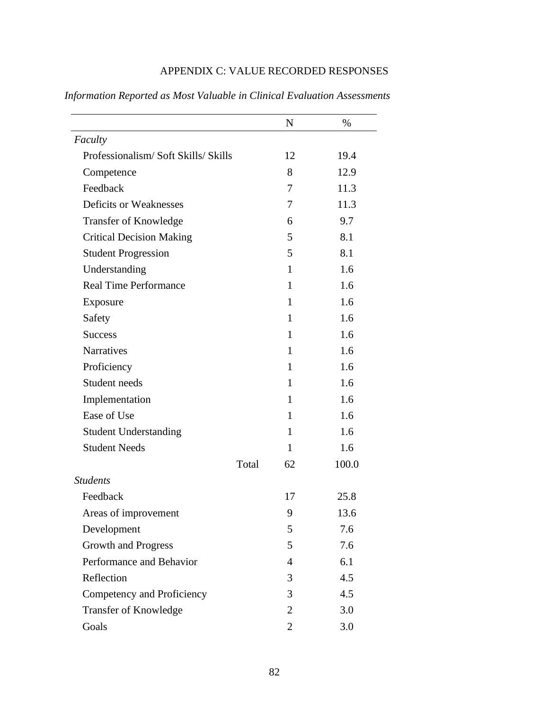|                                    |       | $\mathbf N$    | $\%$  |
|------------------------------------|-------|----------------|-------|
| Faculty                            |       |                |       |
| Professionalism/Soft Skills/Skills |       | 12             | 19.4  |
| Competence                         |       | 8              | 12.9  |
| Feedback                           |       | 7              | 11.3  |
| Deficits or Weaknesses             |       | 7              | 11.3  |
| <b>Transfer of Knowledge</b>       |       | 6              | 9.7   |
| <b>Critical Decision Making</b>    |       | 5              | 8.1   |
| <b>Student Progression</b>         |       | 5              | 8.1   |
| Understanding                      |       | 1              | 1.6   |
| <b>Real Time Performance</b>       |       | 1              | 1.6   |
| Exposure                           |       | 1              | 1.6   |
| Safety                             |       | 1              | 1.6   |
| <b>Success</b>                     |       | 1              | 1.6   |
| <b>Narratives</b>                  |       | 1              | 1.6   |
| Proficiency                        |       | 1              | 1.6   |
| Student needs                      |       | 1              | 1.6   |
| Implementation                     |       | 1              | 1.6   |
| Ease of Use                        |       | 1              | 1.6   |
| <b>Student Understanding</b>       |       | 1              | 1.6   |
| <b>Student Needs</b>               |       | 1              | 1.6   |
|                                    | Total | 62             | 100.0 |
| <b>Students</b>                    |       |                |       |
| Feedback                           |       | 17             | 25.8  |
| Areas of improvement               |       | 9              | 13.6  |
| Development                        |       | 5              | 7.6   |
| Growth and Progress                |       | 5              | 7.6   |
| Performance and Behavior           |       | 4              | 6.1   |
| Reflection                         |       | 3              | 4.5   |
| Competency and Proficiency         |       | 3              | 4.5   |
| Transfer of Knowledge              |       | $\overline{2}$ | 3.0   |
| Goals                              |       | $\overline{2}$ | 3.0   |

# APPENDIX C: VALUE RECORDED RESPONSES

*Information Reported as Most Valuable in Clinical Evaluation Assessments*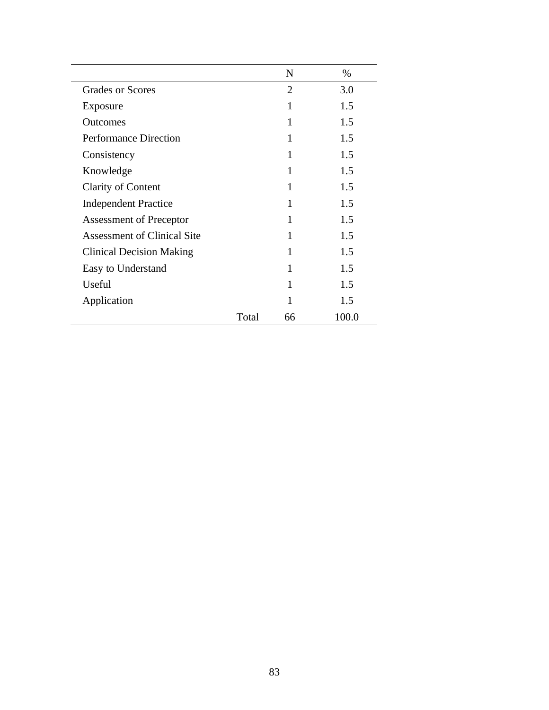|                                    |       | N            | $\%$  |
|------------------------------------|-------|--------------|-------|
| <b>Grades or Scores</b>            |       | 2            | 3.0   |
| Exposure                           |       |              | 1.5   |
| <b>Outcomes</b>                    |       | $\mathbf{1}$ | 1.5   |
| <b>Performance Direction</b>       |       | 1            | 1.5   |
| Consistency                        |       |              | 1.5   |
| Knowledge                          |       | 1            | 1.5   |
| Clarity of Content                 |       | 1            | 1.5   |
| <b>Independent Practice</b>        |       |              | 1.5   |
| <b>Assessment of Preceptor</b>     |       | 1            | 1.5   |
| <b>Assessment of Clinical Site</b> |       | 1            | 1.5   |
| <b>Clinical Decision Making</b>    |       | 1            | 1.5   |
| Easy to Understand                 |       | 1            | 1.5   |
| Useful                             |       | 1            | 1.5   |
| Application                        |       |              | 1.5   |
|                                    | Total | 66           | 100.0 |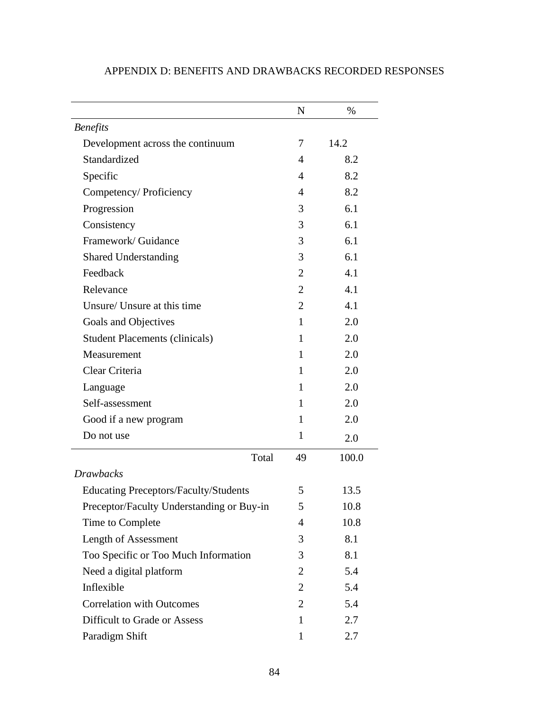|                                              | $\mathbf N$    | $\%$  |
|----------------------------------------------|----------------|-------|
| <b>Benefits</b>                              |                |       |
| Development across the continuum             | 7              | 14.2  |
| Standardized                                 | 4              | 8.2   |
| Specific                                     | $\overline{4}$ | 8.2   |
| Competency/ Proficiency                      | 4              | 8.2   |
| Progression                                  | 3              | 6.1   |
| Consistency                                  | 3              | 6.1   |
| Framework/Guidance                           | 3              | 6.1   |
| <b>Shared Understanding</b>                  | 3              | 6.1   |
| Feedback                                     | $\overline{2}$ | 4.1   |
| Relevance                                    | $\overline{2}$ | 4.1   |
| Unsure/ Unsure at this time                  | $\overline{2}$ | 4.1   |
| Goals and Objectives                         | $\mathbf{1}$   | 2.0   |
| <b>Student Placements (clinicals)</b>        | $\mathbf{1}$   | 2.0   |
| Measurement                                  | 1              | 2.0   |
| Clear Criteria                               | $\mathbf{1}$   | 2.0   |
| Language                                     | 1              | 2.0   |
| Self-assessment                              | 1              | 2.0   |
| Good if a new program                        | 1              | 2.0   |
| Do not use                                   | 1              | 2.0   |
| Total                                        | 49             | 100.0 |
| <b>Drawbacks</b>                             |                |       |
| <b>Educating Preceptors/Faculty/Students</b> | 5              | 13.5  |
| Preceptor/Faculty Understanding or Buy-in    | 5              | 10.8  |
| Time to Complete                             | 4              | 10.8  |
| Length of Assessment                         | 3              | 8.1   |
| Too Specific or Too Much Information         | 3              | 8.1   |
| Need a digital platform                      | $\overline{2}$ | 5.4   |
| Inflexible                                   | $\overline{2}$ | 5.4   |
| <b>Correlation with Outcomes</b>             | $\overline{2}$ | 5.4   |
| Difficult to Grade or Assess                 | 1              | 2.7   |
| Paradigm Shift                               | $\mathbf{1}$   | 2.7   |

# APPENDIX D: BENEFITS AND DRAWBACKS RECORDED RESPONSES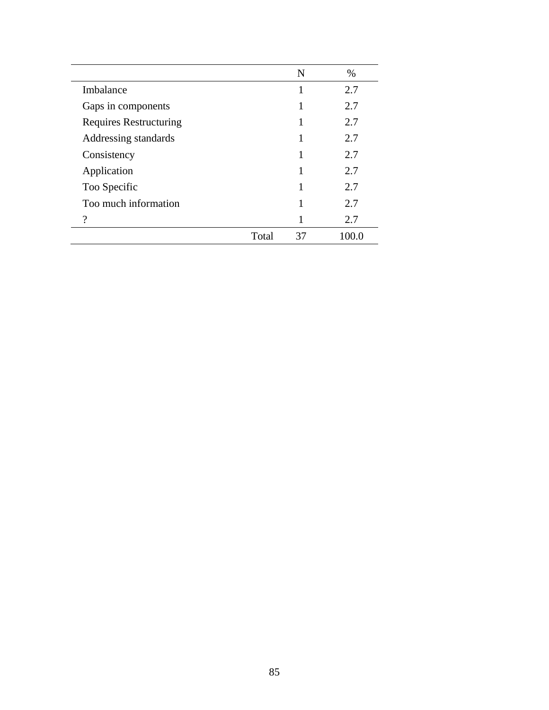|                               |       | N  | $\%$  |
|-------------------------------|-------|----|-------|
| Imbalance                     |       | 1  | 2.7   |
| Gaps in components            |       |    | 2.7   |
| <b>Requires Restructuring</b> |       |    | 2.7   |
| Addressing standards          |       |    | 2.7   |
| Consistency                   |       |    | 2.7   |
| Application                   |       |    | 2.7   |
| Too Specific                  |       |    | 2.7   |
| Too much information          |       |    | 2.7   |
| 9                             |       |    | 2.7   |
|                               | Total | 37 | 100.0 |